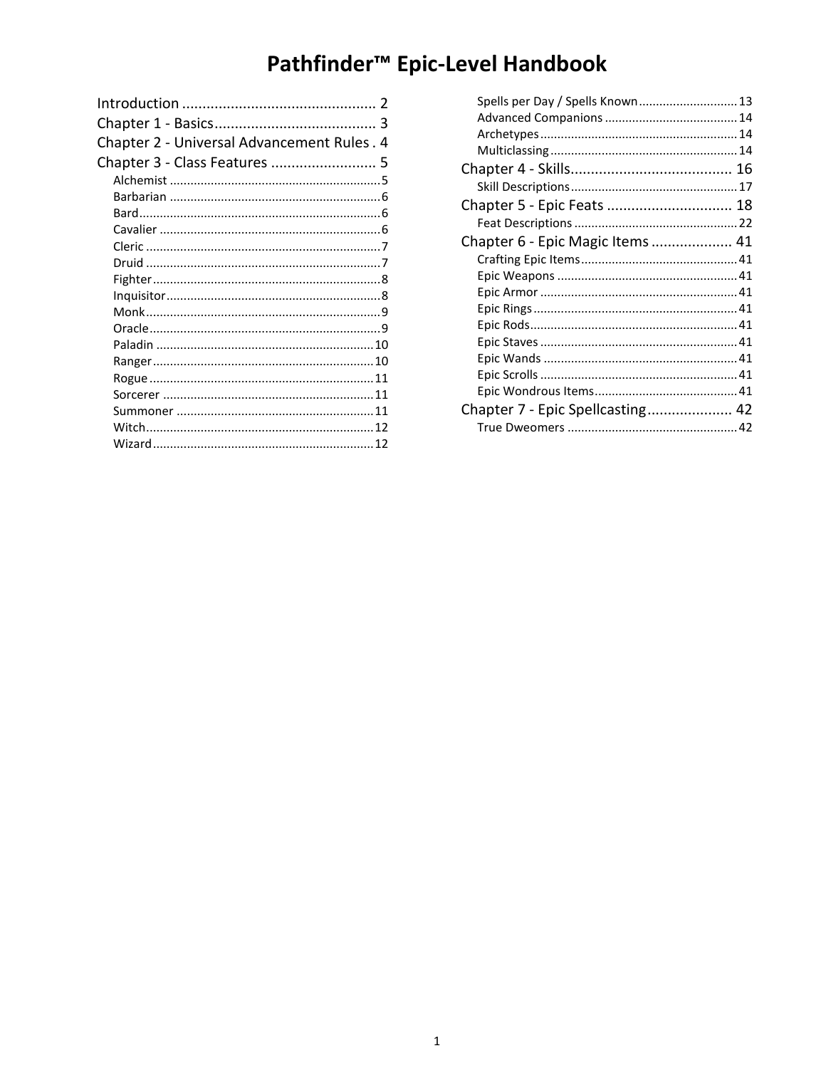# Pathfinder<sup>™</sup> Epic-Level Handbook

| Chapter 2 - Universal Advancement Rules. 4 |  |
|--------------------------------------------|--|
| Chapter 3 - Class Features  5              |  |
|                                            |  |
|                                            |  |
|                                            |  |
|                                            |  |
|                                            |  |
|                                            |  |
|                                            |  |
|                                            |  |
|                                            |  |
|                                            |  |
|                                            |  |
|                                            |  |
|                                            |  |
|                                            |  |
|                                            |  |
|                                            |  |
|                                            |  |
|                                            |  |

| Spells per Day / Spells Known 13 |  |
|----------------------------------|--|
|                                  |  |
|                                  |  |
|                                  |  |
|                                  |  |
|                                  |  |
| Chapter 5 - Epic Feats  18       |  |
|                                  |  |
| Chapter 6 - Epic Magic Items  41 |  |
|                                  |  |
|                                  |  |
|                                  |  |
|                                  |  |
|                                  |  |
|                                  |  |
|                                  |  |
|                                  |  |
|                                  |  |
| Chapter 7 - Epic Spellcasting 42 |  |
|                                  |  |
|                                  |  |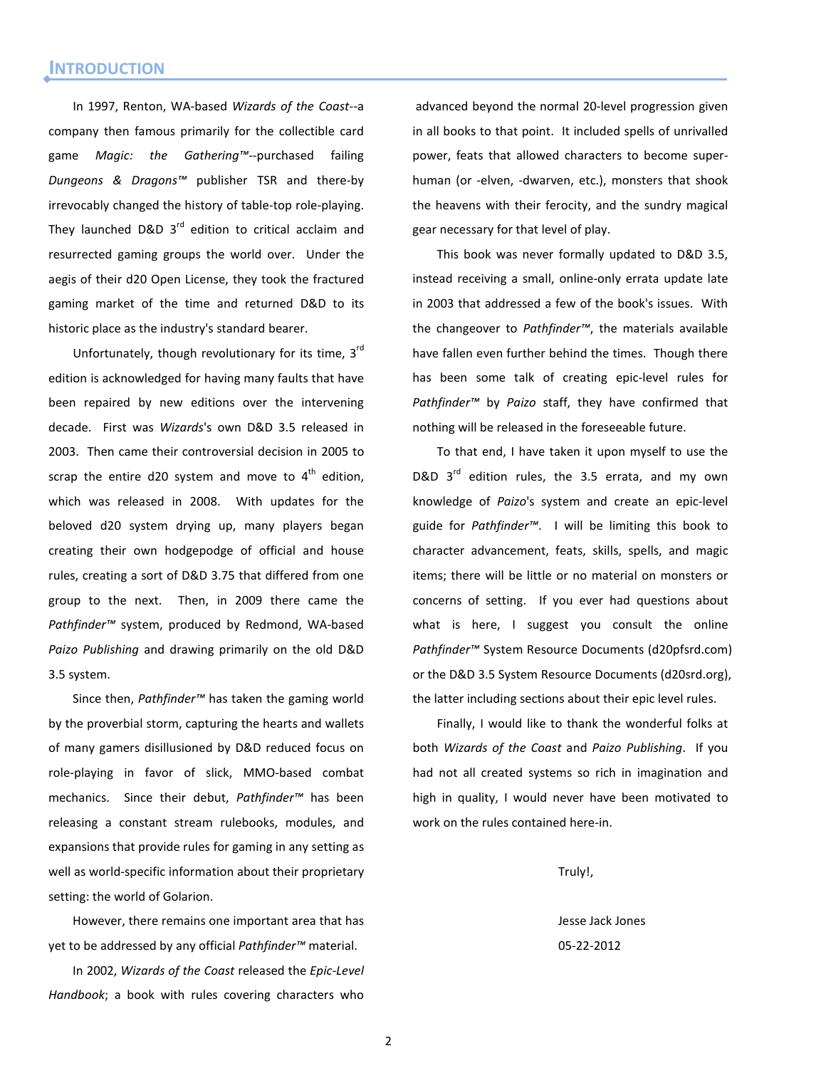<span id="page-1-0"></span>In 1997, Renton, WA-based *Wizards of the Coast*--a company then famous primarily for the collectible card game *Magic: the Gathering™*--purchased failing *Dungeons & Dragons™* publisher TSR and there-by irrevocably changed the history of table-top role-playing. They launched D&D  $3^{rd}$  edition to critical acclaim and resurrected gaming groups the world over. Under the aegis of their d20 Open License, they took the fractured gaming market of the time and returned D&D to its historic place as the industry's standard bearer.

Unfortunately, though revolutionary for its time,  $3<sup>rd</sup>$ edition is acknowledged for having many faults that have been repaired by new editions over the intervening decade. First was *Wizards*'s own D&D 3.5 released in 2003. Then came their controversial decision in 2005 to scrap the entire d20 system and move to  $4<sup>th</sup>$  edition, which was released in 2008. With updates for the beloved d20 system drying up, many players began creating their own hodgepodge of official and house rules, creating a sort of D&D 3.75 that differed from one group to the next. Then, in 2009 there came the *Pathfinder™* system, produced by Redmond, WA-based *Paizo Publishing* and drawing primarily on the old D&D 3.5 system.

Since then, *Pathfinder™* has taken the gaming world by the proverbial storm, capturing the hearts and wallets of many gamers disillusioned by D&D reduced focus on role-playing in favor of slick, MMO-based combat mechanics. Since their debut, *Pathfinder™* has been releasing a constant stream rulebooks, modules, and expansions that provide rules for gaming in any setting as well as world-specific information about their proprietary setting: the world of Golarion.

However, there remains one important area that has yet to be addressed by any official *Pathfinder™* material.

In 2002, *Wizards of the Coast* released the *Epic-Level Handbook*; a book with rules covering characters who

advanced beyond the normal 20-level progression given in all books to that point. It included spells of unrivalled power, feats that allowed characters to become superhuman (or -elven, -dwarven, etc.), monsters that shook the heavens with their ferocity, and the sundry magical gear necessary for that level of play.

This book was never formally updated to D&D 3.5, instead receiving a small, online-only errata update late in 2003 that addressed a few of the book's issues. With the changeover to *Pathfinder™*, the materials available have fallen even further behind the times. Though there has been some talk of creating epic-level rules for *Pathfinder™* by *Paizo* staff, they have confirmed that nothing will be released in the foreseeable future.

To that end, I have taken it upon myself to use the D&D  $3^{rd}$  edition rules, the 3.5 errata, and my own knowledge of *Paizo*'s system and create an epic-level guide for *Pathfinder™*. I will be limiting this book to character advancement, feats, skills, spells, and magic items; there will be little or no material on monsters or concerns of setting. If you ever had questions about what is here, I suggest you consult the online *Pathfinder™* System Resource Documents (d20pfsrd.com) or the D&D 3.5 System Resource Documents (d20srd.org), the latter including sections about their epic level rules.

Finally, I would like to thank the wonderful folks at both *Wizards of the Coast* and *Paizo Publishing*. If you had not all created systems so rich in imagination and high in quality, I would never have been motivated to work on the rules contained here-in.

Truly!,

Jesse Jack Jones 05-22-2012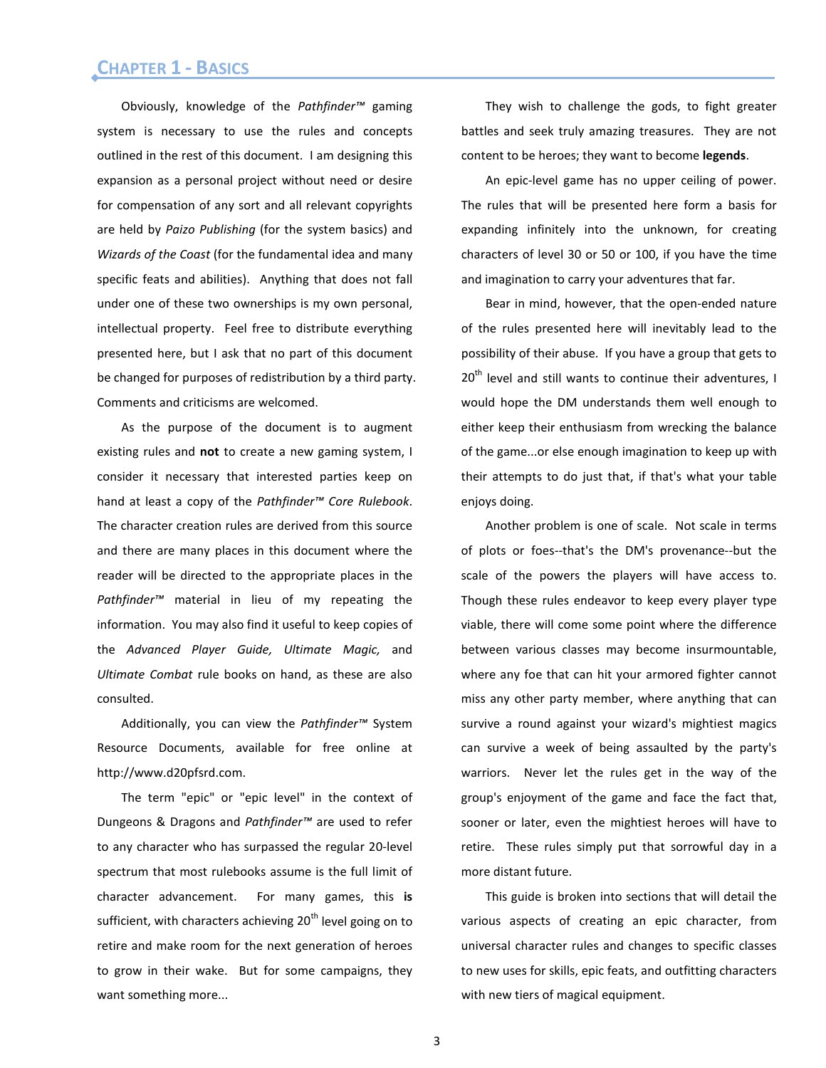# <span id="page-2-0"></span>Chapter 1 - Basics **CHAPTER 1 - BASICS**

Obviously, knowledge of the *Pathfinder™* gaming system is necessary to use the rules and concepts outlined in the rest of this document. I am designing this expansion as a personal project without need or desire for compensation of any sort and all relevant copyrights are held by *Paizo Publishing* (for the system basics) and *Wizards of the Coast* (for the fundamental idea and many specific feats and abilities). Anything that does not fall under one of these two ownerships is my own personal, intellectual property. Feel free to distribute everything presented here, but I ask that no part of this document be changed for purposes of redistribution by a third party. Comments and criticisms are welcomed.

As the purpose of the document is to augment existing rules and **not** to create a new gaming system, I consider it necessary that interested parties keep on hand at least a copy of the *Pathfinder™ Core Rulebook*. The character creation rules are derived from this source and there are many places in this document where the reader will be directed to the appropriate places in the *Pathfinder™* material in lieu of my repeating the information. You may also find it useful to keep copies of the *Advanced Player Guide, Ultimate Magic,* and *Ultimate Combat* rule books on hand, as these are also consulted.

Additionally, you can view the *Pathfinder™* System Resource Documents, available for free online at http://www.d20pfsrd.com.

The term "epic" or "epic level" in the context of Dungeons & Dragons and *Pathfinder™* are used to refer to any character who has surpassed the regular 20-level spectrum that most rulebooks assume is the full limit of character advancement. For many games, this **is**  sufficient, with characters achieving 20<sup>th</sup> level going on to retire and make room for the next generation of heroes to grow in their wake. But for some campaigns, they want something more...

They wish to challenge the gods, to fight greater battles and seek truly amazing treasures. They are not content to be heroes; they want to become **legends**.

An epic-level game has no upper ceiling of power. The rules that will be presented here form a basis for expanding infinitely into the unknown, for creating characters of level 30 or 50 or 100, if you have the time and imagination to carry your adventures that far.

Bear in mind, however, that the open-ended nature of the rules presented here will inevitably lead to the possibility of their abuse. If you have a group that gets to  $20<sup>th</sup>$  level and still wants to continue their adventures, I would hope the DM understands them well enough to either keep their enthusiasm from wrecking the balance of the game...or else enough imagination to keep up with their attempts to do just that, if that's what your table enjoys doing.

Another problem is one of scale. Not scale in terms of plots or foes--that's the DM's provenance--but the scale of the powers the players will have access to. Though these rules endeavor to keep every player type viable, there will come some point where the difference between various classes may become insurmountable, where any foe that can hit your armored fighter cannot miss any other party member, where anything that can survive a round against your wizard's mightiest magics can survive a week of being assaulted by the party's warriors. Never let the rules get in the way of the group's enjoyment of the game and face the fact that, sooner or later, even the mightiest heroes will have to retire. These rules simply put that sorrowful day in a more distant future.

This guide is broken into sections that will detail the various aspects of creating an epic character, from universal character rules and changes to specific classes to new uses for skills, epic feats, and outfitting characters with new tiers of magical equipment.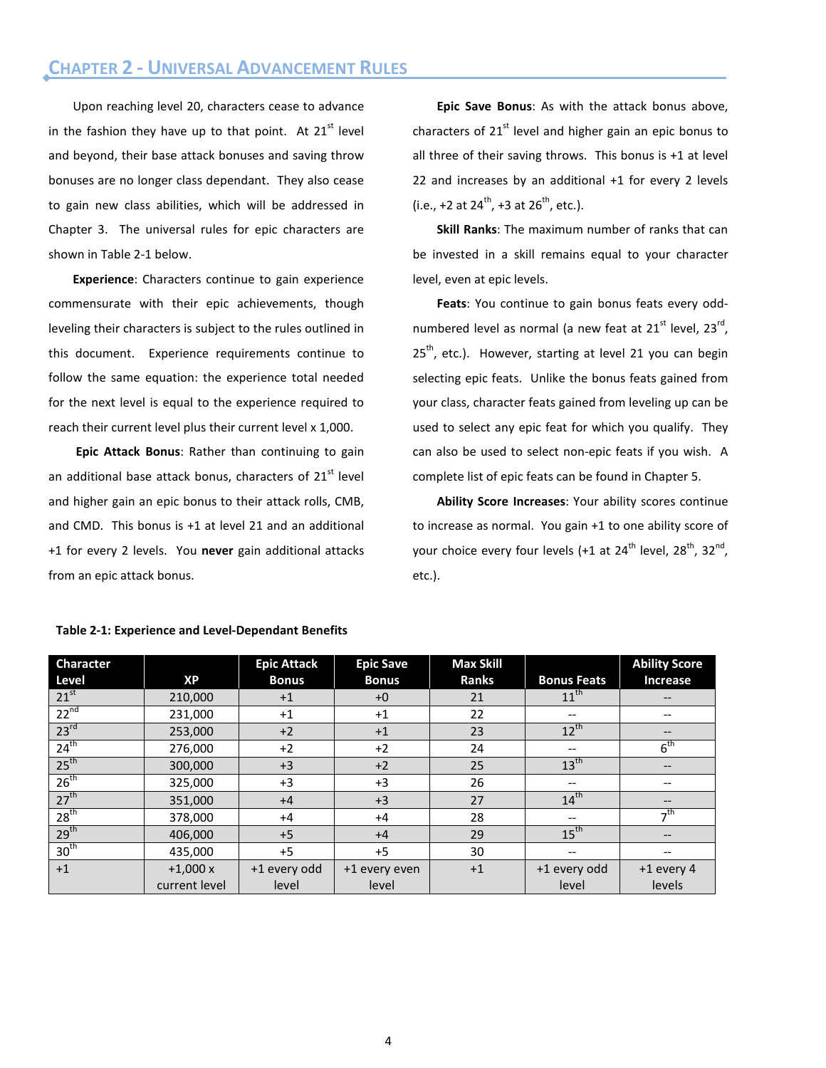<span id="page-3-0"></span>Upon reaching level 20, characters cease to advance in the fashion they have up to that point. At  $21<sup>st</sup>$  level and beyond, their base attack bonuses and saving throw bonuses are no longer class dependant. They also cease to gain new class abilities, which will be addressed in Chapter 3. The universal rules for epic characters are shown in Table 2-1 below.

**Experience**: Characters continue to gain experience commensurate with their epic achievements, though leveling their characters is subject to the rules outlined in this document. Experience requirements continue to follow the same equation: the experience total needed for the next level is equal to the experience required to reach their current level plus their current level x 1,000.

**Epic Attack Bonus**: Rather than continuing to gain an additional base attack bonus, characters of 21<sup>st</sup> level and higher gain an epic bonus to their attack rolls, CMB, and CMD. This bonus is +1 at level 21 and an additional +1 for every 2 levels. You **never** gain additional attacks from an epic attack bonus.

**Epic Save Bonus**: As with the attack bonus above, characters of  $21<sup>st</sup>$  level and higher gain an epic bonus to all three of their saving throws. This bonus is +1 at level 22 and increases by an additional +1 for every 2 levels (i.e., +2 at  $24^{th}$ , +3 at  $26^{th}$ , etc.).

**Skill Ranks**: The maximum number of ranks that can be invested in a skill remains equal to your character level, even at epic levels.

**Feats**: You continue to gain bonus feats every oddnumbered level as normal (a new feat at  $21<sup>st</sup>$  level,  $23<sup>rd</sup>$ ,  $25<sup>th</sup>$ , etc.). However, starting at level 21 you can begin selecting epic feats. Unlike the bonus feats gained from your class, character feats gained from leveling up can be used to select any epic feat for which you qualify. They can also be used to select non-epic feats if you wish. A complete list of epic feats can be found in Chapter 5.

**Ability Score Increases**: Your ability scores continue to increase as normal. You gain +1 to one ability score of your choice every four levels (+1 at  $24^{\text{th}}$  level,  $28^{\text{th}}$ ,  $32^{\text{nd}}$ , etc.).

| <b>Character</b> |               | <b>Epic Attack</b> | <b>Epic Save</b> | <b>Max Skill</b> |                                       | <b>Ability Score</b>                  |
|------------------|---------------|--------------------|------------------|------------------|---------------------------------------|---------------------------------------|
| Level            | <b>XP</b>     | <b>Bonus</b>       | <b>Bonus</b>     | <b>Ranks</b>     | <b>Bonus Feats</b>                    | Increase                              |
| $21^{st}$        | 210,000       | $+1$               | $+0$             | 21               | $11^{th}$                             | $\hspace{0.05cm}$ – $\hspace{0.05cm}$ |
| $22^{nd}$        | 231,000       | $+1$               | $+1$             | 22               | $\hspace{0.05cm} \ldots$              | $- -$                                 |
| 23 <sup>rd</sup> | 253,000       | $+2$               | $+1$             | 23               | $12^{th}$                             | --                                    |
| $24^{th}$        | 276,000       | $+2$               | $+2$             | 24               | $\qquad \qquad -$                     | 6 <sup>th</sup>                       |
| $25^{th}$        | 300,000       | $+3$               | $+2$             | 25               | 13 <sup>th</sup>                      | $\hspace{0.05cm} \ldots$              |
| $26^{\text{th}}$ | 325,000       | $+3$               | $+3$             | 26               | $\hspace{0.05cm}$ – $\hspace{0.05cm}$ | $- -$                                 |
| 27 <sup>th</sup> | 351,000       | $+4$               | $+3$             | 27               | 14 <sup>th</sup>                      | --                                    |
| 28 <sup>th</sup> | 378,000       | $+4$               | $+4$             | 28               | $\hspace{0.05cm}$ – $\hspace{0.05cm}$ | $\neg$ <sup>th</sup>                  |
| 29 <sup>th</sup> | 406,000       | $+5$               | $+4$             | 29               | 15 <sup>th</sup>                      | --                                    |
| 30 <sup>th</sup> | 435,000       | $+5$               | $+5$             | 30               | $\hspace{0.05cm}$ – $\hspace{0.05cm}$ | $\hspace{0.05cm}$ – $\hspace{0.05cm}$ |
| $+1$             | $+1,000x$     | +1 every odd       | +1 every even    | $+1$             | +1 every odd                          | $+1$ every 4                          |
|                  | current level | level              | level            |                  | level                                 | levels                                |

#### **Table 2-1: Experience and Level-Dependant Benefits**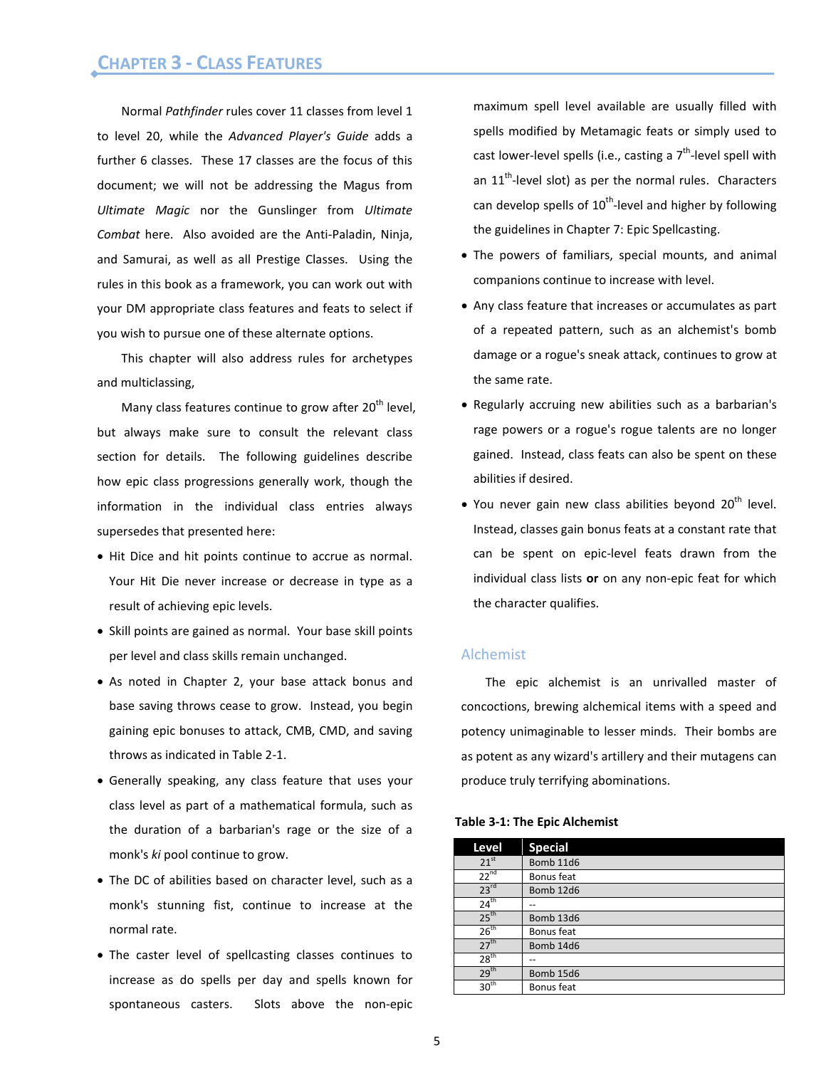# <span id="page-4-0"></span>Chapter 3 - Class Features **CHAPTER 3 - CLASS FEATURES**

Normal *Pathfinder* rules cover 11 classes from level 1 to level 20, while the *Advanced Player's Guide* adds a further 6 classes. These 17 classes are the focus of this document; we will not be addressing the Magus from *Ultimate Magic* nor the Gunslinger from *Ultimate Combat* here. Also avoided are the Anti-Paladin, Ninja, and Samurai, as well as all Prestige Classes. Using the rules in this book as a framework, you can work out with your DM appropriate class features and feats to select if you wish to pursue one of these alternate options.

This chapter will also address rules for archetypes and multiclassing,

Many class features continue to grow after  $20<sup>th</sup>$  level, but always make sure to consult the relevant class section for details. The following guidelines describe how epic class progressions generally work, though the information in the individual class entries always supersedes that presented here:

- Hit Dice and hit points continue to accrue as normal. Your Hit Die never increase or decrease in type as a result of achieving epic levels.
- Skill points are gained as normal. Your base skill points per level and class skills remain unchanged.
- As noted in Chapter 2, your base attack bonus and base saving throws cease to grow. Instead, you begin gaining epic bonuses to attack, CMB, CMD, and saving throws as indicated in Table 2-1.
- Generally speaking, any class feature that uses your class level as part of a mathematical formula, such as the duration of a barbarian's rage or the size of a monk's *ki* pool continue to grow.
- The DC of abilities based on character level, such as a monk's stunning fist, continue to increase at the normal rate.
- The caster level of spellcasting classes continues to increase as do spells per day and spells known for spontaneous casters. Slots above the non-epic

maximum spell level available are usually filled with spells modified by Metamagic feats or simply used to cast lower-level spells (i.e., casting a  $7<sup>th</sup>$ -level spell with an  $11<sup>th</sup>$ -level slot) as per the normal rules. Characters can develop spells of  $10^{th}$ -level and higher by following the guidelines in Chapter 7: Epic Spellcasting.

- The powers of familiars, special mounts, and animal companions continue to increase with level.
- Any class feature that increases or accumulates as part of a repeated pattern, such as an alchemist's bomb damage or a rogue's sneak attack, continues to grow at the same rate.
- Regularly accruing new abilities such as a barbarian's rage powers or a rogue's rogue talents are no longer gained. Instead, class feats can also be spent on these abilities if desired.
- You never gain new class abilities beyond 20<sup>th</sup> level. Instead, classes gain bonus feats at a constant rate that can be spent on epic-level feats drawn from the individual class lists **or** on any non-epic feat for which the character qualifies.

# <span id="page-4-1"></span>Alchemist

The epic alchemist is an unrivalled master of concoctions, brewing alchemical items with a speed and potency unimaginable to lesser minds. Their bombs are as potent as any wizard's artillery and their mutagens can produce truly terrifying abominations.

#### **Table 3-1: The Epic Alchemist**

| Level            | <b>Special</b> |
|------------------|----------------|
| 21 <sup>st</sup> | Bomb 11d6      |
| $22^{nd}$        | Bonus feat     |
| 23 <sup>rd</sup> | Bomb 12d6      |
| 24 <sup>th</sup> |                |
| 25 <sup>th</sup> | Bomb 13d6      |
| $26^{th}$        | Bonus feat     |
| 27 <sup>th</sup> | Bomb 14d6      |
| 28 <sup>th</sup> | --             |
| 29 <sup>th</sup> | Bomb 15d6      |
| 30 <sup>th</sup> | Bonus feat     |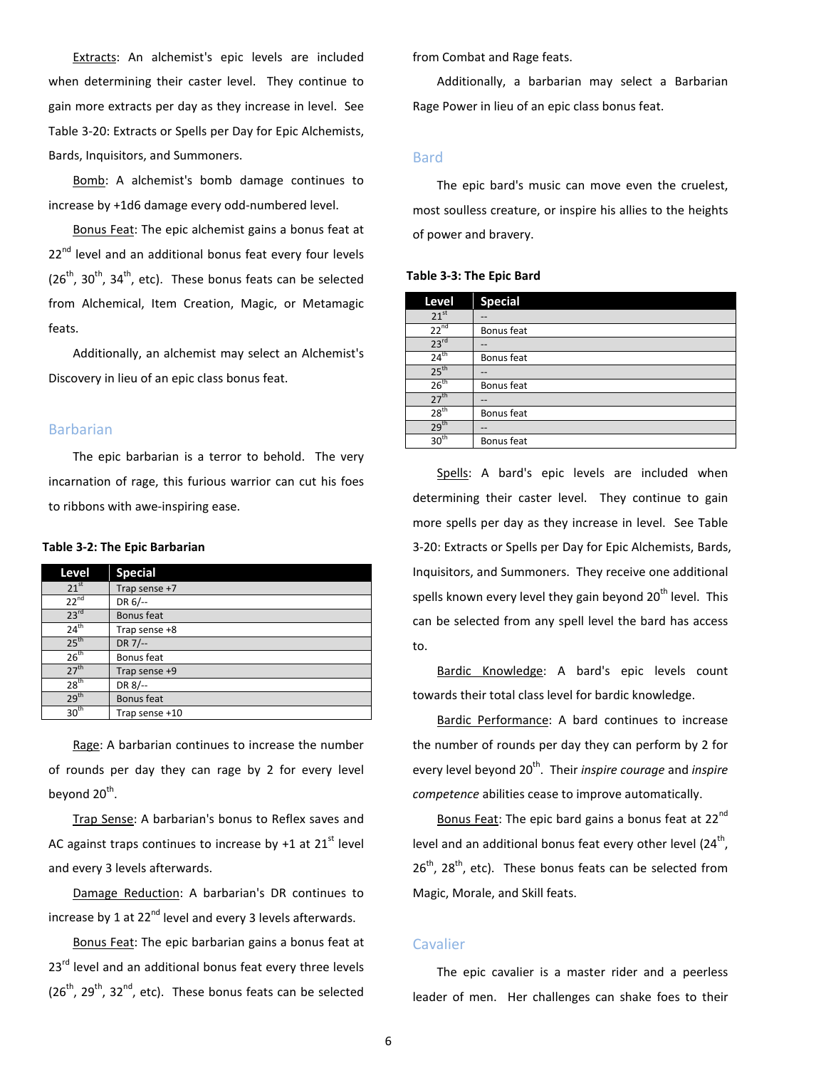Extracts: An alchemist's epic levels are included when determining their caster level. They continue to gain more extracts per day as they increase in level. See Table 3-20: Extracts or Spells per Day for Epic Alchemists, Bards, Inquisitors, and Summoners.

Bomb: A alchemist's bomb damage continues to increase by +1d6 damage every odd-numbered level.

Bonus Feat: The epic alchemist gains a bonus feat at  $22<sup>nd</sup>$  level and an additional bonus feat every four levels  $(26<sup>th</sup>, 30<sup>th</sup>, 34<sup>th</sup>)$ , etc). These bonus feats can be selected from Alchemical, Item Creation, Magic, or Metamagic feats.

Additionally, an alchemist may select an Alchemist's Discovery in lieu of an epic class bonus feat.

### <span id="page-5-0"></span>Barbarian

The epic barbarian is a terror to behold. The very incarnation of rage, this furious warrior can cut his foes to ribbons with awe-inspiring ease.

#### **Table 3-2: The Epic Barbarian**

| Level            | <b>Special</b> |
|------------------|----------------|
| 21 <sup>st</sup> | Trap sense +7  |
| $22^{nd}$        | DR 6/--        |
| 23 <sup>rd</sup> | Bonus feat     |
| $24^{\text{th}}$ | Trap sense +8  |
| 25 <sup>th</sup> | DR 7/--        |
| 26 <sup>th</sup> | Bonus feat     |
| 27 <sup>th</sup> | Trap sense +9  |
| 28 <sup>th</sup> | DR 8/--        |
| 29 <sup>th</sup> | Bonus feat     |
| 30 <sup>th</sup> | Trap sense +10 |

Rage: A barbarian continues to increase the number of rounds per day they can rage by 2 for every level beyond  $20<sup>th</sup>$ .

Trap Sense: A barbarian's bonus to Reflex saves and AC against traps continues to increase by  $+1$  at 21<sup>st</sup> level and every 3 levels afterwards.

Damage Reduction: A barbarian's DR continues to increase by 1 at  $22^{nd}$  level and every 3 levels afterwards.

Bonus Feat: The epic barbarian gains a bonus feat at 23<sup>rd</sup> level and an additional bonus feat every three levels  $(26<sup>th</sup>, 29<sup>th</sup>, 32<sup>nd</sup>, etc).$  These bonus feats can be selected

from Combat and Rage feats.

Additionally, a barbarian may select a Barbarian Rage Power in lieu of an epic class bonus feat.

# <span id="page-5-1"></span>Bard

The epic bard's music can move even the cruelest, most soulless creature, or inspire his allies to the heights of power and bravery.

#### **Table 3-3: The Epic Bard**

| Level            | <b>Special</b> |
|------------------|----------------|
| 21 <sup>st</sup> | --             |
| $22^{nd}$        | Bonus feat     |
| 23 <sup>rd</sup> | --             |
| 24 <sup>th</sup> | Bonus feat     |
| 25 <sup>th</sup> | --             |
| 26 <sup>th</sup> | Bonus feat     |
| 27 <sup>th</sup> | --             |
| 28 <sup>th</sup> | Bonus feat     |
| 29 <sup>th</sup> | --             |
| 30 <sup>th</sup> | Bonus feat     |
|                  |                |

Spells: A bard's epic levels are included when determining their caster level. They continue to gain more spells per day as they increase in level. See Table 3-20: Extracts or Spells per Day for Epic Alchemists, Bards, Inquisitors, and Summoners. They receive one additional spells known every level they gain beyond 20<sup>th</sup> level. This can be selected from any spell level the bard has access to.

Bardic Knowledge: A bard's epic levels count towards their total class level for bardic knowledge.

Bardic Performance: A bard continues to increase the number of rounds per day they can perform by 2 for every level beyond 20<sup>th</sup>. Their *inspire courage* and *inspire competence* abilities cease to improve automatically.

Bonus Feat: The epic bard gains a bonus feat at 22<sup>nd</sup> level and an additional bonus feat every other level  $(24<sup>th</sup>)$ ,  $26<sup>th</sup>$ , 28<sup>th</sup>, etc). These bonus feats can be selected from Magic, Morale, and Skill feats.

# <span id="page-5-2"></span>Cavalier

The epic cavalier is a master rider and a peerless leader of men. Her challenges can shake foes to their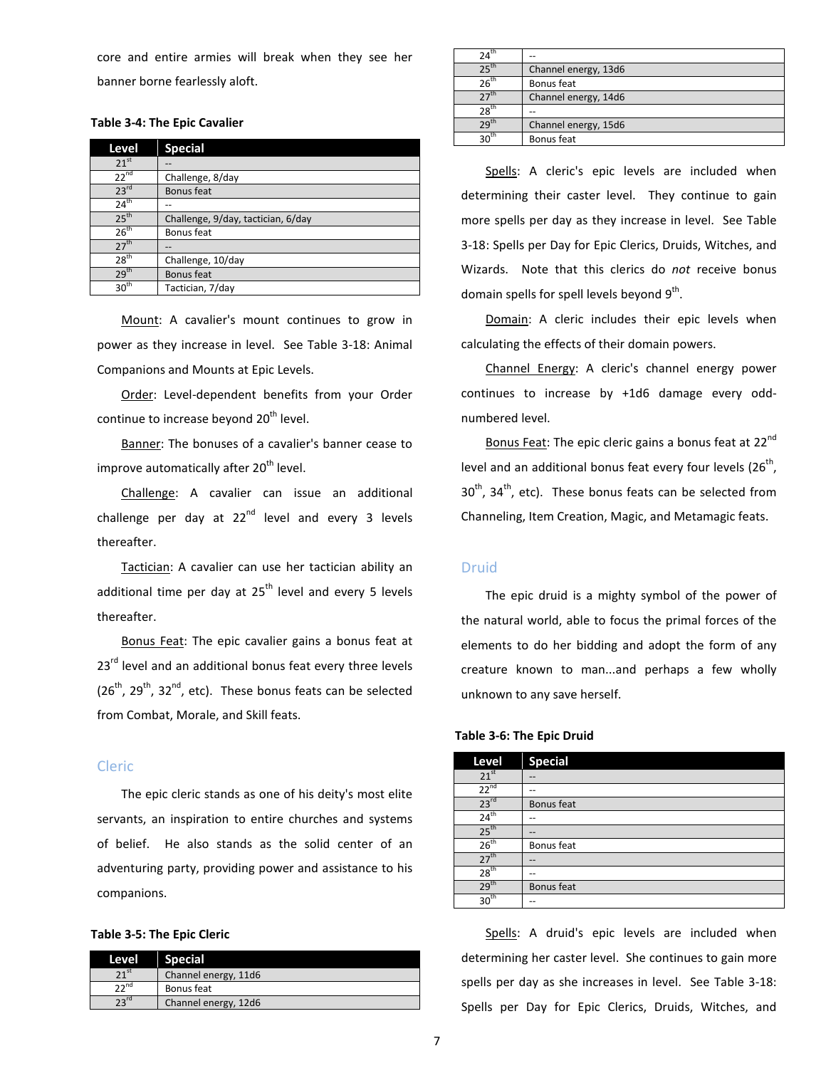core and entire armies will break when they see her banner borne fearlessly aloft.

# **Table 3-4: The Epic Cavalier**

| Level            | <b>Special</b>                     |
|------------------|------------------------------------|
| 21 <sup>st</sup> | --                                 |
| $22^{nd}$        | Challenge, 8/day                   |
| 23 <sup>rd</sup> | Bonus feat                         |
| $24^{\text{th}}$ |                                    |
| 25 <sup>th</sup> | Challenge, 9/day, tactician, 6/day |
| 26 <sup>th</sup> | Bonus feat                         |
| 27 <sup>th</sup> |                                    |
| $28^{\text{th}}$ | Challenge, 10/day                  |
| 29 <sup>th</sup> | Bonus feat                         |
| 30 <sup>th</sup> | Tactician, 7/day                   |

Mount: A cavalier's mount continues to grow in power as they increase in level. See Table 3-18: Animal Companions and Mounts at Epic Levels.

Order: Level-dependent benefits from your Order continue to increase beyond 20<sup>th</sup> level.

Banner: The bonuses of a cavalier's banner cease to improve automatically after 20<sup>th</sup> level.

Challenge: A cavalier can issue an additional challenge per day at  $22^{nd}$  level and every 3 levels thereafter.

Tactician: A cavalier can use her tactician ability an additional time per day at  $25<sup>th</sup>$  level and every 5 levels thereafter.

Bonus Feat: The epic cavalier gains a bonus feat at 23<sup>rd</sup> level and an additional bonus feat every three levels  $(26<sup>th</sup>, 29<sup>th</sup>, 32<sup>nd</sup>, etc).$  These bonus feats can be selected from Combat, Morale, and Skill feats.

# <span id="page-6-0"></span>Cleric

The epic cleric stands as one of his deity's most elite servants, an inspiration to entire churches and systems of belief. He also stands as the solid center of an adventuring party, providing power and assistance to his companions.

# **Table 3-5: The Epic Cleric**

| Channel energy, 11d6<br><sup>nd</sup><br><br>Bonus feat | Level | <b>Special</b> |
|---------------------------------------------------------|-------|----------------|
|                                                         |       |                |
|                                                         |       |                |
| Channel energy, 12d6                                    |       |                |

| 24"              | --                   |
|------------------|----------------------|
| $-25^{\rm{th}}$  | Channel energy, 13d6 |
| $26^{\text{th}}$ | Bonus feat           |
|                  | Channel energy, 14d6 |
| $28^{th}$        | --                   |
| $29^{\text{tp}}$ | Channel energy, 15d6 |
| 30 <sub>n</sub>  | Bonus feat           |

Spells: A cleric's epic levels are included when determining their caster level. They continue to gain more spells per day as they increase in level. See Table 3-18: Spells per Day for Epic Clerics, Druids, Witches, and Wizards. Note that this clerics do *not* receive bonus domain spells for spell levels beyond  $9<sup>th</sup>$ .

Domain: A cleric includes their epic levels when calculating the effects of their domain powers.

Channel Energy: A cleric's channel energy power continues to increase by +1d6 damage every oddnumbered level.

Bonus Feat: The epic cleric gains a bonus feat at 22<sup>nd</sup> level and an additional bonus feat every four levels  $(26<sup>th</sup>)$ ,  $30<sup>th</sup>$ ,  $34<sup>th</sup>$ , etc). These bonus feats can be selected from Channeling, Item Creation, Magic, and Metamagic feats.

# <span id="page-6-1"></span>Druid

The epic druid is a mighty symbol of the power of the natural world, able to focus the primal forces of the elements to do her bidding and adopt the form of any creature known to man...and perhaps a few wholly unknown to any save herself.

| Level            | <b>Special</b> |
|------------------|----------------|
| 21 <sup>st</sup> | --             |
| $22^{nd}$        | --             |
| 23 <sup>rd</sup> | Bonus feat     |
| 24 <sup>th</sup> |                |
| 25 <sup>th</sup> | --             |
| 26 <sup>th</sup> | Bonus feat     |
| 27 <sup>th</sup> | --             |
| 28 <sup>th</sup> | --             |
| 29 <sup>th</sup> | Bonus feat     |
| 30 <sup>th</sup> |                |

# **Table 3-6: The Epic Druid**

Spells: A druid's epic levels are included when determining her caster level. She continues to gain more spells per day as she increases in level. See Table 3-18: Spells per Day for Epic Clerics, Druids, Witches, and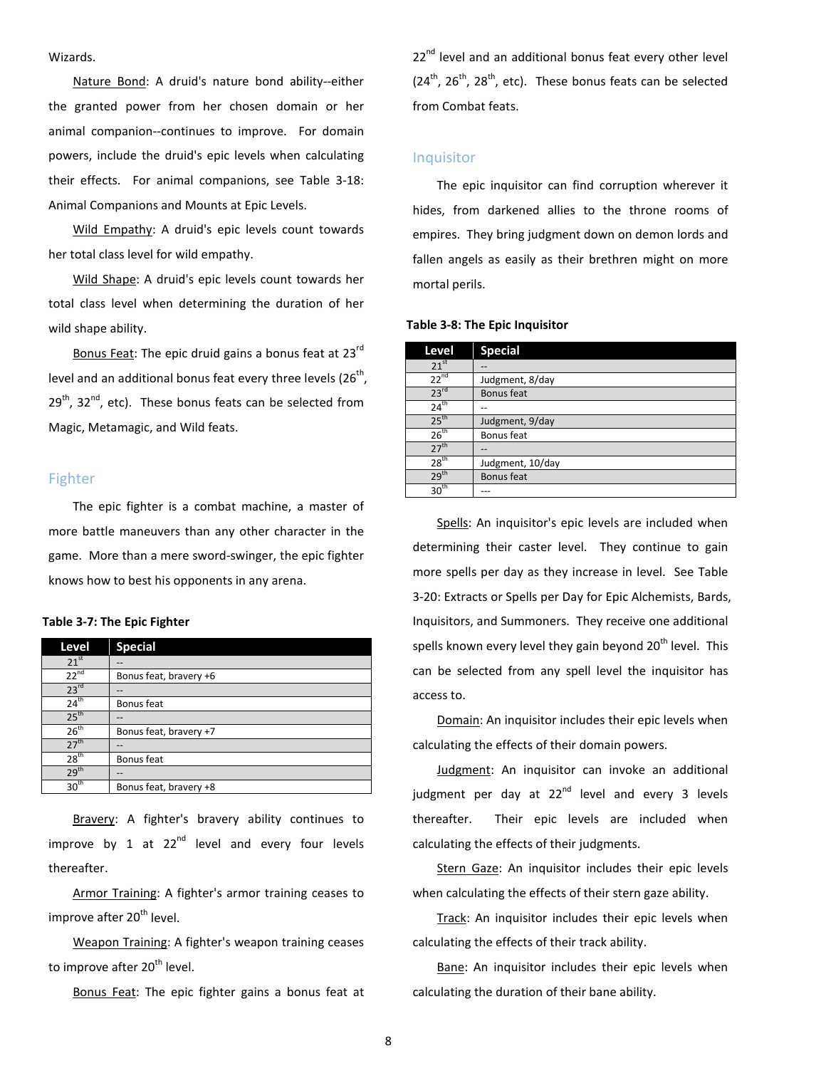# Wizards.

Nature Bond: A druid's nature bond ability--either the granted power from her chosen domain or her animal companion--continues to improve. For domain powers, include the druid's epic levels when calculating their effects. For animal companions, see Table 3-18: Animal Companions and Mounts at Epic Levels.

Wild Empathy: A druid's epic levels count towards her total class level for wild empathy.

Wild Shape: A druid's epic levels count towards her total class level when determining the duration of her wild shape ability.

Bonus Feat: The epic druid gains a bonus feat at 23rd level and an additional bonus feat every three levels ( $26<sup>th</sup>$ ,  $29<sup>th</sup>$ , 32<sup>nd</sup>, etc). These bonus feats can be selected from Magic, Metamagic, and Wild feats.

# <span id="page-7-0"></span>Fighter

The epic fighter is a combat machine, a master of more battle maneuvers than any other character in the game. More than a mere sword-swinger, the epic fighter knows how to best his opponents in any arena.

# **Table 3-7: The Epic Fighter**

| Level            | <b>Special</b>         |
|------------------|------------------------|
| 21 <sup>st</sup> |                        |
| $22^{nd}$        | Bonus feat, bravery +6 |
| 23 <sup>rd</sup> | --                     |
| $24^{\text{th}}$ | Bonus feat             |
| 25 <sup>th</sup> |                        |
| 26 <sup>th</sup> | Bonus feat, bravery +7 |
| 27 <sup>th</sup> | --                     |
| 28 <sup>th</sup> | Bonus feat             |
| 29 <sup>th</sup> | --                     |
| 30 <sup>th</sup> | Bonus feat, bravery +8 |

Bravery: A fighter's bravery ability continues to improve by 1 at  $22^{nd}$  level and every four levels thereafter.

Armor Training: A fighter's armor training ceases to improve after 20<sup>th</sup> level.

Weapon Training: A fighter's weapon training ceases to improve after 20<sup>th</sup> level.

Bonus Feat: The epic fighter gains a bonus feat at

22<sup>nd</sup> level and an additional bonus feat every other level  $(24<sup>th</sup>, 26<sup>th</sup>, 28<sup>th</sup>, etc).$  These bonus feats can be selected from Combat feats.

# <span id="page-7-1"></span>Inquisitor

The epic inquisitor can find corruption wherever it hides, from darkened allies to the throne rooms of empires. They bring judgment down on demon lords and fallen angels as easily as their brethren might on more mortal perils.

#### **Table 3-8: The Epic Inquisitor**

| Level            | <b>Special</b>   |
|------------------|------------------|
| $21^{st}$        |                  |
| $22^{nd}$        | Judgment, 8/day  |
| 23 <sup>rd</sup> | Bonus feat       |
| 24 <sup>th</sup> |                  |
| 25 <sup>th</sup> | Judgment, 9/day  |
| 26 <sup>th</sup> | Bonus feat       |
| 27 <sup>th</sup> | --               |
| 28 <sup>th</sup> | Judgment, 10/day |
| 29 <sup>th</sup> | Bonus feat       |
| 30 <sup>th</sup> |                  |

Spells: An inquisitor's epic levels are included when determining their caster level. They continue to gain more spells per day as they increase in level. See Table 3-20: Extracts or Spells per Day for Epic Alchemists, Bards, Inquisitors, and Summoners. They receive one additional spells known every level they gain beyond 20<sup>th</sup> level. This can be selected from any spell level the inquisitor has access to.

Domain: An inquisitor includes their epic levels when calculating the effects of their domain powers.

Judgment: An inquisitor can invoke an additional judgment per day at  $22^{nd}$  level and every 3 levels thereafter. Their epic levels are included when calculating the effects of their judgments.

Stern Gaze: An inquisitor includes their epic levels when calculating the effects of their stern gaze ability.

Track: An inquisitor includes their epic levels when calculating the effects of their track ability.

Bane: An inquisitor includes their epic levels when calculating the duration of their bane ability.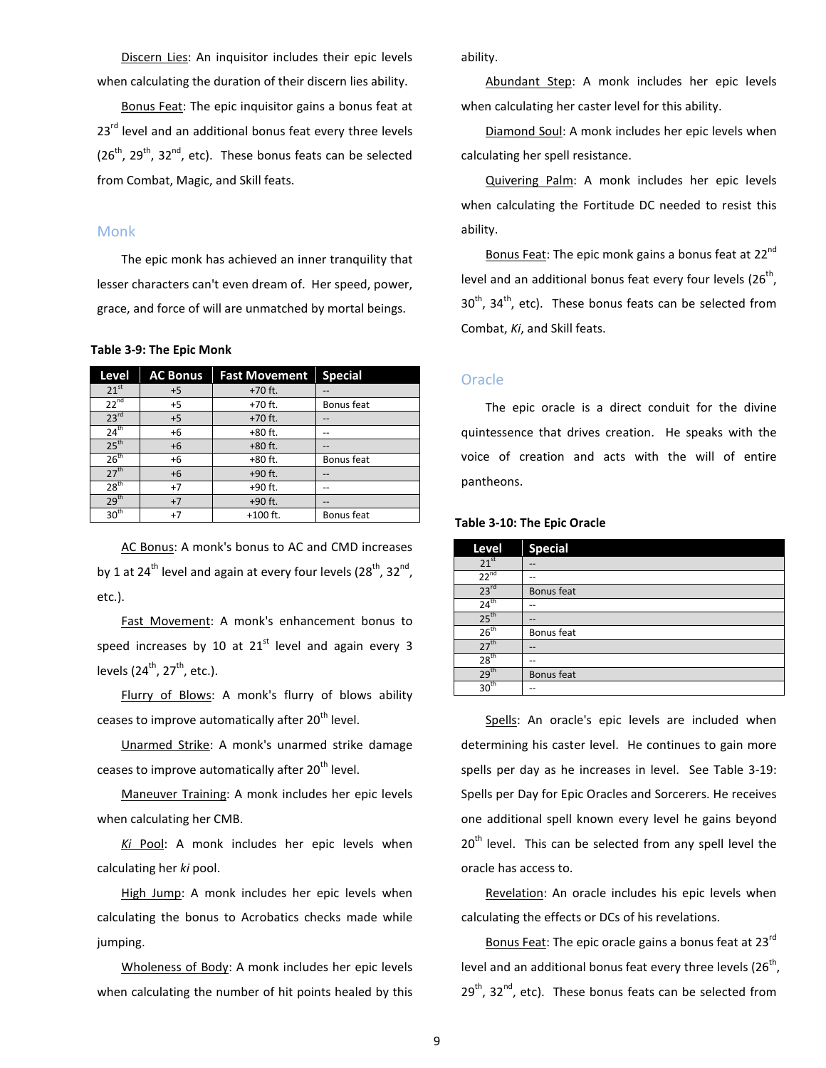Discern Lies: An inquisitor includes their epic levels when calculating the duration of their discern lies ability.

Bonus Feat: The epic inquisitor gains a bonus feat at 23<sup>rd</sup> level and an additional bonus feat every three levels  $(26<sup>th</sup>, 29<sup>th</sup>, 32<sup>nd</sup>, etc).$  These bonus feats can be selected from Combat, Magic, and Skill feats.

# <span id="page-8-0"></span>Monk

The epic monk has achieved an inner tranquility that lesser characters can't even dream of. Her speed, power, grace, and force of will are unmatched by mortal beings.

#### **Table 3-9: The Epic Monk**

| Level            | <b>AC Bonus</b> | <b>Fast Movement</b> | <b>Special</b> |
|------------------|-----------------|----------------------|----------------|
| $21^{st}$        | $+5$            | $+70$ ft.            |                |
| $22^{nd}$        | $+5$            | +70 ft.              | Bonus feat     |
| 23 <sup>rd</sup> | $+5$            | $+70$ ft.            |                |
| $24^{th}$        | $+6$            | $+80$ ft.            | --             |
| 25 <sup>th</sup> | $+6$            | $+80$ ft.            |                |
| 26 <sup>th</sup> | +6              | +80 ft.              | Bonus feat     |
| 27 <sup>th</sup> | $+6$            | +90 ft.              |                |
| 28 <sup>th</sup> | $+7$            | +90 ft.              |                |
| 29 <sup>th</sup> | $+7$            | +90 ft.              | $- -$          |
| 30 <sup>th</sup> | $+7$            | $+100$ ft.           | Bonus feat     |

AC Bonus: A monk's bonus to AC and CMD increases by 1 at 24<sup>th</sup> level and again at every four levels (28<sup>th</sup>, 32<sup>nd</sup>, etc.).

Fast Movement: A monk's enhancement bonus to speed increases by 10 at  $21<sup>st</sup>$  level and again every 3 levels  $(24^{th}, 27^{th},$  etc.).

Flurry of Blows: A monk's flurry of blows ability ceases to improve automatically after 20<sup>th</sup> level.

Unarmed Strike: A monk's unarmed strike damage ceases to improve automatically after 20<sup>th</sup> level.

Maneuver Training: A monk includes her epic levels when calculating her CMB.

*Ki* Pool: A monk includes her epic levels when calculating her *ki* pool.

High Jump: A monk includes her epic levels when calculating the bonus to Acrobatics checks made while jumping.

Wholeness of Body: A monk includes her epic levels when calculating the number of hit points healed by this ability.

Abundant Step: A monk includes her epic levels when calculating her caster level for this ability.

Diamond Soul: A monk includes her epic levels when calculating her spell resistance.

Quivering Palm: A monk includes her epic levels when calculating the Fortitude DC needed to resist this ability.

Bonus Feat: The epic monk gains a bonus feat at 22<sup>nd</sup> level and an additional bonus feat every four levels  $(26<sup>th</sup>)$ ,  $30<sup>th</sup>$ ,  $34<sup>th</sup>$ , etc). These bonus feats can be selected from Combat, *Ki*, and Skill feats.

# <span id="page-8-1"></span>**Oracle**

The epic oracle is a direct conduit for the divine quintessence that drives creation. He speaks with the voice of creation and acts with the will of entire pantheons.

| Level            | <b>Special</b> |
|------------------|----------------|
| 21 <sup>st</sup> | --             |
| $22^{nd}$        | --             |
| 23 <sup>rd</sup> | Bonus feat     |
| $24^{\text{th}}$ | --             |
| 25 <sup>th</sup> | --             |
| 26 <sup>th</sup> | Bonus feat     |
| 27 <sup>th</sup> | --             |
| 28 <sup>th</sup> | --             |
| 29 <sup>th</sup> | Bonus feat     |
| 30 <sup>th</sup> |                |

**Table 3-10: The Epic Oracle**

Spells: An oracle's epic levels are included when determining his caster level. He continues to gain more spells per day as he increases in level. See Table 3-19: Spells per Day for Epic Oracles and Sorcerers. He receives one additional spell known every level he gains beyond  $20<sup>th</sup>$  level. This can be selected from any spell level the oracle has access to.

Revelation: An oracle includes his epic levels when calculating the effects or DCs of his revelations.

Bonus Feat: The epic oracle gains a bonus feat at 23rd level and an additional bonus feat every three levels  $(26<sup>th</sup>)$ ,  $29<sup>th</sup>$ , 32<sup>nd</sup>, etc). These bonus feats can be selected from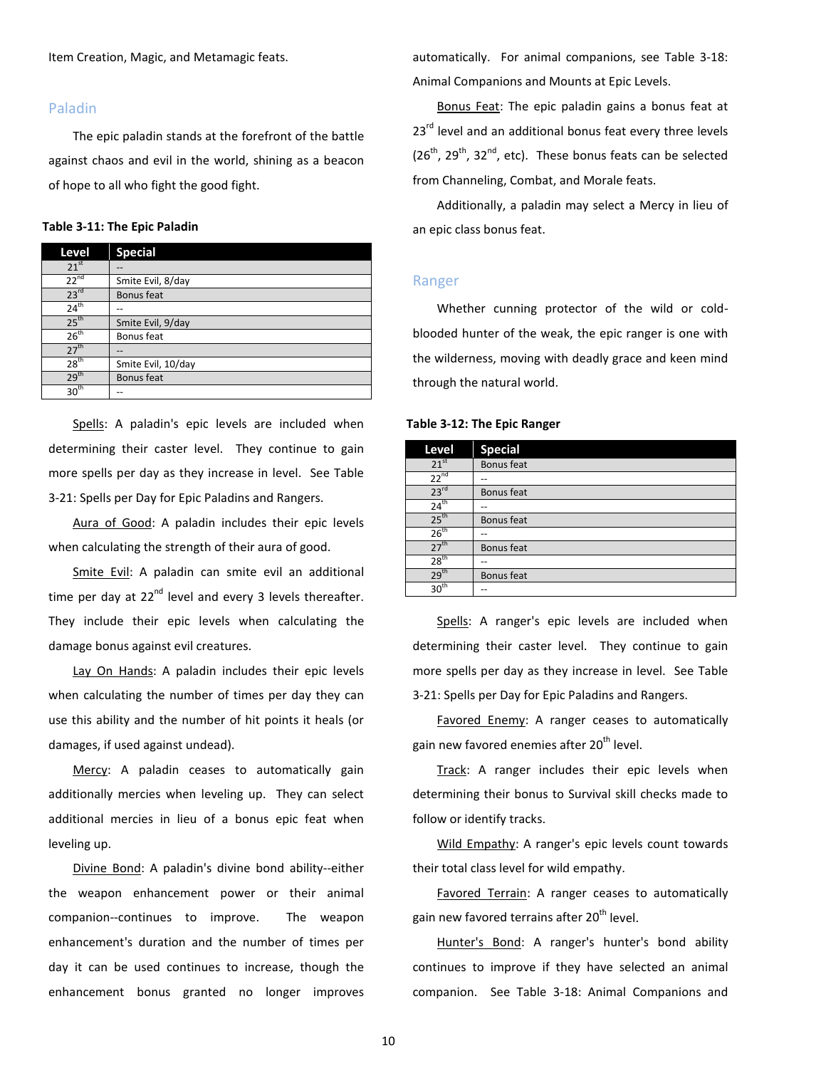Item Creation, Magic, and Metamagic feats.

# <span id="page-9-0"></span>Paladin

The epic paladin stands at the forefront of the battle against chaos and evil in the world, shining as a beacon of hope to all who fight the good fight.

# **Table 3-11: The Epic Paladin**

| Level            | <b>Special</b>     |
|------------------|--------------------|
| $21^{st}$        |                    |
| $22^{nd}$        | Smite Evil, 8/day  |
| 23 <sup>rd</sup> | Bonus feat         |
| $24^{th}$        |                    |
| 25 <sup>th</sup> | Smite Evil, 9/day  |
| 26 <sup>th</sup> | Bonus feat         |
| 27 <sup>th</sup> |                    |
| 28 <sup>th</sup> | Smite Evil, 10/day |
| 29 <sup>th</sup> | Bonus feat         |
| $30^{\text{th}}$ |                    |

Spells: A paladin's epic levels are included when determining their caster level. They continue to gain more spells per day as they increase in level. See Table 3-21: Spells per Day for Epic Paladins and Rangers.

Aura of Good: A paladin includes their epic levels when calculating the strength of their aura of good.

Smite Evil: A paladin can smite evil an additional time per day at  $22^{nd}$  level and every 3 levels thereafter. They include their epic levels when calculating the damage bonus against evil creatures.

Lay On Hands: A paladin includes their epic levels when calculating the number of times per day they can use this ability and the number of hit points it heals (or damages, if used against undead).

Mercy: A paladin ceases to automatically gain additionally mercies when leveling up. They can select additional mercies in lieu of a bonus epic feat when leveling up.

Divine Bond: A paladin's divine bond ability--either the weapon enhancement power or their animal companion--continues to improve. The weapon enhancement's duration and the number of times per day it can be used continues to increase, though the enhancement bonus granted no longer improves

automatically. For animal companions, see Table 3-18: Animal Companions and Mounts at Epic Levels.

Bonus Feat: The epic paladin gains a bonus feat at  $23<sup>rd</sup>$  level and an additional bonus feat every three levels  $(26<sup>th</sup>, 29<sup>th</sup>, 32<sup>nd</sup>, etc).$  These bonus feats can be selected from Channeling, Combat, and Morale feats.

Additionally, a paladin may select a Mercy in lieu of an epic class bonus feat.

# <span id="page-9-1"></span>Ranger

Whether cunning protector of the wild or coldblooded hunter of the weak, the epic ranger is one with the wilderness, moving with deadly grace and keen mind through the natural world.

#### **Table 3-12: The Epic Ranger**

| Level            | <b>Special</b>    |
|------------------|-------------------|
| 21 <sup>st</sup> | Bonus feat        |
| $22^{nd}$        |                   |
| 23 <sup>rd</sup> | Bonus feat        |
| 24 <sup>th</sup> | --                |
| 25 <sup>th</sup> | Bonus feat        |
| 26 <sup>th</sup> | --                |
| 27 <sup>th</sup> | <b>Bonus</b> feat |
| 28 <sup>th</sup> | --                |
| 29 <sup>th</sup> | <b>Bonus</b> feat |
| 30 <sup>th</sup> | --                |

Spells: A ranger's epic levels are included when determining their caster level. They continue to gain more spells per day as they increase in level. See Table 3-21: Spells per Day for Epic Paladins and Rangers.

Favored Enemy: A ranger ceases to automatically gain new favored enemies after 20<sup>th</sup> level.

Track: A ranger includes their epic levels when determining their bonus to Survival skill checks made to follow or identify tracks.

Wild Empathy: A ranger's epic levels count towards their total class level for wild empathy.

Favored Terrain: A ranger ceases to automatically gain new favored terrains after 20<sup>th</sup> level.

Hunter's Bond: A ranger's hunter's bond ability continues to improve if they have selected an animal companion. See Table 3-18: Animal Companions and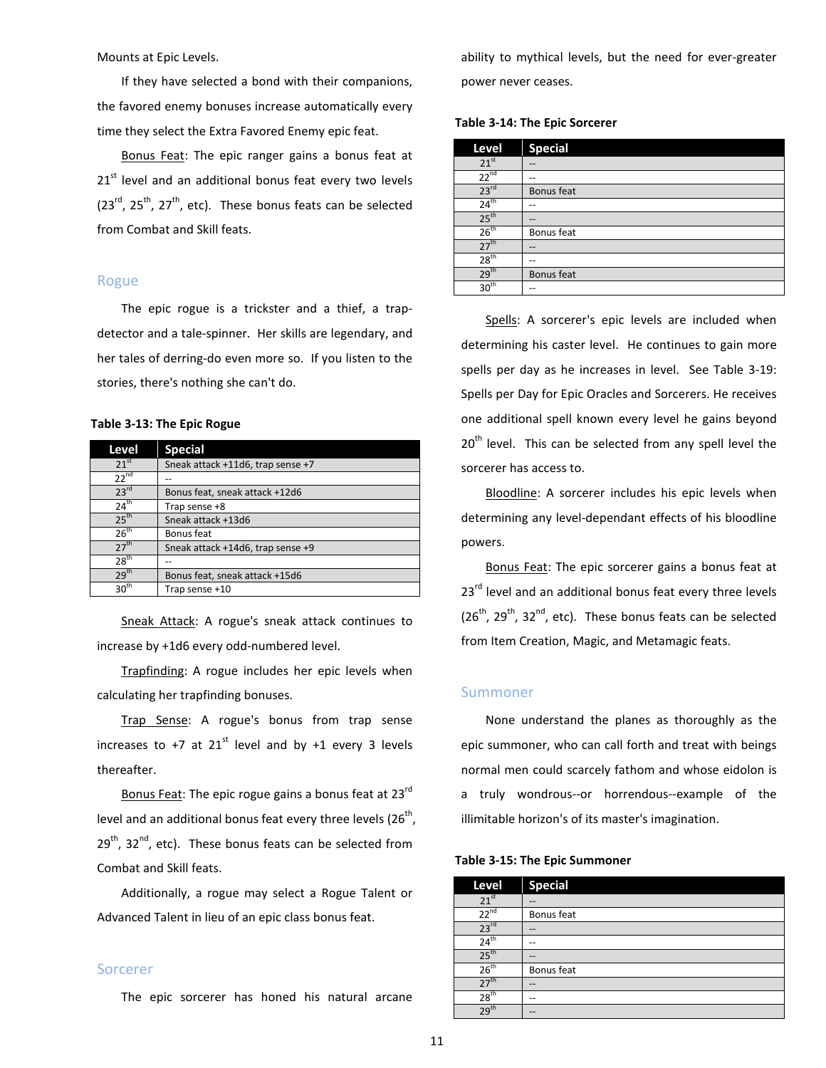Mounts at Epic Levels.

If they have selected a bond with their companions, the favored enemy bonuses increase automatically every time they select the Extra Favored Enemy epic feat.

Bonus Feat: The epic ranger gains a bonus feat at 21<sup>st</sup> level and an additional bonus feat every two levels  $(23^{rd}, 25^{th}, 27^{th},$  etc). These bonus feats can be selected from Combat and Skill feats.

# <span id="page-10-0"></span>Rogue

The epic rogue is a trickster and a thief, a trapdetector and a tale-spinner. Her skills are legendary, and her tales of derring-do even more so. If you listen to the stories, there's nothing she can't do.

# **Table 3-13: The Epic Rogue**

| Level            | <b>Special</b>                    |
|------------------|-----------------------------------|
| 21 <sup>st</sup> | Sneak attack +11d6, trap sense +7 |
| $22^{nd}$        |                                   |
| 23 <sup>rd</sup> | Bonus feat, sneak attack +12d6    |
| $24^{\text{th}}$ | Trap sense +8                     |
| 25 <sup>th</sup> | Sneak attack +13d6                |
| $26^{\text{th}}$ | Bonus feat                        |
| 27 <sup>th</sup> | Sneak attack +14d6, trap sense +9 |
| $28^{\text{th}}$ |                                   |
| 29 <sup>th</sup> | Bonus feat, sneak attack +15d6    |
| 30 <sup>th</sup> | Trap sense +10                    |

Sneak Attack: A rogue's sneak attack continues to increase by +1d6 every odd-numbered level.

Trapfinding: A rogue includes her epic levels when calculating her trapfinding bonuses.

Trap Sense: A rogue's bonus from trap sense increases to +7 at  $21^{st}$  level and by +1 every 3 levels thereafter.

Bonus Feat: The epic rogue gains a bonus feat at 23<sup>rd</sup> level and an additional bonus feat every three levels ( $26<sup>th</sup>$ ,  $29<sup>th</sup>$ ,  $32<sup>nd</sup>$ , etc). These bonus feats can be selected from Combat and Skill feats.

Additionally, a rogue may select a Rogue Talent or Advanced Talent in lieu of an epic class bonus feat.

#### <span id="page-10-1"></span>Sorcerer

The epic sorcerer has honed his natural arcane

ability to mythical levels, but the need for ever-greater power never ceases.

**Table 3-14: The Epic Sorcerer**

| Level            | <b>Special</b> |
|------------------|----------------|
| 21 <sup>st</sup> | --             |
| $22^{nd}$        | --             |
| 23 <sup>rd</sup> | Bonus feat     |
| 24 <sup>th</sup> | --             |
| 25 <sup>th</sup> | --             |
| 26 <sup>th</sup> | Bonus feat     |
| 27 <sup>th</sup> | --             |
| 28 <sup>th</sup> | --             |
| 29 <sup>th</sup> | Bonus feat     |
| 30 <sup>th</sup> | --             |

Spells: A sorcerer's epic levels are included when determining his caster level. He continues to gain more spells per day as he increases in level. See Table 3-19: Spells per Day for Epic Oracles and Sorcerers. He receives one additional spell known every level he gains beyond 20<sup>th</sup> level. This can be selected from any spell level the sorcerer has access to.

Bloodline: A sorcerer includes his epic levels when determining any level-dependant effects of his bloodline powers.

Bonus Feat: The epic sorcerer gains a bonus feat at 23<sup>rd</sup> level and an additional bonus feat every three levels  $(26<sup>th</sup>, 29<sup>th</sup>, 32<sup>nd</sup>, etc).$  These bonus feats can be selected from Item Creation, Magic, and Metamagic feats.

# <span id="page-10-2"></span>Summoner

None understand the planes as thoroughly as the epic summoner, who can call forth and treat with beings normal men could scarcely fathom and whose eidolon is a truly wondrous--or horrendous--example of the illimitable horizon's of its master's imagination.

#### **Table 3-15: The Epic Summoner**

| Level            | <b>Special</b> |
|------------------|----------------|
| 21 <sup>st</sup> | --             |
| $22^{nd}$        | Bonus feat     |
| 23 <sup>rd</sup> | $-$            |
| $24^{\text{th}}$ | --             |
| 25 <sup>th</sup> | $- -$          |
| 26 <sup>th</sup> | Bonus feat     |
| $27^{\text{th}}$ | --             |
| 28 <sup>th</sup> | --             |
| $29^{\text{th}}$ | --             |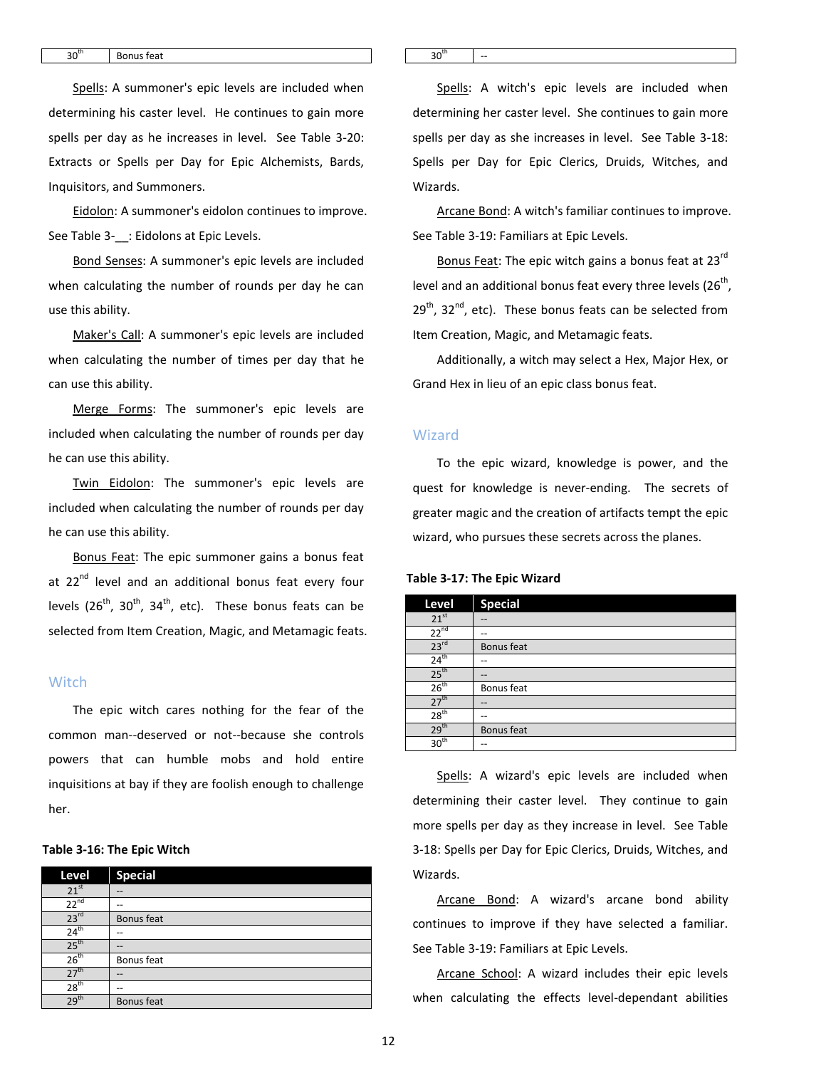Spells: A summoner's epic levels are included when determining his caster level. He continues to gain more spells per day as he increases in level. See Table 3-20: Extracts or Spells per Day for Epic Alchemists, Bards, Inquisitors, and Summoners.

Eidolon: A summoner's eidolon continues to improve. See Table 3-\_\_: Eidolons at Epic Levels.

Bond Senses: A summoner's epic levels are included when calculating the number of rounds per day he can use this ability.

Maker's Call: A summoner's epic levels are included when calculating the number of times per day that he can use this ability.

Merge Forms: The summoner's epic levels are included when calculating the number of rounds per day he can use this ability.

Twin Eidolon: The summoner's epic levels are included when calculating the number of rounds per day he can use this ability.

Bonus Feat: The epic summoner gains a bonus feat at 22<sup>nd</sup> level and an additional bonus feat every four levels ( $26<sup>th</sup>$ ,  $30<sup>th</sup>$ ,  $34<sup>th</sup>$ , etc). These bonus feats can be selected from Item Creation, Magic, and Metamagic feats.

# <span id="page-11-0"></span>**Witch**

The epic witch cares nothing for the fear of the common man--deserved or not--because she controls powers that can humble mobs and hold entire inquisitions at bay if they are foolish enough to challenge her.

#### **Table 3-16: The Epic Witch**

| Level            | <b>Special</b> |
|------------------|----------------|
| 21 <sup>st</sup> | --             |
| $22^{nd}$        | --             |
| 23 <sup>rd</sup> | Bonus feat     |
| $24^{\text{th}}$ | --             |
| 25 <sup>th</sup> | --             |
| $26^{th}$        | Bonus feat     |
| 27 <sup>th</sup> | --             |
| 28 <sup>th</sup> | --             |
| 29 <sup>th</sup> | Bonus feat     |

Spells: A witch's epic levels are included when determining her caster level. She continues to gain more spells per day as she increases in level. See Table 3-18: Spells per Day for Epic Clerics, Druids, Witches, and Wizards.

Arcane Bond: A witch's familiar continues to improve. See Table 3-19: Familiars at Epic Levels.

Bonus Feat: The epic witch gains a bonus feat at 23<sup>rd</sup> level and an additional bonus feat every three levels  $(26<sup>th</sup>)$ ,  $29<sup>th</sup>$ ,  $32<sup>nd</sup>$ , etc). These bonus feats can be selected from Item Creation, Magic, and Metamagic feats.

Additionally, a witch may select a Hex, Major Hex, or Grand Hex in lieu of an epic class bonus feat.

#### <span id="page-11-1"></span>Wizard

To the epic wizard, knowledge is power, and the quest for knowledge is never-ending. The secrets of greater magic and the creation of artifacts tempt the epic wizard, who pursues these secrets across the planes.

#### **Table 3-17: The Epic Wizard**

| Level            | <b>Special</b> |
|------------------|----------------|
| $21^{st}$        |                |
| $22^{nd}$        |                |
| 23 <sup>rd</sup> | Bonus feat     |
| 24 <sup>th</sup> | --             |
| 25 <sup>th</sup> |                |
| 26 <sup>th</sup> | Bonus feat     |
| 27 <sup>th</sup> | --             |
| 28 <sup>th</sup> |                |
| 29 <sup>th</sup> | Bonus feat     |
| 30 <sup>th</sup> |                |

Spells: A wizard's epic levels are included when determining their caster level. They continue to gain more spells per day as they increase in level. See Table 3-18: Spells per Day for Epic Clerics, Druids, Witches, and Wizards.

Arcane Bond: A wizard's arcane bond ability continues to improve if they have selected a familiar. See Table 3-19: Familiars at Epic Levels.

Arcane School: A wizard includes their epic levels when calculating the effects level-dependant abilities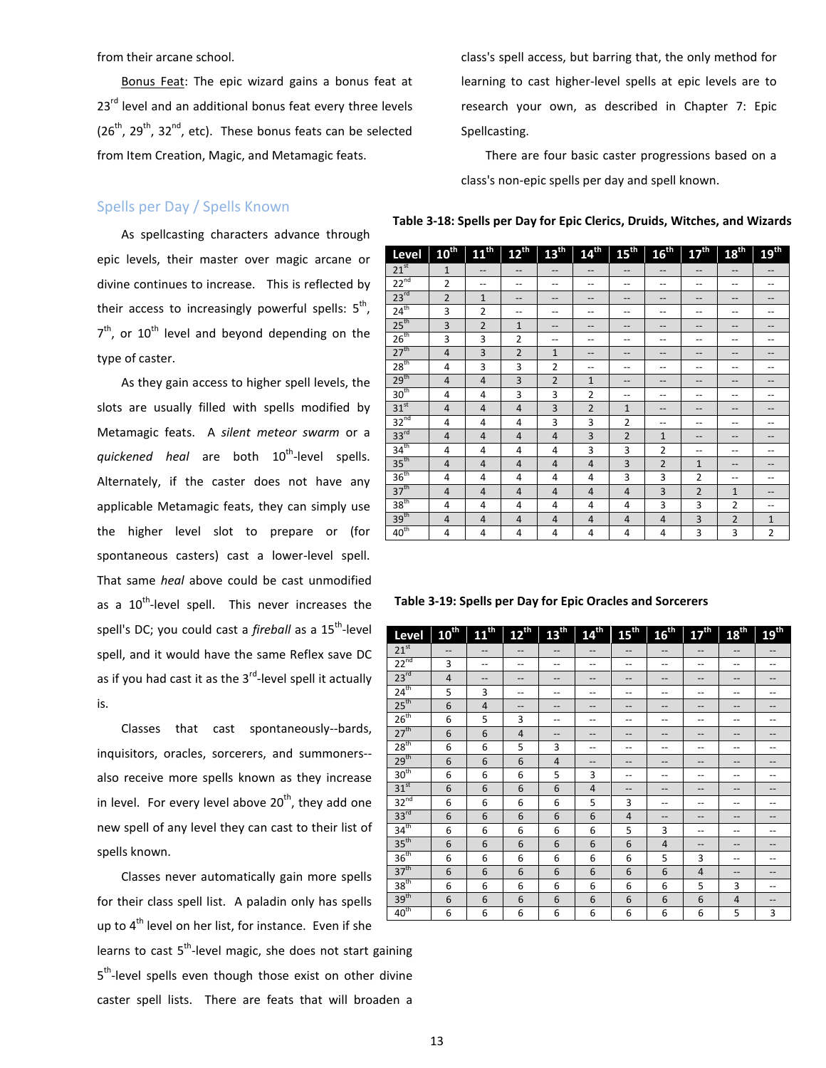from their arcane school.

Bonus Feat: The epic wizard gains a bonus feat at  $23<sup>rd</sup>$  level and an additional bonus feat every three levels  $(26<sup>th</sup>, 29<sup>th</sup>, 32<sup>nd</sup>, etc).$  These bonus feats can be selected from Item Creation, Magic, and Metamagic feats.

# <span id="page-12-0"></span>Spells per Day / Spells Known

As spellcasting characters advance through epic levels, their master over magic arcane or divine continues to increase. This is reflected by their access to increasingly powerful spells:  $5<sup>th</sup>$ ,  $7<sup>th</sup>$ , or 10<sup>th</sup> level and beyond depending on the type of caster.

As they gain access to higher spell levels, the slots are usually filled with spells modified by Metamagic feats. A *silent meteor swarm* or a *quickened heal* are both 10<sup>th</sup>-level spells. Alternately, if the caster does not have any applicable Metamagic feats, they can simply use the higher level slot to prepare or (for spontaneous casters) cast a lower-level spell. That same *heal* above could be cast unmodified as a 10<sup>th</sup>-level spell. This never increases the spell's DC; you could cast a *fireball* as a 15<sup>th</sup>-level spell, and it would have the same Reflex save DC as if you had cast it as the  $3<sup>rd</sup>$ -level spell it actually is.

Classes that cast spontaneously--bards, inquisitors, oracles, sorcerers, and summoners- also receive more spells known as they increase in level. For every level above  $20^{th}$ , they add one new spell of any level they can cast to their list of spells known.

Classes never automatically gain more spells for their class spell list. A paladin only has spells up to  $4^{th}$  level on her list, for instance. Even if she learns to cast  $5<sup>th</sup>$ -level magic, she does not start gaining 5<sup>th</sup>-level spells even though those exist on other divine caster spell lists. There are feats that will broaden a

class's spell access, but barring that, the only method for learning to cast higher-level spells at epic levels are to research your own, as described in Chapter 7: Epic Spellcasting.

There are four basic caster progressions based on a class's non-epic spells per day and spell known.

**Table 3-18: Spells per Day for Epic Clerics, Druids, Witches, and Wizards**

| Level            | 10th           | 11 <sup>th</sup> | $12^{th}$      | 13 <sup>th</sup> | 14 <sup>th</sup> | $15^{th}$      | 16 <sup>th</sup> | 17 <sup>th</sup> | 18 <sup>th</sup> | 19 <sup>th</sup>                      |
|------------------|----------------|------------------|----------------|------------------|------------------|----------------|------------------|------------------|------------------|---------------------------------------|
| $21^{st}$        | $\mathbf{1}$   | --               | --             | --               | --               | --             | --               | --               | --               | --                                    |
| $22^{nd}$        | $\overline{2}$ | --               | --             | --               | --               | --             | --               | --               | --               | --                                    |
| 23 <sup>rd</sup> | $\overline{2}$ | $\mathbf{1}$     | --             | --               | --               |                | --               | --               |                  |                                       |
| $24^{th}$        | 3              | $\overline{2}$   | --             | --               | --               |                | --               | --               |                  | --                                    |
| 25 <sup>th</sup> | 3              | $\overline{2}$   | $\mathbf{1}$   | --               | $-$              | --             | --               | --               | --               | --                                    |
| 26 <sup>th</sup> | 3              | 3                | $\overline{2}$ | --               | --               | --             | --               | --               | --               | --                                    |
| 27 <sup>th</sup> | 4              | 3                | $\overline{2}$ | 1                | $-$              |                | --               |                  |                  | --                                    |
| 28 <sup>th</sup> | 4              | 3                | 3              | 2                | --               |                | --               | --               |                  |                                       |
| 29 <sup>th</sup> | $\overline{4}$ | $\overline{4}$   | 3              | $\overline{2}$   | $\mathbf{1}$     | $- -$          | --               | --               | $-$              | --                                    |
| 30 <sup>th</sup> | 4              | 4                | 3              | 3                | $\overline{2}$   | --             | --               | --               | --               | --                                    |
| 31 <sup>st</sup> | $\overline{4}$ | $\overline{4}$   | $\overline{4}$ | 3                | $\overline{2}$   | $\mathbf{1}$   | --               | --               | --               | --                                    |
| 32 <sup>nd</sup> | 4              | 4                | 4              | 3                | 3                | $\overline{2}$ | --               | --               | --               |                                       |
| 33 <sup>rd</sup> | $\overline{4}$ | $\overline{4}$   | $\overline{4}$ | $\overline{4}$   | 3                | $\overline{2}$ | $\mathbf{1}$     | --               | --               | --                                    |
| 34 <sup>th</sup> | 4              | 4                | 4              | 4                | 3                | 3              | $\overline{2}$   | --               | --               | --                                    |
| 35 <sup>th</sup> | $\overline{4}$ | $\overline{4}$   | $\overline{4}$ | $\overline{4}$   | $\overline{4}$   | 3              | $\overline{2}$   | $\mathbf{1}$     | --               | --                                    |
| 36 <sup>th</sup> | 4              | 4                | 4              | 4                | 4                | 3              | 3                | $\overline{2}$   | --               | --                                    |
| 37 <sup>th</sup> | $\overline{4}$ | $\overline{4}$   | $\overline{4}$ | $\overline{4}$   | $\overline{4}$   | $\overline{4}$ | $\overline{3}$   | $\overline{2}$   | $\mathbf{1}$     | --                                    |
| 38 <sup>th</sup> | 4              | 4                | 4              | 4                | 4                | 4              | 3                | 3                | $\overline{2}$   | $\hspace{0.05cm}$ – $\hspace{0.05cm}$ |
| 39 <sup>th</sup> | $\overline{4}$ | $\overline{4}$   | $\overline{4}$ | $\overline{4}$   | $\overline{4}$   | $\overline{4}$ | $\overline{4}$   | 3                | $\overline{2}$   | $\mathbf{1}$                          |
| 40 <sup>th</sup> | 4              | $\overline{4}$   | 4              | 4                | 4                | 4              | 4                | 3                | 3                | $\overline{2}$                        |

#### **Table 3-19: Spells per Day for Epic Oracles and Sorcerers**

| Level            | $10^{\text{th}}$ | 11 <sup>th</sup> | $12^{\text{th}}$                      | 1B <sup>in</sup> | $14^{\text{th}}$  | 15 <sup>th</sup>                      | 16 <sup>th</sup> | 17 <sup>th</sup> | 18 <sup>th</sup> | $19^{\text{th}}$ |
|------------------|------------------|------------------|---------------------------------------|------------------|-------------------|---------------------------------------|------------------|------------------|------------------|------------------|
| $21^{st}$        | --               | --               | $-\!$ $\!-$                           | --               | $-$               | $\hspace{0.05cm}$ – $\hspace{0.05cm}$ | $-$              | $- -$            | $-\!$ $\!-$      |                  |
| $22^{nd}$        | 3                | --               | $\qquad \qquad -$                     | $-$              | --                | $-$                                   | --               | $-$              | $-$              | --               |
| 23 <sup>rd</sup> | $\overline{4}$   | --               | $\hspace{0.05cm}$ – $\hspace{0.05cm}$ | --               | --                | --                                    | $-$              | --               | --               | $-$              |
| $24^{\text{th}}$ | 5                | 3                | $\hspace{0.05cm}$ – $\hspace{0.05cm}$ | --               | --                | $\overline{\phantom{m}}$              | --               | --               | --               | --               |
| 25 <sup>th</sup> | 6                | $\overline{4}$   | --                                    | --               | --                | --                                    | --               | --               | --               |                  |
| 26 <sup>th</sup> | 6                | 5                | 3                                     | --               | --                | --                                    | --               | --               | --               |                  |
| 27 <sup>th</sup> | 6                | 6                | 4                                     | --               | --                | --                                    | $-$              | --               | --               | --               |
| 28 <sup>th</sup> | 6                | 6                | 5                                     | 3                | --                | --                                    | --               | --               | --               |                  |
| 29 <sup>th</sup> | 6                | 6                | 6                                     | 4                | $\qquad \qquad -$ | --                                    | --               | --               | --               | $-$              |
| 30 <sup>th</sup> | 6                | 6                | 6                                     | 5                | 3                 | --                                    | --               | --               | --               |                  |
| $31^{st}$        | 6                | 6                | 6                                     | 6                | 4                 | --                                    | $-$              | --               | --               | $-$              |
| $32^{nd}$        | 6                | 6                | 6                                     | 6                | 5                 | 3                                     | --               | --               | --               | --               |
| 33 <sup>rd</sup> | 6                | 6                | 6                                     | 6                | 6                 | $\overline{4}$                        | --               | --               | --               | $-$              |
| 34 <sup>th</sup> | 6                | 6                | 6                                     | 6                | 6                 | 5                                     | 3                | --               | --               |                  |
| 35 <sup>th</sup> | 6                | 6                | 6                                     | 6                | 6                 | 6                                     | $\overline{4}$   | --               | --               |                  |
| 36 <sup>th</sup> | 6                | 6                | 6                                     | 6                | 6                 | 6                                     | 5                | 3                | --               | --               |
| 37 <sup>th</sup> | 6                | 6                | 6                                     | 6                | 6                 | 6                                     | 6                | $\overline{4}$   | --               |                  |
| 38 <sup>th</sup> | 6                | 6                | 6                                     | 6                | 6                 | 6                                     | 6                | 5                | 3                | --               |
| 39 <sup>th</sup> | 6                | 6                | 6                                     | 6                | 6                 | 6                                     | 6                | 6                | $\overline{4}$   |                  |
| 40 <sup>th</sup> | 6                | 6                | 6                                     | 6                | 6                 | 6                                     | 6                | 6                | 5                | 3                |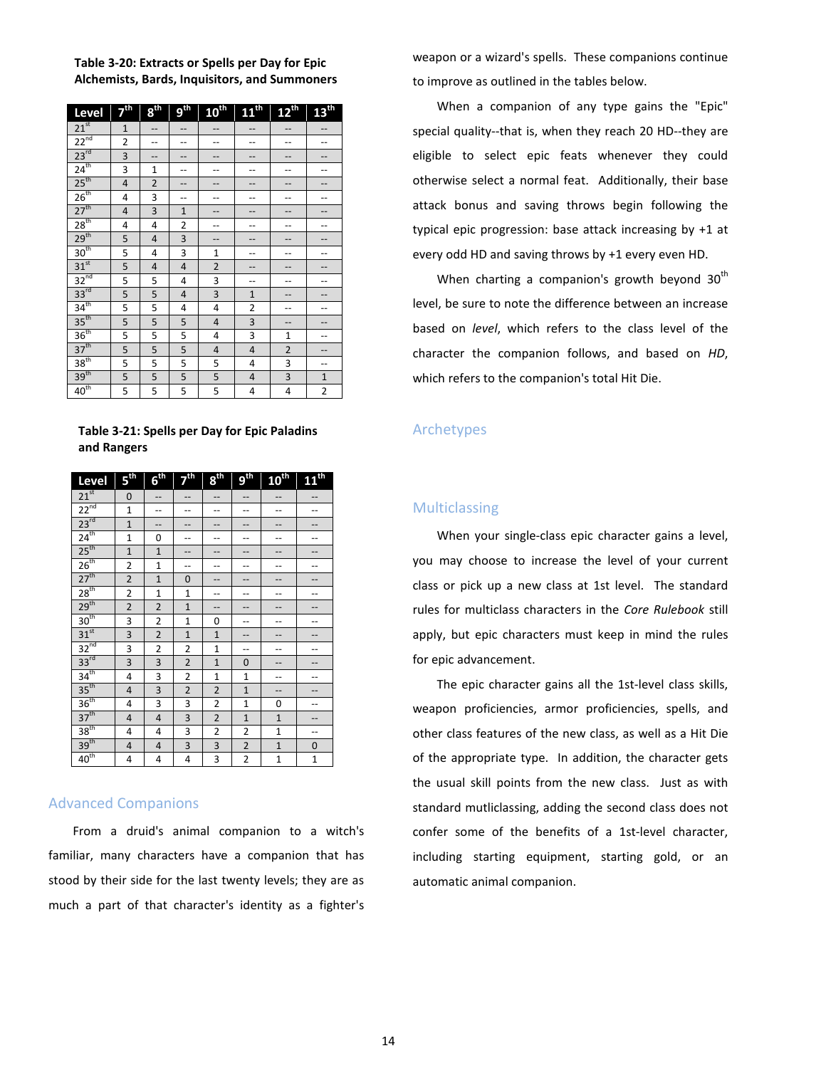# **Table 3-20: Extracts or Spells per Day for Epic Alchemists, Bards, Inquisitors, and Summoners**

| Level            | $\nabla^{\text{th}}$ | 8 <sup>ii</sup>          | o <sup>ih</sup> | $10^{\text{th}}$        | $11^{\text{th}}$        | $12^{th}$               | 13 <sup>th</sup> |
|------------------|----------------------|--------------------------|-----------------|-------------------------|-------------------------|-------------------------|------------------|
| $21^{st}$        | $\overline{1}$       | --                       | --              | --                      | --                      | --                      | --               |
| $22^{nd}$        | $\overline{c}$       | $\overline{\phantom{a}}$ | $\overline{a}$  | --                      | --                      | --                      |                  |
| $23^{rd}$        | 3                    | --                       | --              | --                      | --                      | --                      |                  |
| $24^{\text{th}}$ | 3                    | $\mathbf{1}$             | --              |                         |                         |                         |                  |
| 25 <sup>th</sup> | 4                    | $\overline{2}$           | --              | --                      | --                      | --                      |                  |
| 26 <sup>th</sup> | 4                    | 3                        | --              | --                      | --                      | --                      |                  |
| 27 <sup>th</sup> | 4                    | 3                        | $\overline{1}$  | --                      | --                      | --                      |                  |
| 28 <sup>th</sup> | 4                    | 4                        | 2               | --                      | --                      | --                      |                  |
| 29 <sup>th</sup> | 5                    | $\overline{\mathbf{4}}$  | 3               | --                      | --                      | --                      |                  |
| 30 <sup>th</sup> | 5                    | 4                        | 3               | $\mathbf{1}$            | --                      | --                      |                  |
| 31 <sup>st</sup> | 5                    | 4                        | 4               | $\overline{\mathbf{c}}$ | --                      | --                      |                  |
| $32^{nd}$        | 5                    | 5                        | 4               | 3                       | --                      | --                      |                  |
| $33^{rd}$        | 5                    | 5                        | 4               | $\overline{\mathbf{3}}$ | $\overline{1}$          | --                      |                  |
| 34 <sup>th</sup> | 5                    | 5                        | 4               | 4                       | 2                       | --                      |                  |
| 35 <sup>th</sup> | 5                    | 5                        | 5               | $\overline{\mathbf{4}}$ | 3                       | --                      |                  |
| 36 <sup>th</sup> | 5                    | 5                        | 5               | 4                       | 3                       | $\mathbf{1}$            |                  |
| 37 <sup>th</sup> | 5                    | 5                        | 5               | $\overline{\mathbf{4}}$ | $\overline{\mathbf{r}}$ | $\overline{2}$          |                  |
| 38 <sup>th</sup> | 5                    | 5                        | 5               | 5                       | 4                       | $\overline{\mathbf{3}}$ | --               |
| 39 <sup>th</sup> | 5                    | 5                        | 5               | 5                       | 4                       | 3                       | $\mathbf 1$      |
| $40^{\text{th}}$ | 5                    | 5                        | 5               | 5                       | 4                       | 4                       | $\overline{2}$   |

**Table 3-21: Spells per Day for Epic Paladins and Rangers**

| Level            | G <sup>∯</sup>          | G <sup>ij</sup> | <b>7th</b>     | $9^{\text{th}}$ | gib            | <b>10th</b>    | 11 <sup>th</sup> |
|------------------|-------------------------|-----------------|----------------|-----------------|----------------|----------------|------------------|
| $21^{st}$        | 0                       |                 |                |                 |                |                |                  |
| $22^{nd}$        | $\mathbf{1}$            |                 |                |                 |                |                |                  |
| $23^{rd}$        | $\overline{1}$          |                 |                |                 |                |                |                  |
| $24^{th}$        | $\overline{1}$          | 0               |                | --              |                |                |                  |
| 25 <sup>th</sup> | $\overline{1}$          | $\overline{1}$  |                | --              | --             | --             |                  |
| 26 <sup>th</sup> | 2                       | $\mathbf{1}$    | --             | --              |                |                |                  |
| 27 <sup>th</sup> | $\overline{2}$          | $\mathbf{1}$    | 0              |                 |                |                |                  |
| 28 <sup>th</sup> | $\overline{c}$          | $\mathbf{1}$    | $\overline{1}$ |                 |                |                |                  |
| 29 <sup>th</sup> | $\overline{2}$          | $\overline{2}$  | $\overline{1}$ | --              | --             |                |                  |
| 30 <sup>th</sup> | 3                       | $\overline{c}$  | $\overline{1}$ | 0               |                |                |                  |
| 31 <sup>st</sup> | 3                       | $\overline{2}$  | $\overline{1}$ | $\overline{1}$  |                |                |                  |
| $32^{nd}$        | 3                       | $\overline{c}$  | $\overline{2}$ | $\mathbf{1}$    | --             |                |                  |
| $33^{rd}$        | 3                       | 3               | $\overline{2}$ | $\overline{1}$  | 0              |                |                  |
| 34 <sup>th</sup> | 4                       | 3               | $\overline{2}$ | $\overline{1}$  | $\overline{1}$ | --             |                  |
| $35^{th}$        | $\overline{\mathbf{4}}$ | 3               | $\overline{2}$ | $\overline{2}$  | $\overline{1}$ |                |                  |
| 36 <sup>th</sup> | 4                       | 3               | 3              | $\overline{2}$  | $\overline{1}$ | 0              |                  |
| 37 <sup>th</sup> | 4                       | 4               | 3              | $\overline{2}$  | $\overline{1}$ | $\overline{1}$ |                  |
| 38 <sup>th</sup> | 4                       | 4               | 3              | $\overline{2}$  | $\overline{2}$ | $\overline{1}$ | --               |
| 39 <sup>th</sup> | 4                       | 4               | 3              | 3               | $\overline{2}$ | $\mathbf{1}$   | 0                |
| $40^{\text{th}}$ | 4                       | 4               | 4              | 3               | 2              | $\mathbf{1}$   | $\overline{1}$   |

# <span id="page-13-0"></span>Advanced Companions

From a druid's animal companion to a witch's familiar, many characters have a companion that has stood by their side for the last twenty levels; they are as much a part of that character's identity as a fighter's

weapon or a wizard's spells. These companions continue to improve as outlined in the tables below.

When a companion of any type gains the "Epic" special quality--that is, when they reach 20 HD--they are eligible to select epic feats whenever they could otherwise select a normal feat. Additionally, their base attack bonus and saving throws begin following the typical epic progression: base attack increasing by +1 at every odd HD and saving throws by +1 every even HD.

When charting a companion's growth beyond  $30<sup>th</sup>$ level, be sure to note the difference between an increase based on *level*, which refers to the class level of the character the companion follows, and based on *HD*, which refers to the companion's total Hit Die.

# <span id="page-13-1"></span>Archetypes

# <span id="page-13-2"></span>Multiclassing

When your single-class epic character gains a level, you may choose to increase the level of your current class or pick up a new class at 1st level. The standard rules for multiclass characters in the *Core Rulebook* still apply, but epic characters must keep in mind the rules for epic advancement.

The epic character gains all the 1st-level class skills, weapon proficiencies, armor proficiencies, spells, and other class features of the new class, as well as a Hit Die of the appropriate type. In addition, the character gets the usual skill points from the new class. Just as with standard mutliclassing, adding the second class does not confer some of the benefits of a 1st-level character, including starting equipment, starting gold, or an automatic animal companion.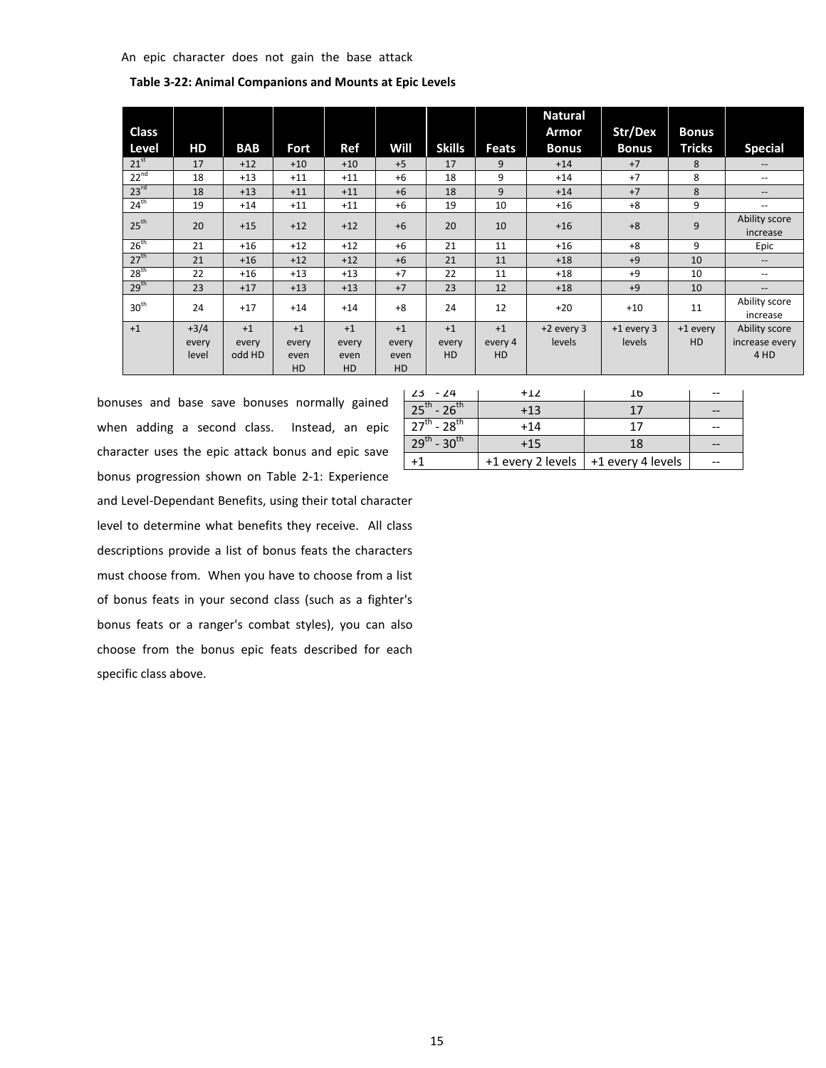| <b>Class</b>     |        |            |       |       |       |               |              | <b>Natural</b><br>Armor | Str/Dex      | <b>Bonus</b>  |                                       |
|------------------|--------|------------|-------|-------|-------|---------------|--------------|-------------------------|--------------|---------------|---------------------------------------|
| Level            | HD     | <b>BAB</b> | Fort  | Ref   | Will  | <b>Skills</b> | <b>Feats</b> | <b>Bonus</b>            | <b>Bonus</b> | <b>Tricks</b> | <b>Special</b>                        |
| $21^{st}$        | 17     | $+12$      | $+10$ | $+10$ | $+5$  | 17            | 9            | $+14$                   | $+7$         | 8             | $\hspace{0.05cm} \ldots$              |
| $22^{nd}$        | 18     | $+13$      | $+11$ | $+11$ | $+6$  | 18            | 9            | $+14$                   | $+7$         | 8             | $\hspace{0.05cm}$ – $\hspace{0.05cm}$ |
| 23 <sup>rd</sup> | 18     | $+13$      | $+11$ | $+11$ | $+6$  | 18            | 9            | $+14$                   | $+7$         | 8             | $\hspace{0.05cm}$ – $\hspace{0.05cm}$ |
| 24 <sup>th</sup> | 19     | $+14$      | $+11$ | $+11$ | $+6$  | 19            | 10           | $+16$                   | $+8$         | 9             | $\overline{\phantom{m}}$              |
| $25^{\text{th}}$ | 20     | $+15$      | $+12$ | $+12$ | $+6$  | 20            | 10           | $+16$                   | $+8$         | 9             | Ability score<br>increase             |
| 26 <sup>th</sup> | 21     | $+16$      | $+12$ | $+12$ | $+6$  | 21            | 11           | $+16$                   | $+8$         | 9             | Epic                                  |
| 27 <sup>th</sup> | 21     | $+16$      | $+12$ | $+12$ | $+6$  | 21            | 11           | $+18$                   | $+9$         | 10            | $\hspace{0.05cm} \ldots$              |
| 28 <sup>th</sup> | 22     | $+16$      | $+13$ | $+13$ | $+7$  | 22            | 11           | $+18$                   | $+9$         | 10            | $\overline{\phantom{m}}$              |
| 29 <sup>th</sup> | 23     | $+17$      | $+13$ | $+13$ | $+7$  | 23            | 12           | $+18$                   | $+9$         | 10            | $\hspace{0.05cm} \ldots$              |
| 30 <sup>th</sup> | 24     | $+17$      | $+14$ | $+14$ | $+8$  | 24            | 12           | $+20$                   | $+10$        | 11            | Ability score<br>increase             |
| $+1$             | $+3/4$ | $+1$       | $+1$  | $+1$  | $+1$  | $+1$          | $+1$         | $+2$ every 3            | $+1$ every 3 | +1 every      | Ability score                         |
|                  | every  | every      | every | every | every | every         | every 4      | levels                  | levels       | <b>HD</b>     | increase every                        |
|                  | level  | odd HD     | even  | even  | even  | HD            | HD           |                         |              |               | 4 HD                                  |
|                  |        |            | HD    | HD    | HD    |               |              |                         |              |               |                                       |

**Table 3-22: Animal Companions and Mounts at Epic Levels**

bonuses and base save bonuses normally gained when adding a second class. Instead, an epic character uses the epic attack bonus and epic save bonus progression shown on Table 2-1: Experience and Level-Dependant Benefits, using their total character level to determine what benefits they receive. All class descriptions provide a list of bonus feats the characters must choose from. When you have to choose from a list of bonus feats in your second class (such as a fighter's bonus feats or a ranger's combat styles), you can also choose from the bonus epic feats described for each specific class above.

| $123 - 24$            | $+12$ | 1b                                      |  |
|-----------------------|-------|-----------------------------------------|--|
| $25^{th}$ - $26^{th}$ | $+13$ | 17                                      |  |
| $27^{th}$ - $28^{th}$ | $+14$ | 17                                      |  |
| $29^{th}$ - $30^{th}$ | $+15$ | 18                                      |  |
|                       |       | +1 every 2 levels $ $ +1 every 4 levels |  |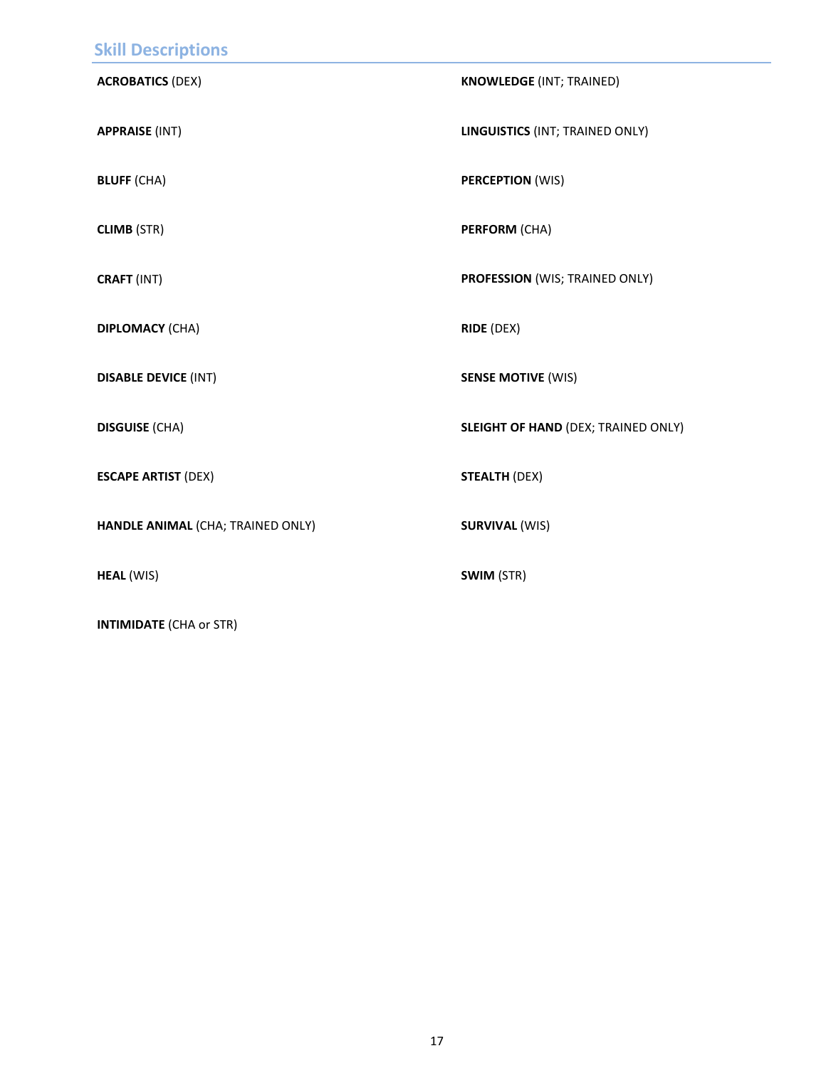<span id="page-16-0"></span>

| <b>Skill Descriptions</b>         |                                            |
|-----------------------------------|--------------------------------------------|
| <b>ACROBATICS (DEX)</b>           | <b>KNOWLEDGE (INT; TRAINED)</b>            |
| <b>APPRAISE (INT)</b>             | LINGUISTICS (INT; TRAINED ONLY)            |
| <b>BLUFF (CHA)</b>                | <b>PERCEPTION (WIS)</b>                    |
| <b>CLIMB (STR)</b>                | <b>PERFORM (CHA)</b>                       |
| CRAFT (INT)                       | PROFESSION (WIS; TRAINED ONLY)             |
| <b>DIPLOMACY (CHA)</b>            | <b>RIDE (DEX)</b>                          |
| <b>DISABLE DEVICE (INT)</b>       | <b>SENSE MOTIVE (WIS)</b>                  |
| <b>DISGUISE (CHA)</b>             | <b>SLEIGHT OF HAND (DEX; TRAINED ONLY)</b> |
| <b>ESCAPE ARTIST (DEX)</b>        | <b>STEALTH (DEX)</b>                       |
| HANDLE ANIMAL (CHA; TRAINED ONLY) | <b>SURVIVAL (WIS)</b>                      |
| <b>HEAL (WIS)</b>                 | SWIM (STR)                                 |

**INTIMIDATE** (CHA or STR)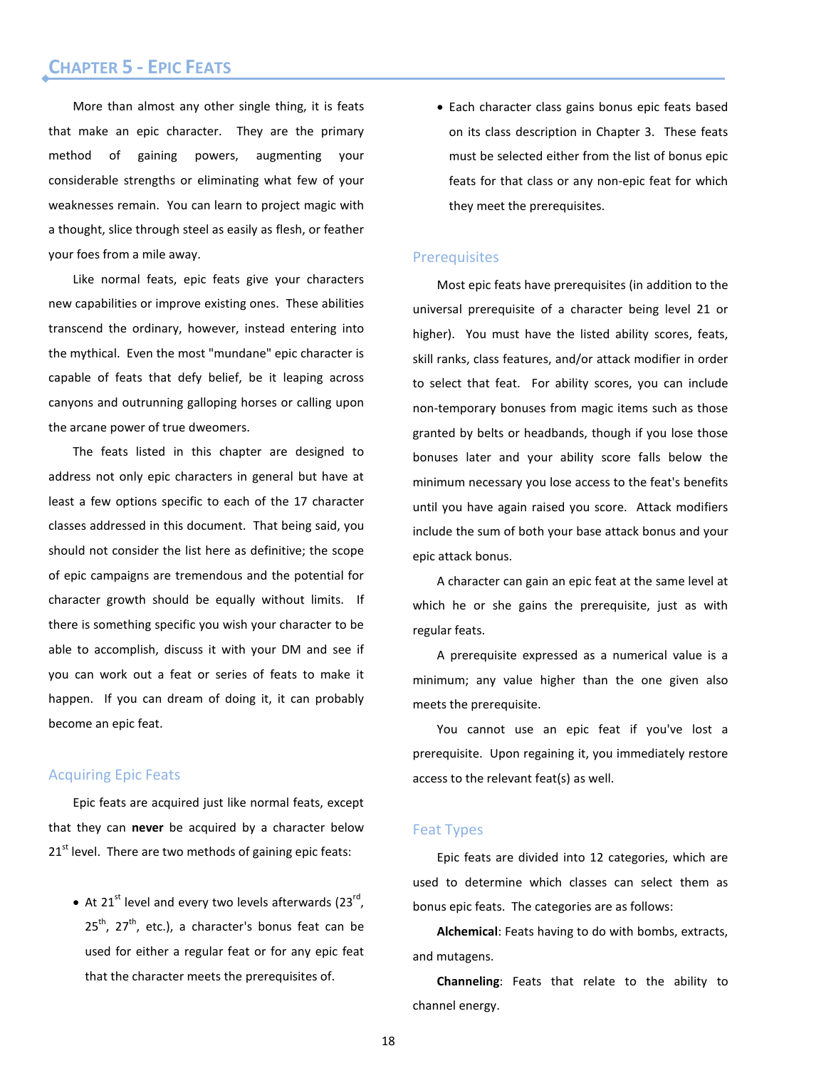# <span id="page-17-0"></span>Chapter 5 - Epic Feats **CHAPTER 5 - EPIC FEATS**

More than almost any other single thing, it is feats that make an epic character. They are the primary method of gaining powers, augmenting your considerable strengths or eliminating what few of your weaknesses remain. You can learn to project magic with a thought, slice through steel as easily as flesh, or feather your foes from a mile away.

Like normal feats, epic feats give your characters new capabilities or improve existing ones. These abilities transcend the ordinary, however, instead entering into the mythical. Even the most "mundane" epic character is capable of feats that defy belief, be it leaping across canyons and outrunning galloping horses or calling upon the arcane power of true dweomers.

The feats listed in this chapter are designed to address not only epic characters in general but have at least a few options specific to each of the 17 character classes addressed in this document. That being said, you should not consider the list here as definitive; the scope of epic campaigns are tremendous and the potential for character growth should be equally without limits. If there is something specific you wish your character to be able to accomplish, discuss it with your DM and see if you can work out a feat or series of feats to make it happen. If you can dream of doing it, it can probably become an epic feat.

# Acquiring Epic Feats

Epic feats are acquired just like normal feats, except that they can **never** be acquired by a character below 21<sup>st</sup> level. There are two methods of gaining epic feats:

• At 21<sup>st</sup> level and every two levels afterwards  $(23^{rd})$ .  $25<sup>th</sup>$ , 27<sup>th</sup>, etc.), a character's bonus feat can be used for either a regular feat or for any epic feat that the character meets the prerequisites of.

• Each character class gains bonus epic feats based on its class description in Chapter 3. These feats must be selected either from the list of bonus epic feats for that class or any non-epic feat for which they meet the prerequisites.

# **Prerequisites**

Most epic feats have prerequisites (in addition to the universal prerequisite of a character being level 21 or higher). You must have the listed ability scores, feats, skill ranks, class features, and/or attack modifier in order to select that feat. For ability scores, you can include non-temporary bonuses from magic items such as those granted by belts or headbands, though if you lose those bonuses later and your ability score falls below the minimum necessary you lose access to the feat's benefits until you have again raised you score. Attack modifiers include the sum of both your base attack bonus and your epic attack bonus.

A character can gain an epic feat at the same level at which he or she gains the prerequisite, just as with regular feats.

A prerequisite expressed as a numerical value is a minimum; any value higher than the one given also meets the prerequisite.

You cannot use an epic feat if you've lost a prerequisite. Upon regaining it, you immediately restore access to the relevant feat(s) as well.

# Feat Types

Epic feats are divided into 12 categories, which are used to determine which classes can select them as bonus epic feats. The categories are as follows:

**Alchemical**: Feats having to do with bombs, extracts, and mutagens.

**Channeling**: Feats that relate to the ability to channel energy.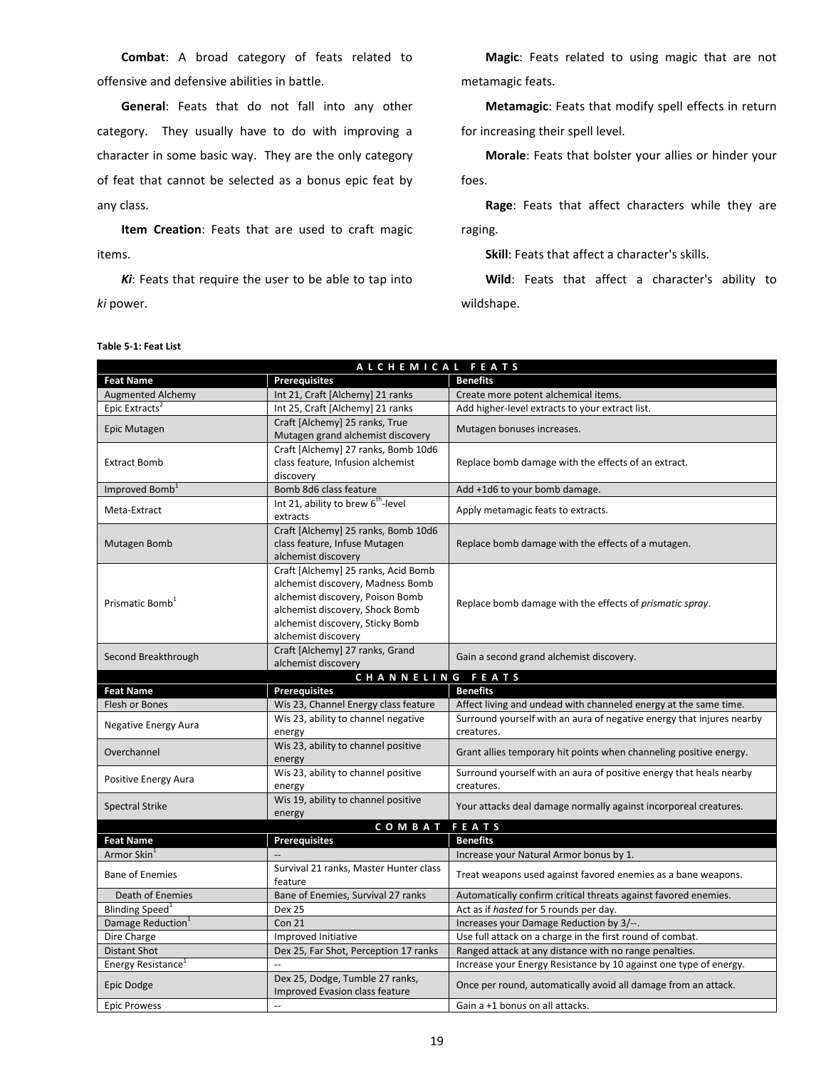**Combat**: A broad category of feats related to offensive and defensive abilities in battle.

**General**: Feats that do not fall into any other category. They usually have to do with improving a character in some basic way. They are the only category of feat that cannot be selected as a bonus epic feat by any class.

**Item Creation**: Feats that are used to craft magic items.

*Ki*: Feats that require the user to be able to tap into *ki* power.

**Magic**: Feats related to using magic that are not metamagic feats.

**Metamagic**: Feats that modify spell effects in return for increasing their spell level.

**Morale**: Feats that bolster your allies or hinder your foes.

**Rage**: Feats that affect characters while they are raging.

**Skill**: Feats that affect a character's skills.

**Wild**: Feats that affect a character's ability to wildshape.

|                                                 | ALCHEMICAL FEATS                                                  |                                                                                                                     |  |  |
|-------------------------------------------------|-------------------------------------------------------------------|---------------------------------------------------------------------------------------------------------------------|--|--|
| <b>Feat Name</b>                                | <b>Prerequisites</b>                                              | <b>Benefits</b>                                                                                                     |  |  |
| <b>Augmented Alchemy</b>                        | Int 21, Craft [Alchemy] 21 ranks                                  | Create more potent alchemical items.                                                                                |  |  |
| Epic Extracts <sup>2</sup>                      | Int 25, Craft [Alchemy] 21 ranks                                  | Add higher-level extracts to your extract list.                                                                     |  |  |
|                                                 | Craft [Alchemy] 25 ranks, True                                    |                                                                                                                     |  |  |
| Epic Mutagen                                    | Mutagen grand alchemist discovery                                 | Mutagen bonuses increases.                                                                                          |  |  |
|                                                 | Craft [Alchemy] 27 ranks, Bomb 10d6                               |                                                                                                                     |  |  |
| <b>Extract Bomb</b>                             | class feature, Infusion alchemist                                 | Replace bomb damage with the effects of an extract.                                                                 |  |  |
|                                                 | discovery                                                         |                                                                                                                     |  |  |
| Improved Bomb <sup>1</sup>                      | Bomb 8d6 class feature                                            | Add +1d6 to your bomb damage.                                                                                       |  |  |
| Meta-Extract                                    | Int 21, ability to brew 6 <sup>th</sup> -level                    | Apply metamagic feats to extracts.                                                                                  |  |  |
|                                                 | extracts                                                          |                                                                                                                     |  |  |
|                                                 | Craft [Alchemy] 25 ranks, Bomb 10d6                               |                                                                                                                     |  |  |
| Mutagen Bomb                                    | class feature, Infuse Mutagen                                     | Replace bomb damage with the effects of a mutagen.                                                                  |  |  |
|                                                 | alchemist discovery                                               |                                                                                                                     |  |  |
|                                                 | Craft [Alchemy] 25 ranks, Acid Bomb                               |                                                                                                                     |  |  |
|                                                 | alchemist discovery, Madness Bomb                                 |                                                                                                                     |  |  |
| Prismatic Bomb <sup>1</sup>                     | alchemist discovery, Poison Bomb                                  | Replace bomb damage with the effects of prismatic spray.                                                            |  |  |
|                                                 | alchemist discovery, Shock Bomb                                   |                                                                                                                     |  |  |
|                                                 | alchemist discovery, Sticky Bomb                                  |                                                                                                                     |  |  |
|                                                 | alchemist discovery                                               |                                                                                                                     |  |  |
| Second Breakthrough                             | Craft [Alchemy] 27 ranks, Grand                                   | Gain a second grand alchemist discovery.                                                                            |  |  |
|                                                 | alchemist discovery                                               |                                                                                                                     |  |  |
| <b>Feat Name</b>                                | CHANNELING FEATS<br><b>Prerequisites</b>                          | <b>Benefits</b>                                                                                                     |  |  |
| Flesh or Bones                                  | Wis 23, Channel Energy class feature                              | Affect living and undead with channeled energy at the same time.                                                    |  |  |
|                                                 | Wis 23, ability to channel negative                               | Surround yourself with an aura of negative energy that injures nearby                                               |  |  |
| <b>Negative Energy Aura</b>                     | energy                                                            | creatures.                                                                                                          |  |  |
|                                                 | Wis 23, ability to channel positive                               |                                                                                                                     |  |  |
| Overchannel                                     | energy                                                            | Grant allies temporary hit points when channeling positive energy.                                                  |  |  |
|                                                 | Wis 23, ability to channel positive                               | Surround yourself with an aura of positive energy that heals nearby                                                 |  |  |
| Positive Energy Aura                            | energy                                                            | creatures.                                                                                                          |  |  |
|                                                 | Wis 19, ability to channel positive                               |                                                                                                                     |  |  |
| <b>Spectral Strike</b>                          | energy                                                            | Your attacks deal damage normally against incorporeal creatures.                                                    |  |  |
|                                                 | <b>COMBAT</b>                                                     |                                                                                                                     |  |  |
|                                                 |                                                                   |                                                                                                                     |  |  |
| <b>Feat Name</b>                                |                                                                   | FEATS                                                                                                               |  |  |
| Armor Skin <sup>1</sup>                         | <b>Prerequisites</b>                                              | <b>Benefits</b>                                                                                                     |  |  |
|                                                 |                                                                   | Increase your Natural Armor bonus by 1.                                                                             |  |  |
| <b>Bane of Enemies</b>                          | Survival 21 ranks, Master Hunter class<br>feature                 | Treat weapons used against favored enemies as a bane weapons.                                                       |  |  |
|                                                 |                                                                   |                                                                                                                     |  |  |
| Death of Enemies<br>Blinding Speed <sup>1</sup> | Bane of Enemies, Survival 27 ranks<br><b>Dex 25</b>               | Automatically confirm critical threats against favored enemies.                                                     |  |  |
|                                                 | <b>Con 21</b>                                                     | Act as if hasted for 5 rounds per day.<br>Increases your Damage Reduction by 3/--.                                  |  |  |
| Damage Reduction <sup>1</sup><br>Dire Charge    | Improved Initiative                                               |                                                                                                                     |  |  |
| <b>Distant Shot</b>                             | Dex 25, Far Shot, Perception 17 ranks                             | Use full attack on a charge in the first round of combat.<br>Ranged attack at any distance with no range penalties. |  |  |
| Energy Resistance <sup>1</sup>                  |                                                                   | Increase your Energy Resistance by 10 against one type of energy.                                                   |  |  |
| Epic Dodge                                      | Dex 25, Dodge, Tumble 27 ranks,<br>Improved Evasion class feature | Once per round, automatically avoid all damage from an attack.                                                      |  |  |

#### **Table 5-1: Feat List**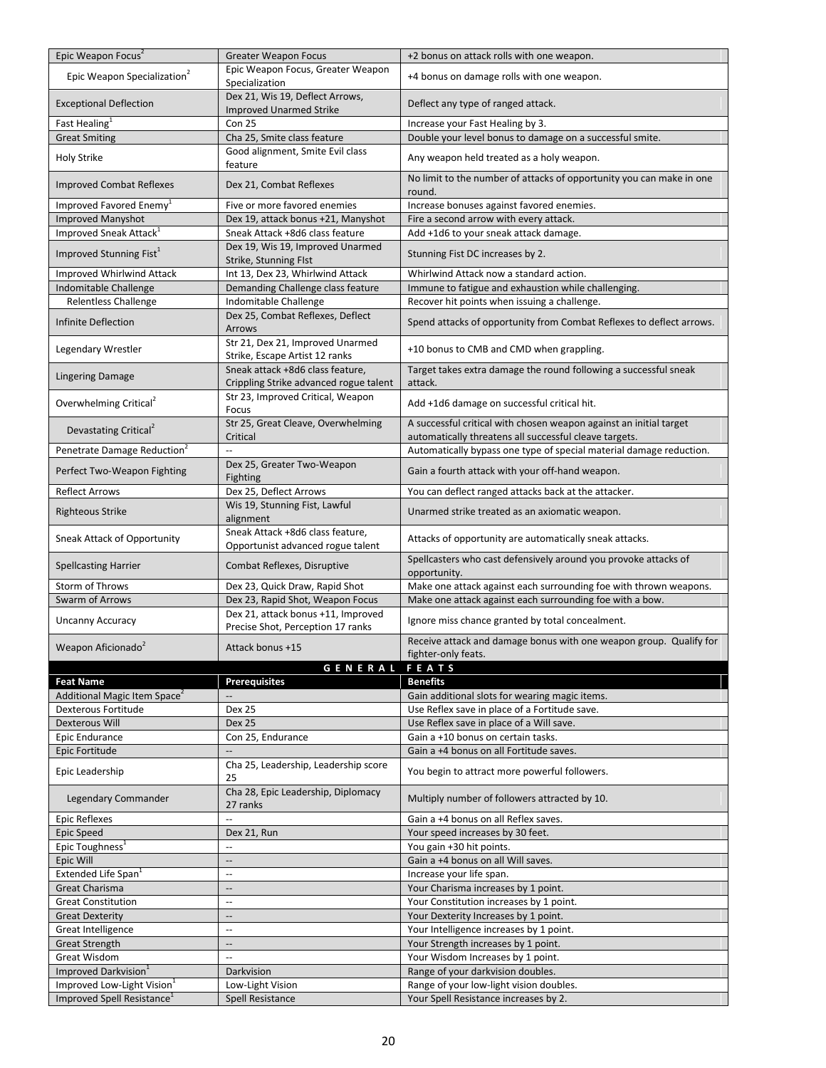| Epic Weapon Focus <sup>2</sup>               | <b>Greater Weapon Focus</b>                                                | +2 bonus on attack rolls with one weapon.                                                                                    |
|----------------------------------------------|----------------------------------------------------------------------------|------------------------------------------------------------------------------------------------------------------------------|
| Epic Weapon Specialization <sup>2</sup>      | Epic Weapon Focus, Greater Weapon<br>Specialization                        | +4 bonus on damage rolls with one weapon.                                                                                    |
| <b>Exceptional Deflection</b>                | Dex 21, Wis 19, Deflect Arrows,<br><b>Improved Unarmed Strike</b>          | Deflect any type of ranged attack.                                                                                           |
| Fast Healing <sup>1</sup>                    | Con 25                                                                     | Increase your Fast Healing by 3.                                                                                             |
| <b>Great Smiting</b>                         | Cha 25, Smite class feature                                                | Double your level bonus to damage on a successful smite.                                                                     |
| <b>Holy Strike</b>                           | Good alignment, Smite Evil class<br>feature                                | Any weapon held treated as a holy weapon.                                                                                    |
| <b>Improved Combat Reflexes</b>              | Dex 21, Combat Reflexes                                                    | No limit to the number of attacks of opportunity you can make in one<br>round.                                               |
| Improved Favored Enemy <sup>1</sup>          | Five or more favored enemies                                               | Increase bonuses against favored enemies.                                                                                    |
| <b>Improved Manyshot</b>                     | Dex 19, attack bonus +21, Manyshot                                         | Fire a second arrow with every attack.                                                                                       |
| Improved Sneak Attack <sup>1</sup>           | Sneak Attack +8d6 class feature                                            | Add +1d6 to your sneak attack damage.                                                                                        |
| Improved Stunning Fist <sup>1</sup>          | Dex 19, Wis 19, Improved Unarmed<br>Strike, Stunning Flst                  | Stunning Fist DC increases by 2.                                                                                             |
| Improved Whirlwind Attack                    | Int 13, Dex 23, Whirlwind Attack                                           | Whirlwind Attack now a standard action.                                                                                      |
| Indomitable Challenge                        | Demanding Challenge class feature                                          | Immune to fatigue and exhaustion while challenging.                                                                          |
| <b>Relentless Challenge</b>                  | Indomitable Challenge                                                      | Recover hit points when issuing a challenge.                                                                                 |
| Infinite Deflection                          | Dex 25, Combat Reflexes, Deflect<br><b>Arrows</b>                          | Spend attacks of opportunity from Combat Reflexes to deflect arrows.                                                         |
| Legendary Wrestler                           | Str 21, Dex 21, Improved Unarmed<br>Strike, Escape Artist 12 ranks         | +10 bonus to CMB and CMD when grappling.                                                                                     |
| <b>Lingering Damage</b>                      | Sneak attack +8d6 class feature,<br>Crippling Strike advanced rogue talent | Target takes extra damage the round following a successful sneak<br>attack.                                                  |
| Overwhelming Critical <sup>2</sup>           | Str 23, Improved Critical, Weapon<br>Focus                                 | Add +1d6 damage on successful critical hit.                                                                                  |
| Devastating Critical <sup>2</sup>            | Str 25, Great Cleave, Overwhelming<br>Critical                             | A successful critical with chosen weapon against an initial target<br>automatically threatens all successful cleave targets. |
| Penetrate Damage Reduction <sup>2</sup>      |                                                                            | Automatically bypass one type of special material damage reduction.                                                          |
| Perfect Two-Weapon Fighting                  | Dex 25, Greater Two-Weapon<br><b>Fighting</b>                              | Gain a fourth attack with your off-hand weapon.                                                                              |
| <b>Reflect Arrows</b>                        | Dex 25, Deflect Arrows                                                     | You can deflect ranged attacks back at the attacker.                                                                         |
| <b>Righteous Strike</b>                      | Wis 19, Stunning Fist, Lawful<br>alignment                                 | Unarmed strike treated as an axiomatic weapon.                                                                               |
| Sneak Attack of Opportunity                  | Sneak Attack +8d6 class feature,<br>Opportunist advanced rogue talent      | Attacks of opportunity are automatically sneak attacks.                                                                      |
| <b>Spellcasting Harrier</b>                  | Combat Reflexes, Disruptive                                                | Spellcasters who cast defensively around you provoke attacks of<br>opportunity.                                              |
| Storm of Throws                              | Dex 23, Quick Draw, Rapid Shot                                             | Make one attack against each surrounding foe with thrown weapons.                                                            |
| Swarm of Arrows                              | Dex 23, Rapid Shot, Weapon Focus                                           | Make one attack against each surrounding foe with a bow.                                                                     |
| <b>Uncanny Accuracy</b>                      | Dex 21, attack bonus +11, Improved<br>Precise Shot, Perception 17 ranks    | Ignore miss chance granted by total concealment.                                                                             |
| Weapon Aficionado <sup>2</sup>               | Attack bonus +15                                                           | Receive attack and damage bonus with one weapon group. Qualify for<br>fighter-only feats.                                    |
|                                              | <b>GENERAL FEATS</b>                                                       |                                                                                                                              |
| <b>Feat Name</b>                             | <b>Prerequisites</b>                                                       | <b>Benefits</b>                                                                                                              |
| Additional Magic Item Space <sup>2</sup>     |                                                                            | Gain additional slots for wearing magic items.                                                                               |
| Dexterous Fortitude                          | <b>Dex 25</b>                                                              | Use Reflex save in place of a Fortitude save.                                                                                |
| Dexterous Will                               | <b>Dex 25</b>                                                              | Use Reflex save in place of a Will save.                                                                                     |
| Epic Endurance<br>Epic Fortitude             | Con 25, Endurance                                                          | Gain a +10 bonus on certain tasks.<br>Gain a +4 bonus on all Fortitude saves.                                                |
| Epic Leadership                              | Cha 25, Leadership, Leadership score                                       | You begin to attract more powerful followers.                                                                                |
| Legendary Commander                          | 25<br>Cha 28, Epic Leadership, Diplomacy                                   | Multiply number of followers attracted by 10.                                                                                |
| Epic Reflexes                                | 27 ranks<br>Ξ.                                                             | Gain a +4 bonus on all Reflex saves.                                                                                         |
| Epic Speed                                   | Dex 21, Run                                                                | Your speed increases by 30 feet.                                                                                             |
| Epic Toughness <sup>1</sup>                  | ÷-                                                                         | You gain +30 hit points.                                                                                                     |
| Epic Will                                    | $\overline{\phantom{a}}$                                                   | Gain a +4 bonus on all Will saves.                                                                                           |
| Extended Life Span <sup>1</sup>              | $\ddotsc$                                                                  | Increase your life span.                                                                                                     |
| <b>Great Charisma</b>                        | $\qquad \qquad -$                                                          | Your Charisma increases by 1 point.                                                                                          |
| <b>Great Constitution</b>                    | $\mathbb{L}$                                                               | Your Constitution increases by 1 point.                                                                                      |
| <b>Great Dexterity</b><br>Great Intelligence | $\overline{\phantom{a}}$<br>$\overline{\phantom{a}}$                       | Your Dexterity Increases by 1 point.<br>Your Intelligence increases by 1 point.                                              |
| <b>Great Strength</b>                        | $\overline{\phantom{a}}$                                                   | Your Strength increases by 1 point.                                                                                          |
| Great Wisdom                                 | Ш,                                                                         | Your Wisdom Increases by 1 point.                                                                                            |
| Improved Darkvision <sup>1</sup>             | Darkvision                                                                 | Range of your darkvision doubles.                                                                                            |
| Improved Low-Light Vision <sup>1</sup>       | Low-Light Vision                                                           | Range of your low-light vision doubles.                                                                                      |
| Improved Spell Resistance <sup>1</sup>       | Spell Resistance                                                           | Your Spell Resistance increases by 2.                                                                                        |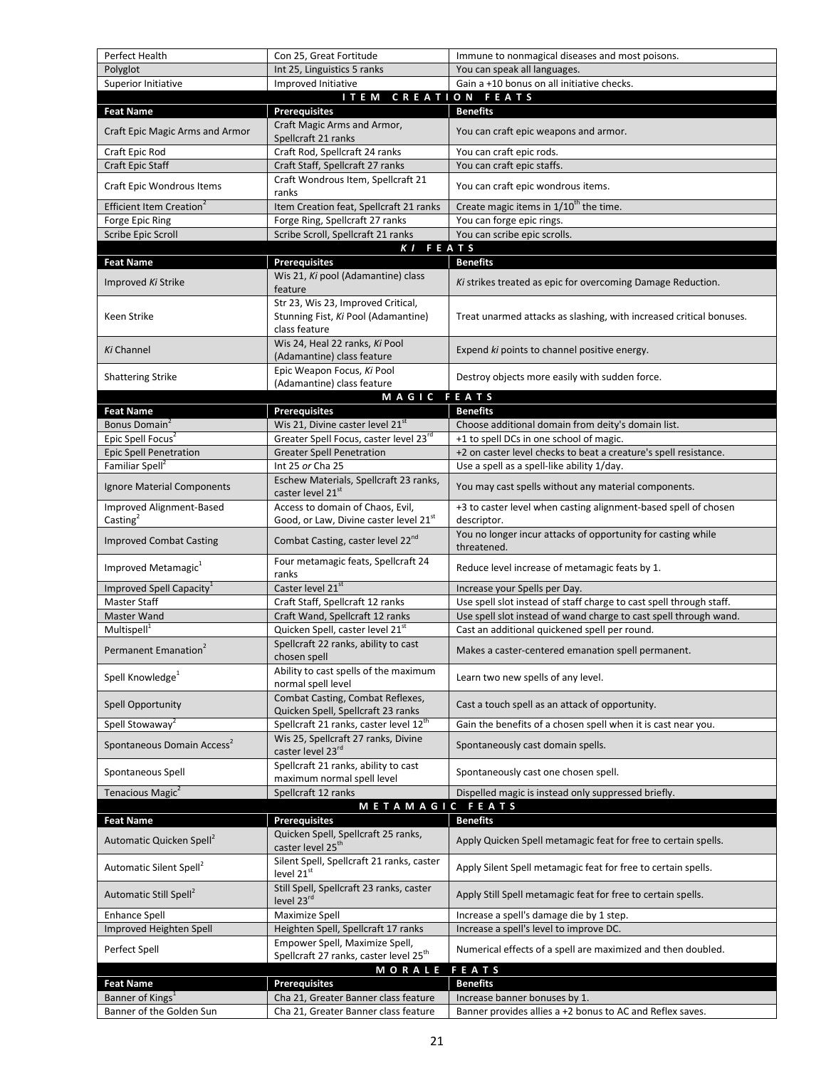| Perfect Health                                   | Con 25, Great Fortitude                                                                    | Immune to nonmagical diseases and most poisons.                                |
|--------------------------------------------------|--------------------------------------------------------------------------------------------|--------------------------------------------------------------------------------|
| Polyglot                                         | Int 25, Linguistics 5 ranks                                                                | You can speak all languages.                                                   |
| Superior Initiative                              | Improved Initiative                                                                        | Gain a +10 bonus on all initiative checks.                                     |
|                                                  | <b>ITEM</b>                                                                                | CREATION FEATS                                                                 |
| <b>Feat Name</b>                                 | <b>Prerequisites</b>                                                                       | <b>Benefits</b>                                                                |
| Craft Epic Magic Arms and Armor                  | Craft Magic Arms and Armor,<br>Spellcraft 21 ranks                                         | You can craft epic weapons and armor.                                          |
| Craft Epic Rod                                   | Craft Rod, Spellcraft 24 ranks                                                             | You can craft epic rods.                                                       |
| <b>Craft Epic Staff</b>                          | Craft Staff, Spellcraft 27 ranks                                                           | You can craft epic staffs.                                                     |
| Craft Epic Wondrous Items                        | Craft Wondrous Item, Spellcraft 21<br>ranks                                                | You can craft epic wondrous items.                                             |
| Efficient Item Creation <sup>2</sup>             | Item Creation feat, Spellcraft 21 ranks                                                    | Create magic items in 1/10 <sup>th</sup> the time.                             |
| Forge Epic Ring                                  | Forge Ring, Spellcraft 27 ranks                                                            | You can forge epic rings.                                                      |
| Scribe Epic Scroll                               | Scribe Scroll, Spellcraft 21 ranks                                                         | You can scribe epic scrolls.                                                   |
|                                                  | K I                                                                                        | FEATS                                                                          |
| <b>Feat Name</b>                                 | <b>Prerequisites</b>                                                                       | <b>Benefits</b>                                                                |
| Improved Ki Strike                               | Wis 21, Ki pool (Adamantine) class<br>feature                                              | Ki strikes treated as epic for overcoming Damage Reduction.                    |
| Keen Strike                                      | Str 23, Wis 23, Improved Critical,<br>Stunning Fist, Ki Pool (Adamantine)<br>class feature | Treat unarmed attacks as slashing, with increased critical bonuses.            |
| Ki Channel                                       | Wis 24, Heal 22 ranks, Ki Pool<br>(Adamantine) class feature                               | Expend ki points to channel positive energy.                                   |
| <b>Shattering Strike</b>                         | Epic Weapon Focus, Ki Pool                                                                 | Destroy objects more easily with sudden force.                                 |
|                                                  | (Adamantine) class feature                                                                 |                                                                                |
|                                                  | MAGIC FEATS                                                                                |                                                                                |
| <b>Feat Name</b>                                 | <b>Prerequisites</b>                                                                       | <b>Benefits</b>                                                                |
| Bonus Domain <sup>2</sup>                        | Wis 21, Divine caster level 21st                                                           | Choose additional domain from deity's domain list.                             |
| Epic Spell Focus <sup>2</sup>                    | Greater Spell Focus, caster level 23rd                                                     | +1 to spell DCs in one school of magic.                                        |
| <b>Epic Spell Penetration</b>                    | <b>Greater Spell Penetration</b>                                                           | +2 on caster level checks to beat a creature's spell resistance.               |
| Familiar Spell <sup>2</sup>                      | Int 25 or Cha 25                                                                           | Use a spell as a spell-like ability 1/day.                                     |
| Ignore Material Components                       | Eschew Materials, Spellcraft 23 ranks,<br>caster level 21st                                | You may cast spells without any material components.                           |
| Improved Alignment-Based<br>Casting <sup>2</sup> | Access to domain of Chaos, Evil,<br>Good, or Law, Divine caster level 21st                 | +3 to caster level when casting alignment-based spell of chosen<br>descriptor. |
| <b>Improved Combat Casting</b>                   | Combat Casting, caster level 22nd                                                          | You no longer incur attacks of opportunity for casting while<br>threatened.    |
| Improved Metamagic <sup>1</sup>                  | Four metamagic feats, Spellcraft 24<br>ranks                                               | Reduce level increase of metamagic feats by 1.                                 |
| Improved Spell Capacity <sup>1</sup>             | Caster level 21st                                                                          | Increase your Spells per Day.                                                  |
| <b>Master Staff</b>                              | Craft Staff, Spellcraft 12 ranks                                                           | Use spell slot instead of staff charge to cast spell through staff.            |
| <b>Master Wand</b>                               | Craft Wand, Spellcraft 12 ranks                                                            | Use spell slot instead of wand charge to cast spell through wand.              |
| Multispell <sup>1</sup>                          | Quicken Spell, caster level 21 <sup>st</sup>                                               | Cast an additional quickened spell per round.                                  |
| Permanent Emanation <sup>2</sup>                 | Spellcraft 22 ranks, ability to cast<br>chosen spell                                       | Makes a caster-centered emanation spell permanent.                             |
| Spell Knowledge $^1$                             | Ability to cast spells of the maximum<br>normal spell level                                | Learn two new spells of any level.                                             |
| <b>Spell Opportunity</b>                         | Combat Casting, Combat Reflexes,<br>Quicken Spell, Spellcraft 23 ranks                     | Cast a touch spell as an attack of opportunity.                                |
| Spell Stowaway <sup>2</sup>                      | Spellcraft 21 ranks, caster level 12 <sup>th</sup>                                         | Gain the benefits of a chosen spell when it is cast near you.                  |
| Spontaneous Domain Access <sup>2</sup>           | Wis 25, Spellcraft 27 ranks, Divine<br>caster level 23rd                                   | Spontaneously cast domain spells.                                              |
| Spontaneous Spell                                | Spellcraft 21 ranks, ability to cast<br>maximum normal spell level                         | Spontaneously cast one chosen spell.                                           |
| Tenacious Magic <sup>2</sup>                     | Spellcraft 12 ranks                                                                        | Dispelled magic is instead only suppressed briefly.                            |
|                                                  | METAMAGIC FEATS                                                                            |                                                                                |
| <b>Feat Name</b>                                 | <b>Prerequisites</b>                                                                       | <b>Benefits</b>                                                                |
|                                                  | Quicken Spell, Spellcraft 25 ranks,                                                        |                                                                                |
| Automatic Quicken Spell <sup>2</sup>             | caster level 25 <sup>th</sup><br>Silent Spell, Spellcraft 21 ranks, caster                 | Apply Quicken Spell metamagic feat for free to certain spells.                 |
| Automatic Silent Spell <sup>2</sup>              | level 21 <sup>st</sup>                                                                     | Apply Silent Spell metamagic feat for free to certain spells.                  |
| Automatic Still Spell <sup>2</sup>               | Still Spell, Spellcraft 23 ranks, caster<br>level 23rd                                     | Apply Still Spell metamagic feat for free to certain spells.                   |
| <b>Enhance Spell</b>                             | Maximize Spell                                                                             | Increase a spell's damage die by 1 step.                                       |
| Improved Heighten Spell                          | Heighten Spell, Spellcraft 17 ranks                                                        | Increase a spell's level to improve DC.                                        |
| Perfect Spell                                    | Empower Spell, Maximize Spell,<br>Spellcraft 27 ranks, caster level 25 <sup>th</sup>       | Numerical effects of a spell are maximized and then doubled.                   |
|                                                  | MORALE                                                                                     | FEATS                                                                          |
| <b>Feat Name</b>                                 | <b>Prerequisites</b>                                                                       | <b>Benefits</b>                                                                |
| Banner of Kings <sup>1</sup>                     | Cha 21, Greater Banner class feature                                                       | Increase banner bonuses by 1.                                                  |
| Banner of the Golden Sun                         | Cha 21, Greater Banner class feature                                                       | Banner provides allies a +2 bonus to AC and Reflex saves.                      |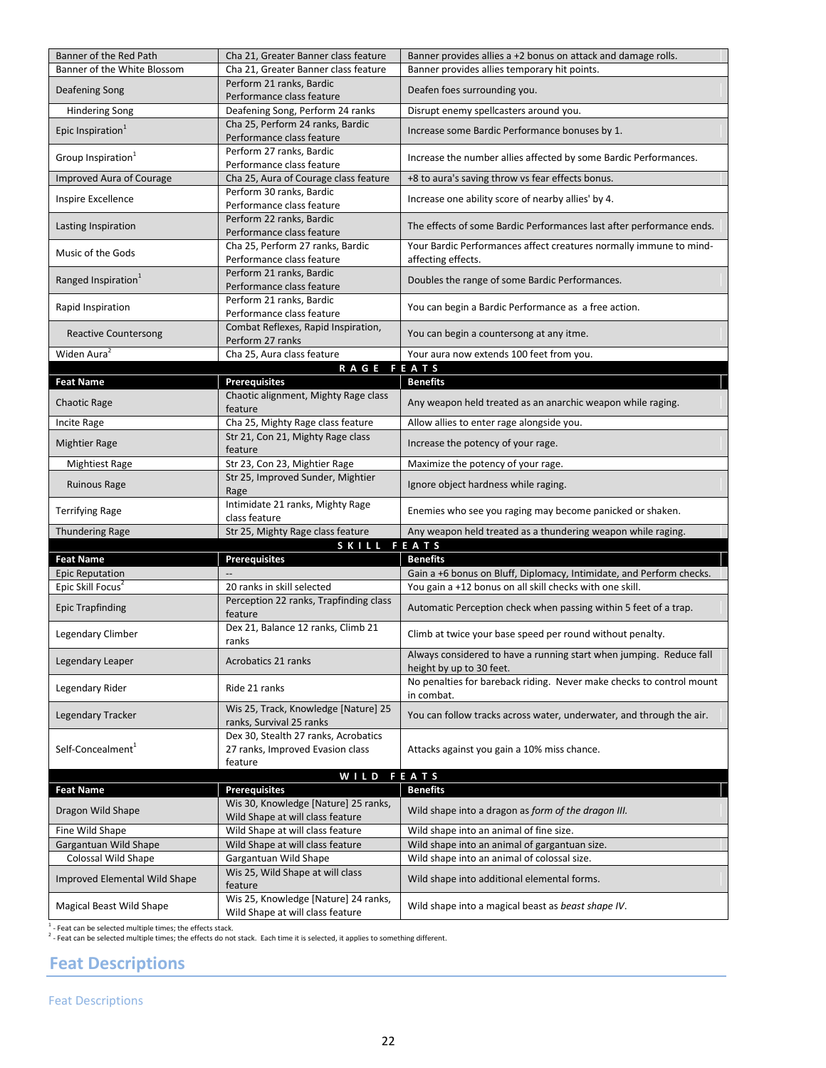| Banner of the Red Path          | Cha 21, Greater Banner class feature                                     | Banner provides allies a +2 bonus on attack and damage rolls.                                   |
|---------------------------------|--------------------------------------------------------------------------|-------------------------------------------------------------------------------------------------|
| Banner of the White Blossom     | Cha 21, Greater Banner class feature                                     | Banner provides allies temporary hit points.                                                    |
| Deafening Song                  | Perform 21 ranks, Bardic<br>Performance class feature                    | Deafen foes surrounding you.                                                                    |
| <b>Hindering Song</b>           | Deafening Song, Perform 24 ranks                                         | Disrupt enemy spellcasters around you.                                                          |
|                                 | Cha 25, Perform 24 ranks, Bardic                                         |                                                                                                 |
| Epic Inspiration <sup>1</sup>   | Performance class feature                                                | Increase some Bardic Performance bonuses by 1.                                                  |
| Group Inspiration <sup>1</sup>  | Perform 27 ranks, Bardic<br>Performance class feature                    | Increase the number allies affected by some Bardic Performances.                                |
| Improved Aura of Courage        | Cha 25, Aura of Courage class feature                                    | +8 to aura's saving throw vs fear effects bonus.                                                |
| Inspire Excellence              | Perform 30 ranks, Bardic                                                 | Increase one ability score of nearby allies' by 4.                                              |
|                                 | Performance class feature                                                |                                                                                                 |
| Lasting Inspiration             | Perform 22 ranks, Bardic<br>Performance class feature                    | The effects of some Bardic Performances last after performance ends.                            |
| Music of the Gods               | Cha 25, Perform 27 ranks, Bardic                                         | Your Bardic Performances affect creatures normally immune to mind-                              |
|                                 | Performance class feature                                                | affecting effects.                                                                              |
| Ranged Inspiration <sup>1</sup> | Perform 21 ranks, Bardic<br>Performance class feature                    | Doubles the range of some Bardic Performances.                                                  |
|                                 | Perform 21 ranks, Bardic                                                 |                                                                                                 |
| Rapid Inspiration               | Performance class feature                                                | You can begin a Bardic Performance as a free action.                                            |
| <b>Reactive Countersong</b>     | Combat Reflexes, Rapid Inspiration,                                      | You can begin a countersong at any itme.                                                        |
| Widen Aura <sup>2</sup>         | Perform 27 ranks<br>Cha 25, Aura class feature                           | Your aura now extends 100 feet from you.                                                        |
|                                 | RAGE FEATS                                                               |                                                                                                 |
| <b>Feat Name</b>                | <b>Prerequisites</b>                                                     | <b>Benefits</b>                                                                                 |
|                                 | Chaotic alignment, Mighty Rage class                                     |                                                                                                 |
| <b>Chaotic Rage</b>             | feature                                                                  | Any weapon held treated as an anarchic weapon while raging.                                     |
| Incite Rage                     | Cha 25, Mighty Rage class feature                                        | Allow allies to enter rage alongside you.                                                       |
| <b>Mightier Rage</b>            | Str 21, Con 21, Mighty Rage class<br>feature                             | Increase the potency of your rage.                                                              |
| <b>Mightiest Rage</b>           | Str 23, Con 23, Mightier Rage                                            | Maximize the potency of your rage.                                                              |
| <b>Ruinous Rage</b>             | Str 25, Improved Sunder, Mightier                                        | Ignore object hardness while raging.                                                            |
|                                 | Rage<br>Intimidate 21 ranks, Mighty Rage                                 |                                                                                                 |
| <b>Terrifying Rage</b>          | class feature                                                            | Enemies who see you raging may become panicked or shaken.                                       |
| <b>Thundering Rage</b>          | Str 25, Mighty Rage class feature                                        | Any weapon held treated as a thundering weapon while raging.                                    |
|                                 | SKILL FEATS                                                              |                                                                                                 |
| <b>Feat Name</b>                | <b>Prerequisites</b>                                                     | <b>Benefits</b>                                                                                 |
| <b>Epic Reputation</b>          |                                                                          | Gain a +6 bonus on Bluff, Diplomacy, Intimidate, and Perform checks.                            |
| Epic Skill Focus <sup>2</sup>   | 20 ranks in skill selected                                               | You gain a +12 bonus on all skill checks with one skill.                                        |
| <b>Epic Trapfinding</b>         | Perception 22 ranks, Trapfinding class<br>feature                        | Automatic Perception check when passing within 5 feet of a trap.                                |
| Legendary Climber               | Dex 21, Balance 12 ranks, Climb 21                                       | Climb at twice your base speed per round without penalty.                                       |
|                                 | ranks                                                                    |                                                                                                 |
| Legendary Leaper                | Acrobatics 21 ranks                                                      | Always considered to have a running start when jumping. Reduce fall<br>height by up to 30 feet. |
| Legendary Rider                 | Ride 21 ranks                                                            | No penalties for bareback riding. Never make checks to control mount                            |
|                                 |                                                                          | in combat.                                                                                      |
| Legendary Tracker               | Wis 25, Track, Knowledge [Nature] 25<br>ranks, Survival 25 ranks         | You can follow tracks across water, underwater, and through the air.                            |
|                                 | Dex 30, Stealth 27 ranks, Acrobatics                                     |                                                                                                 |
| Self-Concealment <sup>1</sup>   | 27 ranks, Improved Evasion class                                         | Attacks against you gain a 10% miss chance.                                                     |
|                                 | feature                                                                  |                                                                                                 |
|                                 | WILD FEATS                                                               |                                                                                                 |
| <b>Feat Name</b>                | <b>Prerequisites</b>                                                     | <b>Benefits</b>                                                                                 |
| Dragon Wild Shape               | Wis 30, Knowledge [Nature] 25 ranks,<br>Wild Shape at will class feature | Wild shape into a dragon as form of the dragon III.                                             |
| Fine Wild Shape                 | Wild Shape at will class feature                                         | Wild shape into an animal of fine size.                                                         |
|                                 |                                                                          |                                                                                                 |
| Gargantuan Wild Shape           | Wild Shape at will class feature                                         | Wild shape into an animal of gargantuan size.                                                   |
| Colossal Wild Shape             | Gargantuan Wild Shape                                                    | Wild shape into an animal of colossal size.                                                     |
| Improved Elemental Wild Shape   | Wis 25, Wild Shape at will class                                         | Wild shape into additional elemental forms.                                                     |
| Magical Beast Wild Shape        | feature<br>Wis 25, Knowledge [Nature] 24 ranks,                          | Wild shape into a magical beast as beast shape IV.                                              |

1 - Feat can be selected multiple times; the effects stack.<br><sup>2</sup> - Feat can be selected multiple times; the effects do not stack. Each time it is selected, it applies to something different.

# <span id="page-21-0"></span>**Feat Descriptions**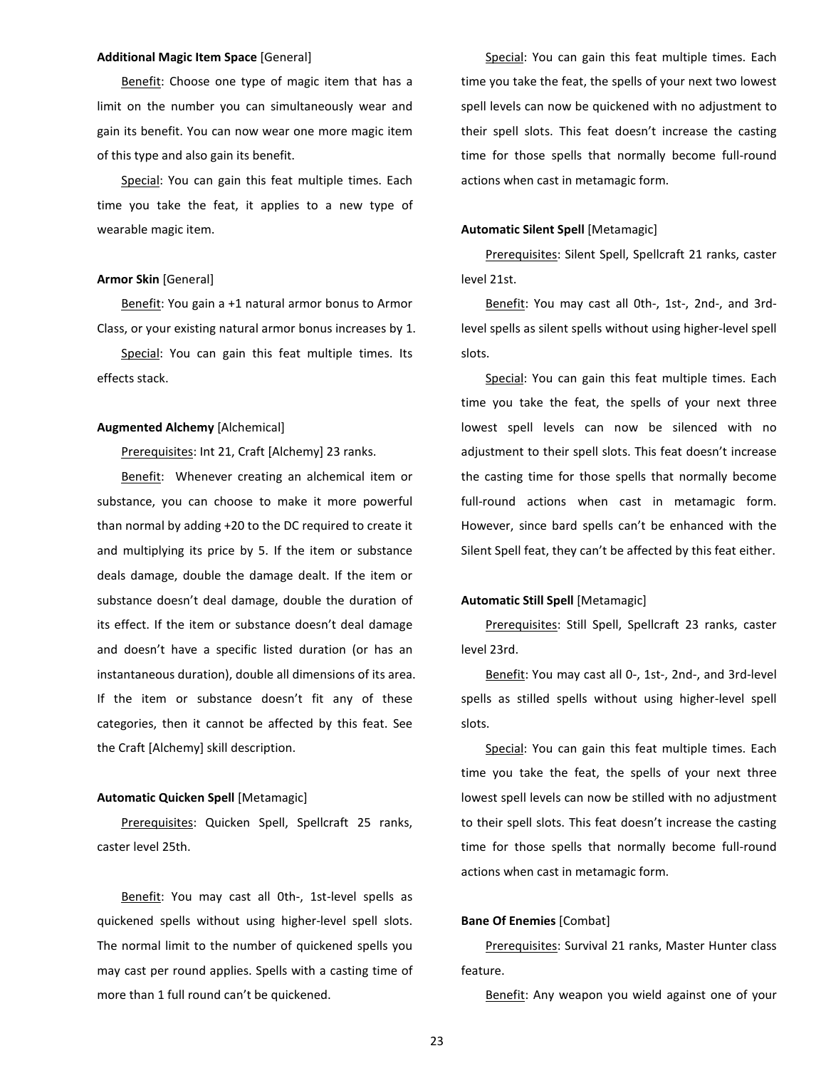## **Additional Magic Item Space** [General]

Benefit: Choose one type of magic item that has a limit on the number you can simultaneously wear and gain its benefit. You can now wear one more magic item of this type and also gain its benefit.

Special: You can gain this feat multiple times. Each time you take the feat, it applies to a new type of wearable magic item.

#### **Armor Skin** [General]

Benefit: You gain a +1 natural armor bonus to Armor Class, or your existing natural armor bonus increases by 1.

Special: You can gain this feat multiple times. Its effects stack.

# **Augmented Alchemy** [Alchemical]

Prerequisites: Int 21, Craft [Alchemy] 23 ranks.

Benefit: Whenever creating an alchemical item or substance, you can choose to make it more powerful than normal by adding +20 to the DC required to create it and multiplying its price by 5. If the item or substance deals damage, double the damage dealt. If the item or substance doesn't deal damage, double the duration of its effect. If the item or substance doesn't deal damage and doesn't have a specific listed duration (or has an instantaneous duration), double all dimensions of its area. If the item or substance doesn't fit any of these categories, then it cannot be affected by this feat. See the Craft [Alchemy] skill description.

#### **Automatic Quicken Spell** [Metamagic]

Prerequisites: Quicken Spell, Spellcraft 25 ranks, caster level 25th.

Benefit: You may cast all 0th-, 1st-level spells as quickened spells without using higher-level spell slots. The normal limit to the number of quickened spells you may cast per round applies. Spells with a casting time of more than 1 full round can't be quickened.

Special: You can gain this feat multiple times. Each time you take the feat, the spells of your next two lowest spell levels can now be quickened with no adjustment to their spell slots. This feat doesn't increase the casting time for those spells that normally become full-round actions when cast in metamagic form.

# **Automatic Silent Spell** [Metamagic]

Prerequisites: Silent Spell, Spellcraft 21 ranks, caster level 21st.

Benefit: You may cast all Oth-, 1st-, 2nd-, and 3rdlevel spells as silent spells without using higher-level spell slots.

Special: You can gain this feat multiple times. Each time you take the feat, the spells of your next three lowest spell levels can now be silenced with no adjustment to their spell slots. This feat doesn't increase the casting time for those spells that normally become full-round actions when cast in metamagic form. However, since bard spells can't be enhanced with the Silent Spell feat, they can't be affected by this feat either.

# **Automatic Still Spell** [Metamagic]

Prerequisites: Still Spell, Spellcraft 23 ranks, caster level 23rd.

Benefit: You may cast all 0-, 1st-, 2nd-, and 3rd-level spells as stilled spells without using higher-level spell slots.

Special: You can gain this feat multiple times. Each time you take the feat, the spells of your next three lowest spell levels can now be stilled with no adjustment to their spell slots. This feat doesn't increase the casting time for those spells that normally become full-round actions when cast in metamagic form.

# **Bane Of Enemies** [Combat]

Prerequisites: Survival 21 ranks, Master Hunter class feature.

Benefit: Any weapon you wield against one of your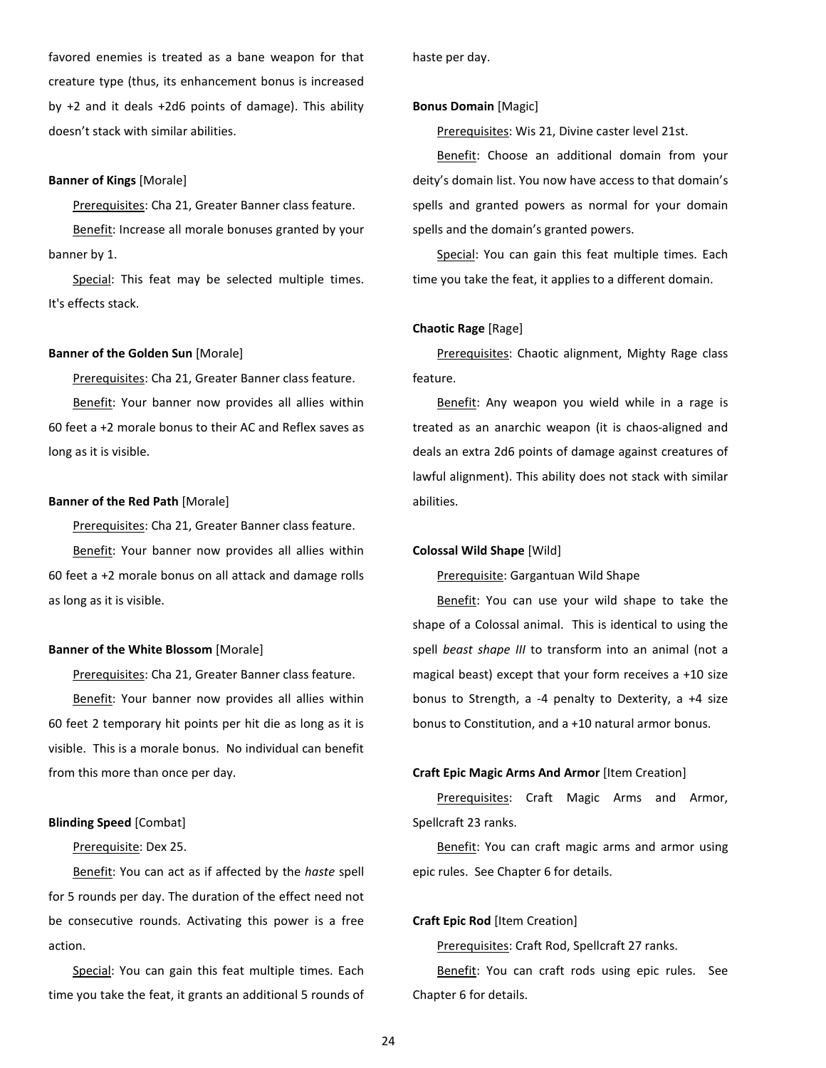favored enemies is treated as a bane weapon for that creature type (thus, its enhancement bonus is increased by +2 and it deals +2d6 points of damage). This ability doesn't stack with similar abilities.

#### **Banner of Kings** [Morale]

Prerequisites: Cha 21, Greater Banner class feature.

Benefit: Increase all morale bonuses granted by your banner by 1.

Special: This feat may be selected multiple times. It's effects stack.

#### **Banner of the Golden Sun** [Morale]

Prerequisites: Cha 21, Greater Banner class feature. Benefit: Your banner now provides all allies within 60 feet a +2 morale bonus to their AC and Reflex saves as long as it is visible.

#### **Banner of the Red Path** [Morale]

Prerequisites: Cha 21, Greater Banner class feature. Benefit: Your banner now provides all allies within 60 feet a +2 morale bonus on all attack and damage rolls as long as it is visible.

# **Banner of the White Blossom** [Morale]

Prerequisites: Cha 21, Greater Banner class feature. Benefit: Your banner now provides all allies within 60 feet 2 temporary hit points per hit die as long as it is visible. This is a morale bonus. No individual can benefit from this more than once per day.

# **Blinding Speed** [Combat]

# Prerequisite: Dex 25.

Benefit: You can act as if affected by the *haste* spell for 5 rounds per day. The duration of the effect need not be consecutive rounds. Activating this power is a free action.

Special: You can gain this feat multiple times. Each time you take the feat, it grants an additional 5 rounds of haste per day.

#### **Bonus Domain** [Magic]

Prerequisites: Wis 21, Divine caster level 21st.

Benefit: Choose an additional domain from your deity's domain list. You now have access to that domain's spells and granted powers as normal for your domain spells and the domain's granted powers.

Special: You can gain this feat multiple times. Each time you take the feat, it applies to a different domain.

# **Chaotic Rage** [Rage]

Prerequisites: Chaotic alignment, Mighty Rage class feature.

Benefit: Any weapon you wield while in a rage is treated as an anarchic weapon (it is chaos-aligned and deals an extra 2d6 points of damage against creatures of lawful alignment). This ability does not stack with similar abilities.

#### **Colossal Wild Shape** [Wild]

Prerequisite: Gargantuan Wild Shape

Benefit: You can use your wild shape to take the shape of a Colossal animal. This is identical to using the spell *beast shape III* to transform into an animal (not a magical beast) except that your form receives a +10 size bonus to Strength, a -4 penalty to Dexterity, a +4 size bonus to Constitution, and a +10 natural armor bonus.

# **Craft Epic Magic Arms And Armor** [Item Creation]

Prerequisites: Craft Magic Arms and Armor, Spellcraft 23 ranks.

Benefit: You can craft magic arms and armor using epic rules. See Chapter 6 for details.

# **Craft Epic Rod** [Item Creation]

Prerequisites: Craft Rod, Spellcraft 27 ranks.

Benefit: You can craft rods using epic rules. See Chapter 6 for details.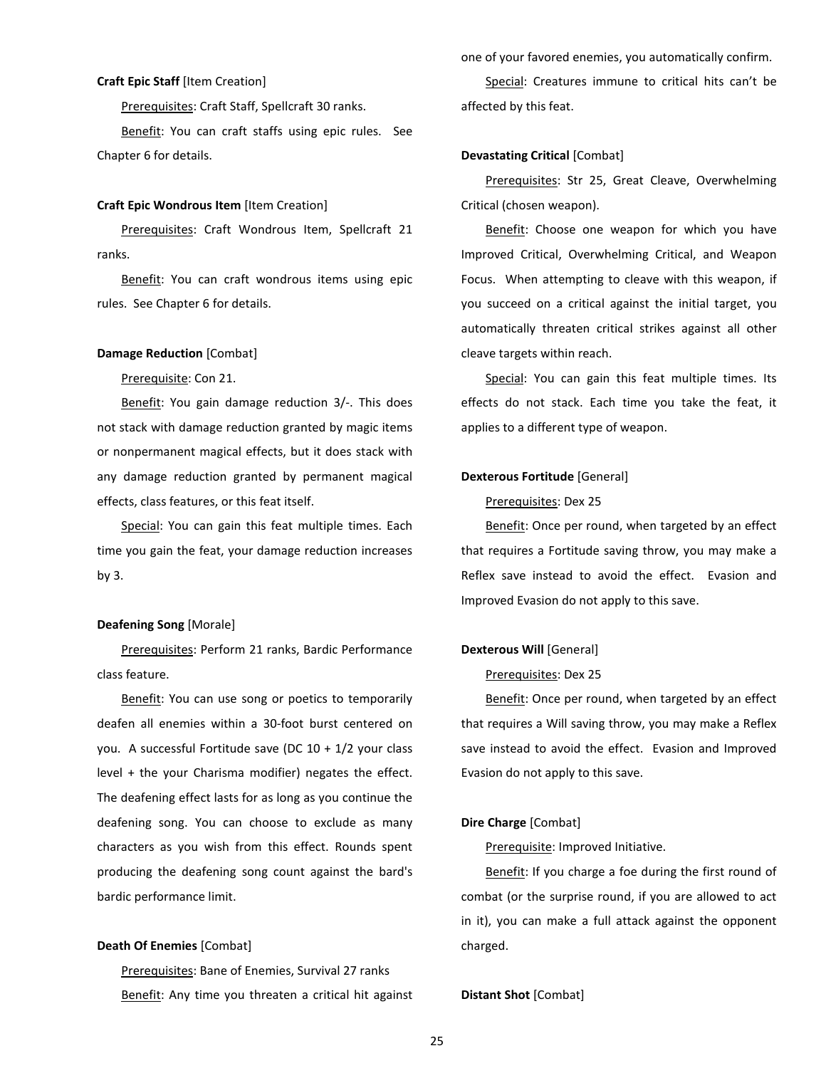# **Craft Epic Staff** [Item Creation]

Prerequisites: Craft Staff, Spellcraft 30 ranks.

Benefit: You can craft staffs using epic rules. See Chapter 6 for details.

#### **Craft Epic Wondrous Item** [Item Creation]

Prerequisites: Craft Wondrous Item, Spellcraft 21 ranks.

Benefit: You can craft wondrous items using epic rules. See Chapter 6 for details.

#### **Damage Reduction** [Combat]

Prerequisite: Con 21.

Benefit: You gain damage reduction 3/-. This does not stack with damage reduction granted by magic items or nonpermanent magical effects, but it does stack with any damage reduction granted by permanent magical effects, class features, or this feat itself.

Special: You can gain this feat multiple times. Each time you gain the feat, your damage reduction increases by 3.

#### **Deafening Song** [Morale]

Prerequisites: Perform 21 ranks, Bardic Performance class feature.

Benefit: You can use song or poetics to temporarily deafen all enemies within a 30-foot burst centered on you. A successful Fortitude save (DC 10 + 1/2 your class level + the your Charisma modifier) negates the effect. The deafening effect lasts for as long as you continue the deafening song. You can choose to exclude as many characters as you wish from this effect. Rounds spent producing the deafening song count against the bard's bardic performance limit.

#### **Death Of Enemies** [Combat]

Prerequisites: Bane of Enemies, Survival 27 ranks Benefit: Any time you threaten a critical hit against one of your favored enemies, you automatically confirm.

Special: Creatures immune to critical hits can't be affected by this feat.

# **Devastating Critical** [Combat]

Prerequisites: Str 25, Great Cleave, Overwhelming Critical (chosen weapon).

Benefit: Choose one weapon for which you have Improved Critical, Overwhelming Critical, and Weapon Focus. When attempting to cleave with this weapon, if you succeed on a critical against the initial target, you automatically threaten critical strikes against all other cleave targets within reach.

Special: You can gain this feat multiple times. Its effects do not stack. Each time you take the feat, it applies to a different type of weapon.

# **Dexterous Fortitude** [General]

#### Prerequisites: Dex 25

Benefit: Once per round, when targeted by an effect that requires a Fortitude saving throw, you may make a Reflex save instead to avoid the effect. Evasion and Improved Evasion do not apply to this save.

#### **Dexterous Will** [General]

#### Prerequisites: Dex 25

Benefit: Once per round, when targeted by an effect that requires a Will saving throw, you may make a Reflex save instead to avoid the effect. Evasion and Improved Evasion do not apply to this save.

# **Dire Charge** [Combat]

Prerequisite: Improved Initiative.

Benefit: If you charge a foe during the first round of combat (or the surprise round, if you are allowed to act in it), you can make a full attack against the opponent charged.

#### **Distant Shot** [Combat]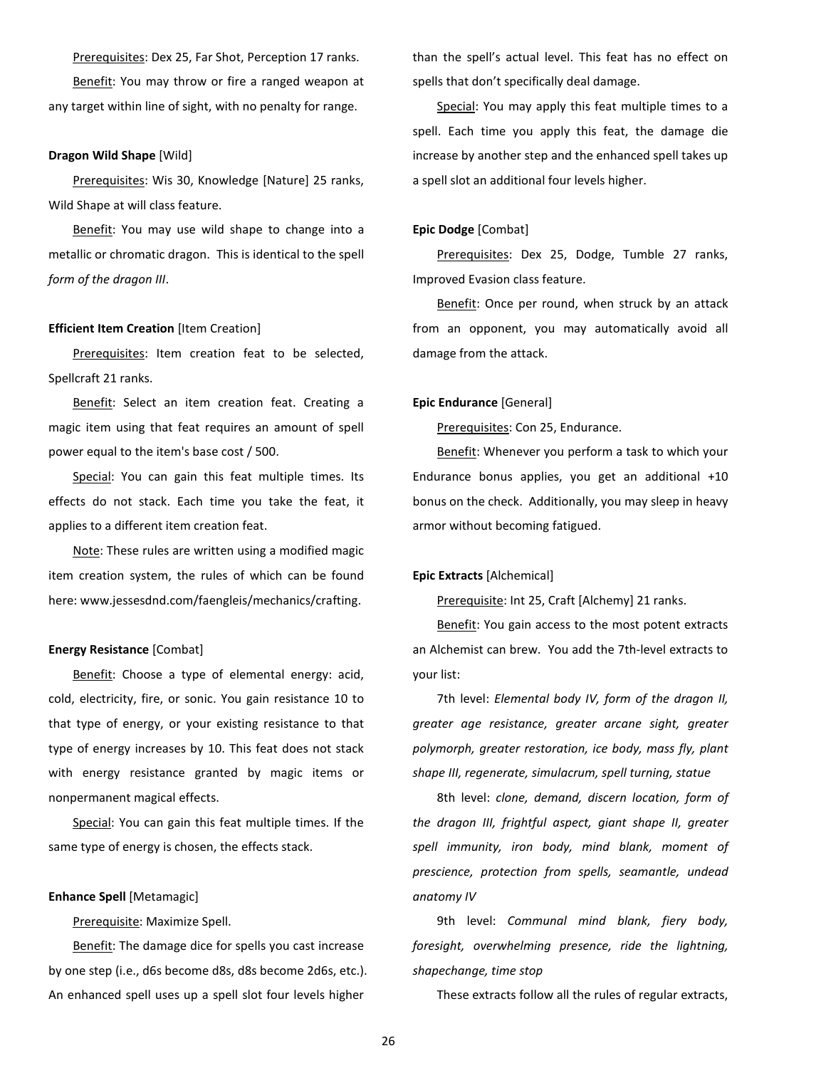Prerequisites: Dex 25, Far Shot, Perception 17 ranks. Benefit: You may throw or fire a ranged weapon at any target within line of sight, with no penalty for range.

#### **Dragon Wild Shape** [Wild]

Prerequisites: Wis 30, Knowledge [Nature] 25 ranks, Wild Shape at will class feature.

Benefit: You may use wild shape to change into a metallic or chromatic dragon. This is identical to the spell *form of the dragon III*.

#### **Efficient Item Creation** [Item Creation]

Prerequisites: Item creation feat to be selected, Spellcraft 21 ranks.

Benefit: Select an item creation feat. Creating a magic item using that feat requires an amount of spell power equal to the item's base cost / 500.

Special: You can gain this feat multiple times. Its effects do not stack. Each time you take the feat, it applies to a different item creation feat.

Note: These rules are written using a modified magic item creation system, the rules of which can be found here: www.jessesdnd.com/faengleis/mechanics/crafting.

#### **Energy Resistance** [Combat]

Benefit: Choose a type of elemental energy: acid, cold, electricity, fire, or sonic. You gain resistance 10 to that type of energy, or your existing resistance to that type of energy increases by 10. This feat does not stack with energy resistance granted by magic items or nonpermanent magical effects.

Special: You can gain this feat multiple times. If the same type of energy is chosen, the effects stack.

### **Enhance Spell** [Metamagic]

Prerequisite: Maximize Spell.

Benefit: The damage dice for spells you cast increase by one step (i.e., d6s become d8s, d8s become 2d6s, etc.). An enhanced spell uses up a spell slot four levels higher

than the spell's actual level. This feat has no effect on spells that don't specifically deal damage.

Special: You may apply this feat multiple times to a spell. Each time you apply this feat, the damage die increase by another step and the enhanced spell takes up a spell slot an additional four levels higher.

## **Epic Dodge** [Combat]

Prerequisites: Dex 25, Dodge, Tumble 27 ranks, Improved Evasion class feature.

Benefit: Once per round, when struck by an attack from an opponent, you may automatically avoid all damage from the attack.

#### **Epic Endurance** [General]

Prerequisites: Con 25, Endurance.

Benefit: Whenever you perform a task to which your Endurance bonus applies, you get an additional +10 bonus on the check. Additionally, you may sleep in heavy armor without becoming fatigued.

#### **Epic Extracts** [Alchemical]

Prerequisite: Int 25, Craft [Alchemy] 21 ranks.

Benefit: You gain access to the most potent extracts an Alchemist can brew. You add the 7th-level extracts to your list:

7th level: *Elemental body IV, form of the dragon II, greater age resistance, greater arcane sight, greater polymorph, greater restoration, ice body, mass fly, plant shape III, regenerate, simulacrum, spell turning, statue*

8th level: *clone, demand, discern location, form of the dragon III, frightful aspect, giant shape II, greater spell immunity, iron body, mind blank, moment of prescience, protection from spells, seamantle, undead anatomy IV*

9th level: *Communal mind blank, fiery body, foresight, overwhelming presence, ride the lightning, shapechange, time stop*

These extracts follow all the rules of regular extracts,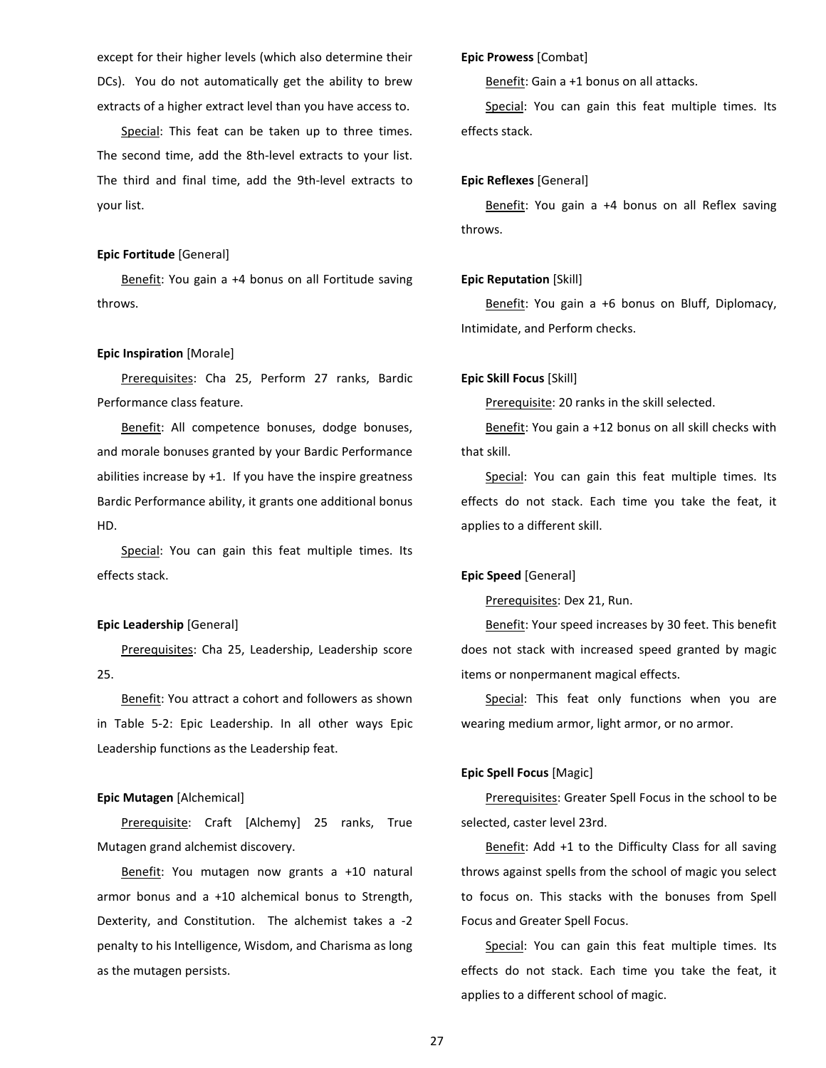except for their higher levels (which also determine their DCs). You do not automatically get the ability to brew extracts of a higher extract level than you have access to.

Special: This feat can be taken up to three times. The second time, add the 8th-level extracts to your list. The third and final time, add the 9th-level extracts to your list.

#### **Epic Fortitude** [General]

Benefit: You gain a +4 bonus on all Fortitude saving throws.

### **Epic Inspiration** [Morale]

Prerequisites: Cha 25, Perform 27 ranks, Bardic Performance class feature.

Benefit: All competence bonuses, dodge bonuses, and morale bonuses granted by your Bardic Performance abilities increase by +1. If you have the inspire greatness Bardic Performance ability, it grants one additional bonus HD.

Special: You can gain this feat multiple times. Its effects stack.

#### **Epic Leadership** [General]

Prerequisites: Cha 25, Leadership, Leadership score 25.

Benefit: You attract a cohort and followers as shown in Table 5-2: Epic Leadership. In all other ways Epic Leadership functions as the Leadership feat.

#### **Epic Mutagen** [Alchemical]

Prerequisite: Craft [Alchemy] 25 ranks, True Mutagen grand alchemist discovery.

Benefit: You mutagen now grants a +10 natural armor bonus and a +10 alchemical bonus to Strength, Dexterity, and Constitution. The alchemist takes a -2 penalty to his Intelligence, Wisdom, and Charisma as long as the mutagen persists.

# **Epic Prowess** [Combat]

Benefit: Gain a +1 bonus on all attacks.

Special: You can gain this feat multiple times. Its effects stack.

## **Epic Reflexes** [General]

Benefit: You gain a +4 bonus on all Reflex saving throws.

# **Epic Reputation** [Skill]

Benefit: You gain a +6 bonus on Bluff, Diplomacy, Intimidate, and Perform checks.

#### **Epic Skill Focus** [Skill]

Prerequisite: 20 ranks in the skill selected.

Benefit: You gain a +12 bonus on all skill checks with that skill.

Special: You can gain this feat multiple times. Its effects do not stack. Each time you take the feat, it applies to a different skill.

#### **Epic Speed** [General]

Prerequisites: Dex 21, Run.

Benefit: Your speed increases by 30 feet. This benefit does not stack with increased speed granted by magic items or nonpermanent magical effects.

Special: This feat only functions when you are wearing medium armor, light armor, or no armor.

# **Epic Spell Focus** [Magic]

Prerequisites: Greater Spell Focus in the school to be selected, caster level 23rd.

Benefit: Add +1 to the Difficulty Class for all saving throws against spells from the school of magic you select to focus on. This stacks with the bonuses from Spell Focus and Greater Spell Focus.

Special: You can gain this feat multiple times. Its effects do not stack. Each time you take the feat, it applies to a different school of magic.

27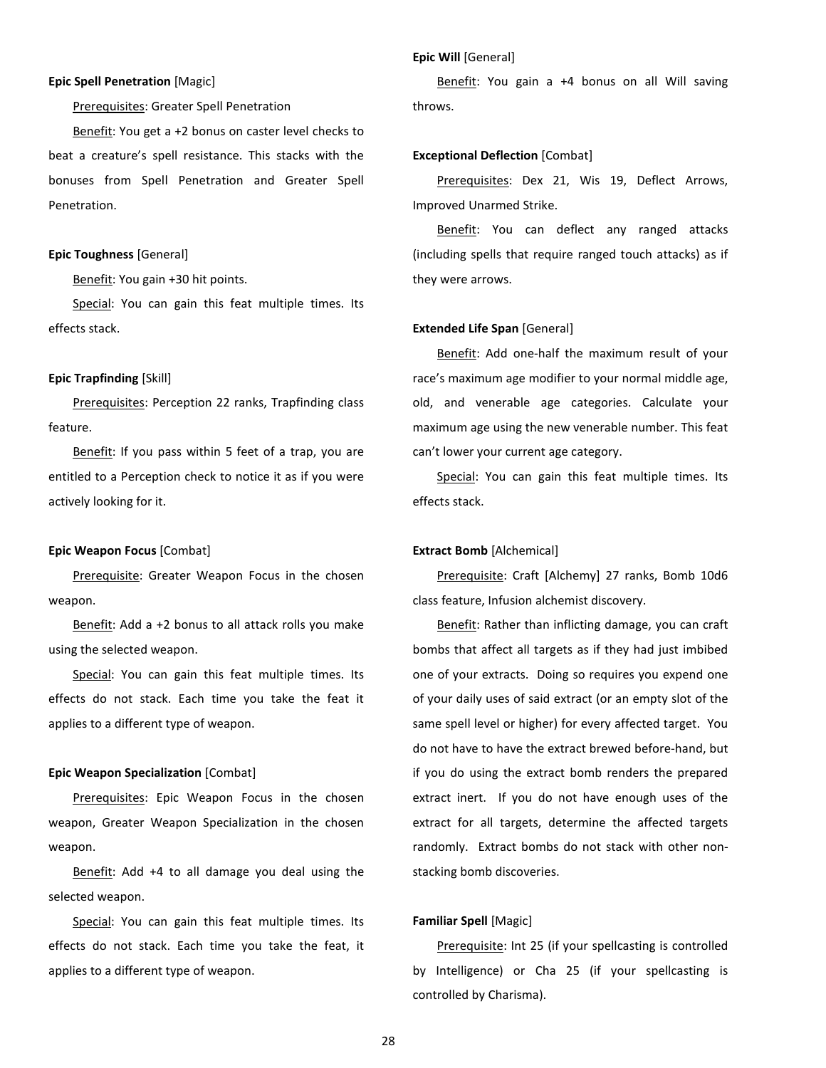# **Epic Spell Penetration** [Magic]

Prerequisites: Greater Spell Penetration

Benefit: You get a +2 bonus on caster level checks to beat a creature's spell resistance. This stacks with the bonuses from Spell Penetration and Greater Spell Penetration.

# **Epic Toughness** [General]

Benefit: You gain +30 hit points.

Special: You can gain this feat multiple times. Its effects stack.

# **Epic Trapfinding** [Skill]

Prerequisites: Perception 22 ranks, Trapfinding class feature.

Benefit: If you pass within 5 feet of a trap, you are entitled to a Perception check to notice it as if you were actively looking for it.

#### **Epic Weapon Focus** [Combat]

Prerequisite: Greater Weapon Focus in the chosen weapon.

Benefit: Add a +2 bonus to all attack rolls you make using the selected weapon.

Special: You can gain this feat multiple times. Its effects do not stack. Each time you take the feat it applies to a different type of weapon.

# **Epic Weapon Specialization** [Combat]

Prerequisites: Epic Weapon Focus in the chosen weapon, Greater Weapon Specialization in the chosen weapon.

Benefit: Add +4 to all damage you deal using the selected weapon.

Special: You can gain this feat multiple times. Its effects do not stack. Each time you take the feat, it applies to a different type of weapon.

Benefit: You gain a +4 bonus on all Will saving throws.

#### **Exceptional Deflection** [Combat]

**Epic Will** [General]

Prerequisites: Dex 21, Wis 19, Deflect Arrows, Improved Unarmed Strike.

Benefit: You can deflect any ranged attacks (including spells that require ranged touch attacks) as if they were arrows.

# **Extended Life Span** [General]

Benefit: Add one-half the maximum result of your race's maximum age modifier to your normal middle age, old, and venerable age categories. Calculate your maximum age using the new venerable number. This feat can't lower your current age category.

Special: You can gain this feat multiple times. Its effects stack.

#### **Extract Bomb** [Alchemical]

Prerequisite: Craft [Alchemy] 27 ranks, Bomb 10d6 class feature, Infusion alchemist discovery.

Benefit: Rather than inflicting damage, you can craft bombs that affect all targets as if they had just imbibed one of your extracts. Doing so requires you expend one of your daily uses of said extract (or an empty slot of the same spell level or higher) for every affected target. You do not have to have the extract brewed before-hand, but if you do using the extract bomb renders the prepared extract inert. If you do not have enough uses of the extract for all targets, determine the affected targets randomly. Extract bombs do not stack with other nonstacking bomb discoveries.

# **Familiar Spell** [Magic]

Prerequisite: Int 25 (if your spellcasting is controlled by Intelligence) or Cha 25 (if your spellcasting is controlled by Charisma).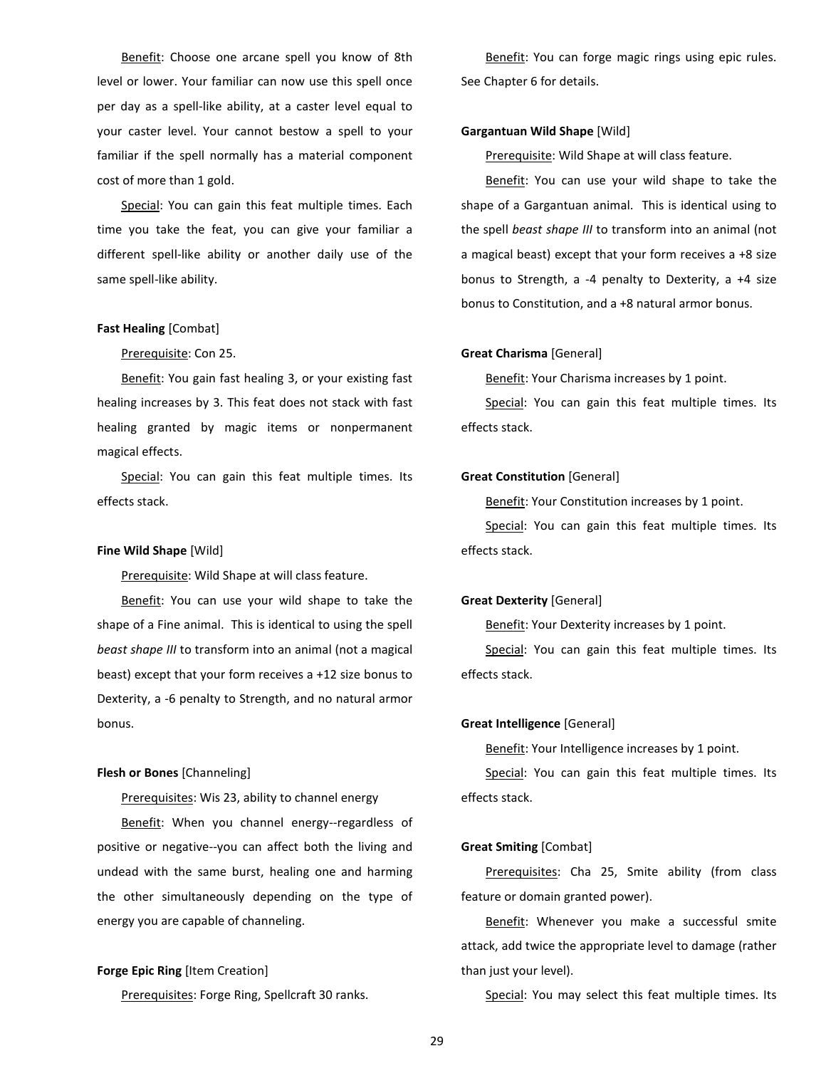Benefit: Choose one arcane spell you know of 8th level or lower. Your familiar can now use this spell once per day as a spell-like ability, at a caster level equal to your caster level. Your cannot bestow a spell to your familiar if the spell normally has a material component cost of more than 1 gold.

Special: You can gain this feat multiple times. Each time you take the feat, you can give your familiar a different spell-like ability or another daily use of the same spell-like ability.

#### **Fast Healing** [Combat]

# Prerequisite: Con 25.

Benefit: You gain fast healing 3, or your existing fast healing increases by 3. This feat does not stack with fast healing granted by magic items or nonpermanent magical effects.

Special: You can gain this feat multiple times. Its effects stack.

# **Fine Wild Shape** [Wild]

Prerequisite: Wild Shape at will class feature.

Benefit: You can use your wild shape to take the shape of a Fine animal. This is identical to using the spell *beast shape III* to transform into an animal (not a magical beast) except that your form receives a +12 size bonus to Dexterity, a -6 penalty to Strength, and no natural armor bonus.

# **Flesh or Bones** [Channeling]

Prerequisites: Wis 23, ability to channel energy

Benefit: When you channel energy--regardless of positive or negative--you can affect both the living and undead with the same burst, healing one and harming the other simultaneously depending on the type of energy you are capable of channeling.

# **Forge Epic Ring** [Item Creation]

Prerequisites: Forge Ring, Spellcraft 30 ranks.

Benefit: You can forge magic rings using epic rules. See Chapter 6 for details.

# **Gargantuan Wild Shape** [Wild]

Prerequisite: Wild Shape at will class feature.

Benefit: You can use your wild shape to take the shape of a Gargantuan animal. This is identical using to the spell *beast shape III* to transform into an animal (not a magical beast) except that your form receives a +8 size bonus to Strength, a -4 penalty to Dexterity, a +4 size bonus to Constitution, and a +8 natural armor bonus.

### **Great Charisma** [General]

Benefit: Your Charisma increases by 1 point.

Special: You can gain this feat multiple times. Its effects stack.

#### **Great Constitution** [General]

Benefit: Your Constitution increases by 1 point.

Special: You can gain this feat multiple times. Its effects stack.

# **Great Dexterity** [General]

Benefit: Your Dexterity increases by 1 point.

Special: You can gain this feat multiple times. Its effects stack.

#### **Great Intelligence** [General]

Benefit: Your Intelligence increases by 1 point.

Special: You can gain this feat multiple times. Its effects stack.

#### **Great Smiting** [Combat]

Prerequisites: Cha 25, Smite ability (from class feature or domain granted power).

Benefit: Whenever you make a successful smite attack, add twice the appropriate level to damage (rather than just your level).

Special: You may select this feat multiple times. Its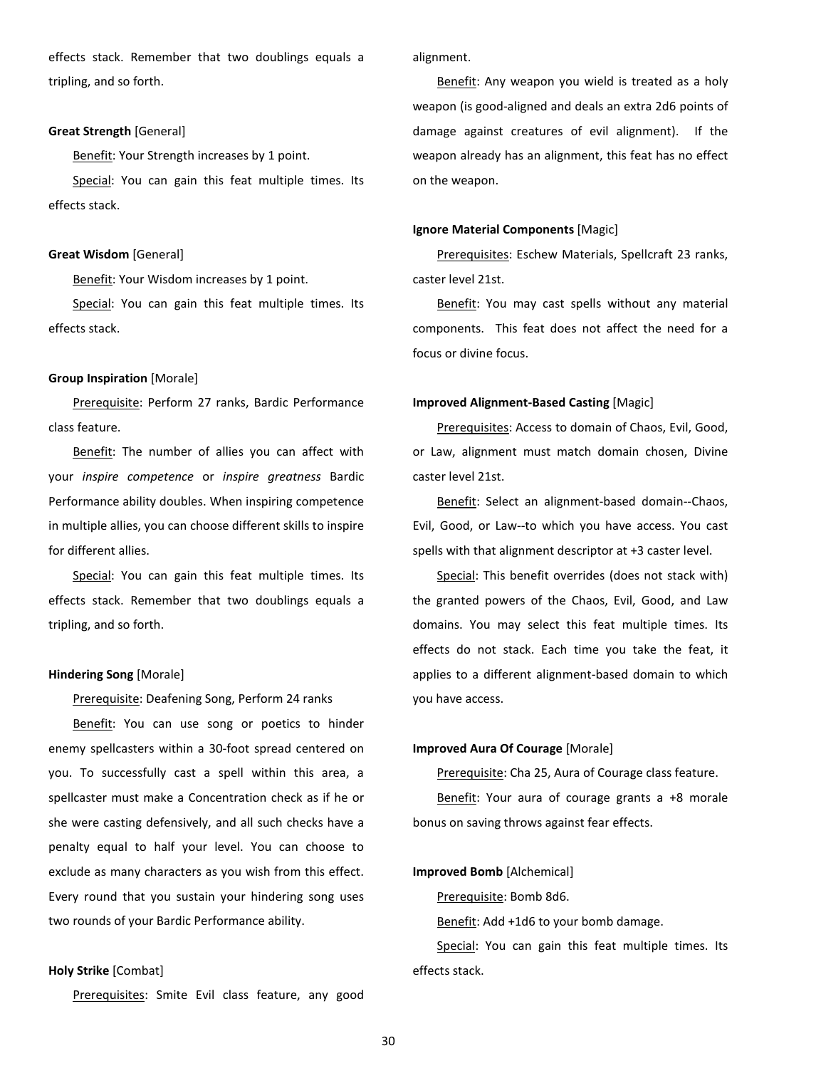effects stack. Remember that two doublings equals a tripling, and so forth.

# **Great Strength** [General]

Benefit: Your Strength increases by 1 point.

Special: You can gain this feat multiple times. Its effects stack.

#### **Great Wisdom** [General]

Benefit: Your Wisdom increases by 1 point.

Special: You can gain this feat multiple times. Its effects stack.

#### **Group Inspiration** [Morale]

Prerequisite: Perform 27 ranks, Bardic Performance class feature.

Benefit: The number of allies you can affect with your *inspire competence* or *inspire greatness* Bardic Performance ability doubles. When inspiring competence in multiple allies, you can choose different skills to inspire for different allies.

Special: You can gain this feat multiple times. Its effects stack. Remember that two doublings equals a tripling, and so forth.

#### **Hindering Song** [Morale]

Prerequisite: Deafening Song, Perform 24 ranks

Benefit: You can use song or poetics to hinder enemy spellcasters within a 30-foot spread centered on you. To successfully cast a spell within this area, a spellcaster must make a Concentration check as if he or she were casting defensively, and all such checks have a penalty equal to half your level. You can choose to exclude as many characters as you wish from this effect. Every round that you sustain your hindering song uses two rounds of your Bardic Performance ability.

# **Holy Strike** [Combat]

Prerequisites: Smite Evil class feature, any good

alignment.

Benefit: Any weapon you wield is treated as a holy weapon (is good-aligned and deals an extra 2d6 points of damage against creatures of evil alignment). If the weapon already has an alignment, this feat has no effect on the weapon.

#### **Ignore Material Components** [Magic]

Prerequisites: Eschew Materials, Spellcraft 23 ranks, caster level 21st.

Benefit: You may cast spells without any material components. This feat does not affect the need for a focus or divine focus.

# **Improved Alignment-Based Casting** [Magic]

Prerequisites: Access to domain of Chaos, Evil, Good, or Law, alignment must match domain chosen, Divine caster level 21st.

Benefit: Select an alignment-based domain--Chaos, Evil, Good, or Law--to which you have access. You cast spells with that alignment descriptor at +3 caster level.

Special: This benefit overrides (does not stack with) the granted powers of the Chaos, Evil, Good, and Law domains. You may select this feat multiple times. Its effects do not stack. Each time you take the feat, it applies to a different alignment-based domain to which you have access.

# **Improved Aura Of Courage** [Morale]

Prerequisite: Cha 25, Aura of Courage class feature.

Benefit: Your aura of courage grants a +8 morale bonus on saving throws against fear effects.

#### **Improved Bomb** [Alchemical]

Prerequisite: Bomb 8d6.

Benefit: Add +1d6 to your bomb damage.

Special: You can gain this feat multiple times. Its effects stack.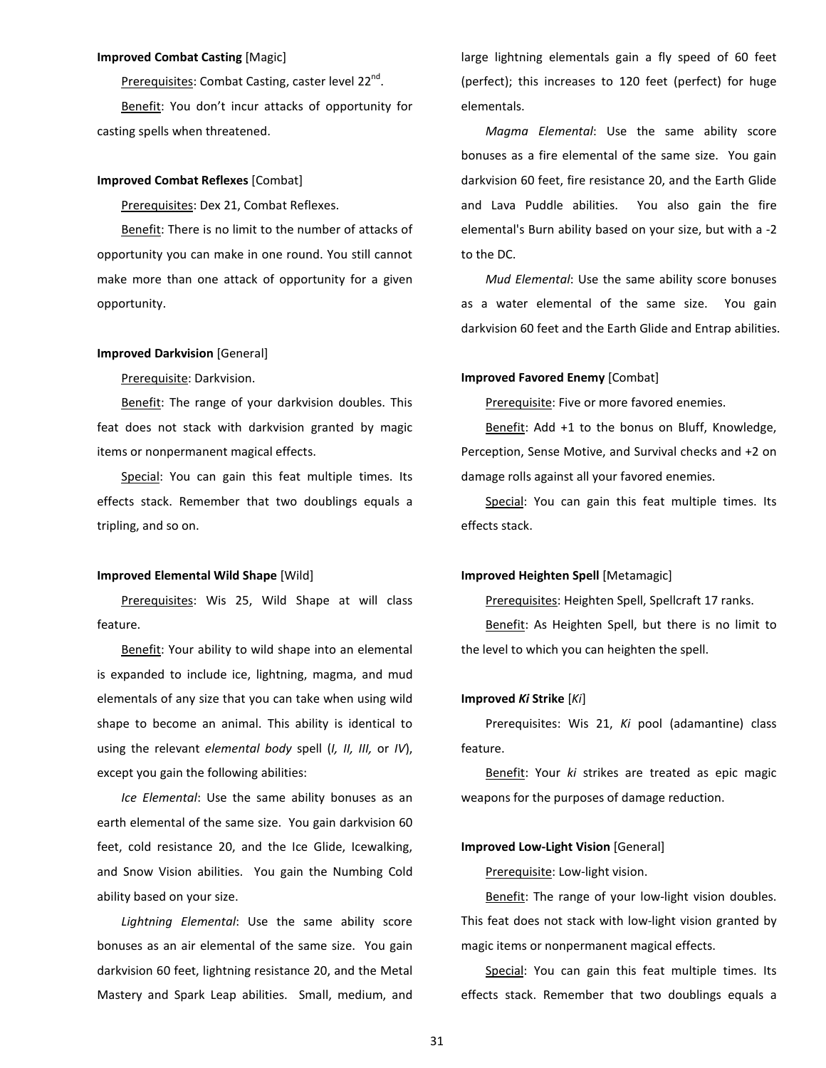#### **Improved Combat Casting** [Magic]

Prerequisites: Combat Casting, caster level 22<sup>nd</sup>. Benefit: You don't incur attacks of opportunity for casting spells when threatened.

## **Improved Combat Reflexes** [Combat]

Prerequisites: Dex 21, Combat Reflexes.

Benefit: There is no limit to the number of attacks of opportunity you can make in one round. You still cannot make more than one attack of opportunity for a given opportunity.

#### **Improved Darkvision** [General]

Prerequisite: Darkvision.

Benefit: The range of your darkvision doubles. This feat does not stack with darkvision granted by magic items or nonpermanent magical effects.

Special: You can gain this feat multiple times. Its effects stack. Remember that two doublings equals a tripling, and so on.

#### **Improved Elemental Wild Shape** [Wild]

Prerequisites: Wis 25, Wild Shape at will class feature.

Benefit: Your ability to wild shape into an elemental is expanded to include ice, lightning, magma, and mud elementals of any size that you can take when using wild shape to become an animal. This ability is identical to using the relevant *elemental body* spell (*I, II, III,* or *IV*), except you gain the following abilities:

*Ice Elemental*: Use the same ability bonuses as an earth elemental of the same size. You gain darkvision 60 feet, cold resistance 20, and the Ice Glide, Icewalking, and Snow Vision abilities. You gain the Numbing Cold ability based on your size.

*Lightning Elemental*: Use the same ability score bonuses as an air elemental of the same size. You gain darkvision 60 feet, lightning resistance 20, and the Metal Mastery and Spark Leap abilities. Small, medium, and large lightning elementals gain a fly speed of 60 feet (perfect); this increases to 120 feet (perfect) for huge elementals.

*Magma Elemental*: Use the same ability score bonuses as a fire elemental of the same size. You gain darkvision 60 feet, fire resistance 20, and the Earth Glide and Lava Puddle abilities. You also gain the fire elemental's Burn ability based on your size, but with a -2 to the DC.

*Mud Elemental*: Use the same ability score bonuses as a water elemental of the same size. You gain darkvision 60 feet and the Earth Glide and Entrap abilities.

#### **Improved Favored Enemy** [Combat]

Prerequisite: Five or more favored enemies.

Benefit: Add +1 to the bonus on Bluff, Knowledge, Perception, Sense Motive, and Survival checks and +2 on damage rolls against all your favored enemies.

Special: You can gain this feat multiple times. Its effects stack.

#### **Improved Heighten Spell** [Metamagic]

Prerequisites: Heighten Spell, Spellcraft 17 ranks.

Benefit: As Heighten Spell, but there is no limit to the level to which you can heighten the spell.

# **Improved** *Ki* **Strike** [*Ki*]

Prerequisites: Wis 21, *Ki* pool (adamantine) class feature.

Benefit: Your *ki* strikes are treated as epic magic weapons for the purposes of damage reduction.

#### **Improved Low-Light Vision** [General]

Prerequisite: Low-light vision.

Benefit: The range of your low-light vision doubles. This feat does not stack with low-light vision granted by magic items or nonpermanent magical effects.

Special: You can gain this feat multiple times. Its effects stack. Remember that two doublings equals a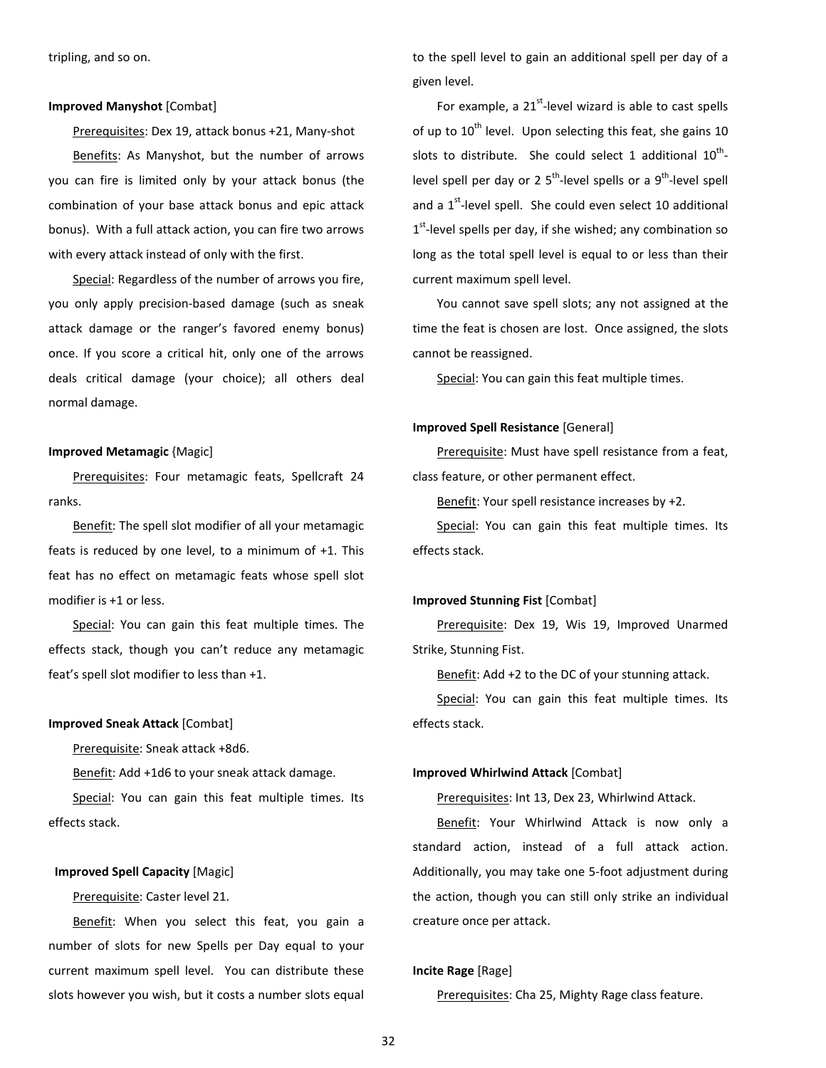#### **Improved Manyshot** [Combat]

Prerequisites: Dex 19, attack bonus +21, Many-shot Benefits: As Manyshot, but the number of arrows you can fire is limited only by your attack bonus (the combination of your base attack bonus and epic attack bonus). With a full attack action, you can fire two arrows with every attack instead of only with the first.

Special: Regardless of the number of arrows you fire, you only apply precision-based damage (such as sneak attack damage or the ranger's favored enemy bonus) once. If you score a critical hit, only one of the arrows deals critical damage (your choice); all others deal normal damage.

#### **Improved Metamagic** {Magic]

Prerequisites: Four metamagic feats, Spellcraft 24 ranks.

Benefit: The spell slot modifier of all your metamagic feats is reduced by one level, to a minimum of +1. This feat has no effect on metamagic feats whose spell slot modifier is +1 or less.

Special: You can gain this feat multiple times. The effects stack, though you can't reduce any metamagic feat's spell slot modifier to less than +1.

#### **Improved Sneak Attack** [Combat]

Prerequisite: Sneak attack +8d6.

Benefit: Add +1d6 to your sneak attack damage.

Special: You can gain this feat multiple times. Its effects stack.

#### **Improved Spell Capacity** [Magic]

#### Prerequisite: Caster level 21.

Benefit: When you select this feat, you gain a number of slots for new Spells per Day equal to your current maximum spell level. You can distribute these slots however you wish, but it costs a number slots equal to the spell level to gain an additional spell per day of a given level.

For example, a  $21^{st}$ -level wizard is able to cast spells of up to  $10^{th}$  level. Upon selecting this feat, she gains 10 slots to distribute. She could select 1 additional  $10^{th}$ level spell per day or 2  $5<sup>th</sup>$ -level spells or a  $9<sup>th</sup>$ -level spell and a 1<sup>st</sup>-level spell. She could even select 10 additional 1<sup>st</sup>-level spells per day, if she wished; any combination so long as the total spell level is equal to or less than their current maximum spell level.

You cannot save spell slots; any not assigned at the time the feat is chosen are lost. Once assigned, the slots cannot be reassigned.

Special: You can gain this feat multiple times.

#### **Improved Spell Resistance** [General]

Prerequisite: Must have spell resistance from a feat, class feature, or other permanent effect.

Benefit: Your spell resistance increases by +2.

Special: You can gain this feat multiple times. Its effects stack.

#### **Improved Stunning Fist** [Combat]

Prerequisite: Dex 19, Wis 19, Improved Unarmed Strike, Stunning Fist.

Benefit: Add +2 to the DC of your stunning attack.

Special: You can gain this feat multiple times. Its effects stack.

#### **Improved Whirlwind Attack** [Combat]

Prerequisites: Int 13, Dex 23, Whirlwind Attack.

Benefit: Your Whirlwind Attack is now only a standard action, instead of a full attack action. Additionally, you may take one 5-foot adjustment during the action, though you can still only strike an individual creature once per attack.

# **Incite Rage** [Rage]

Prerequisites: Cha 25, Mighty Rage class feature.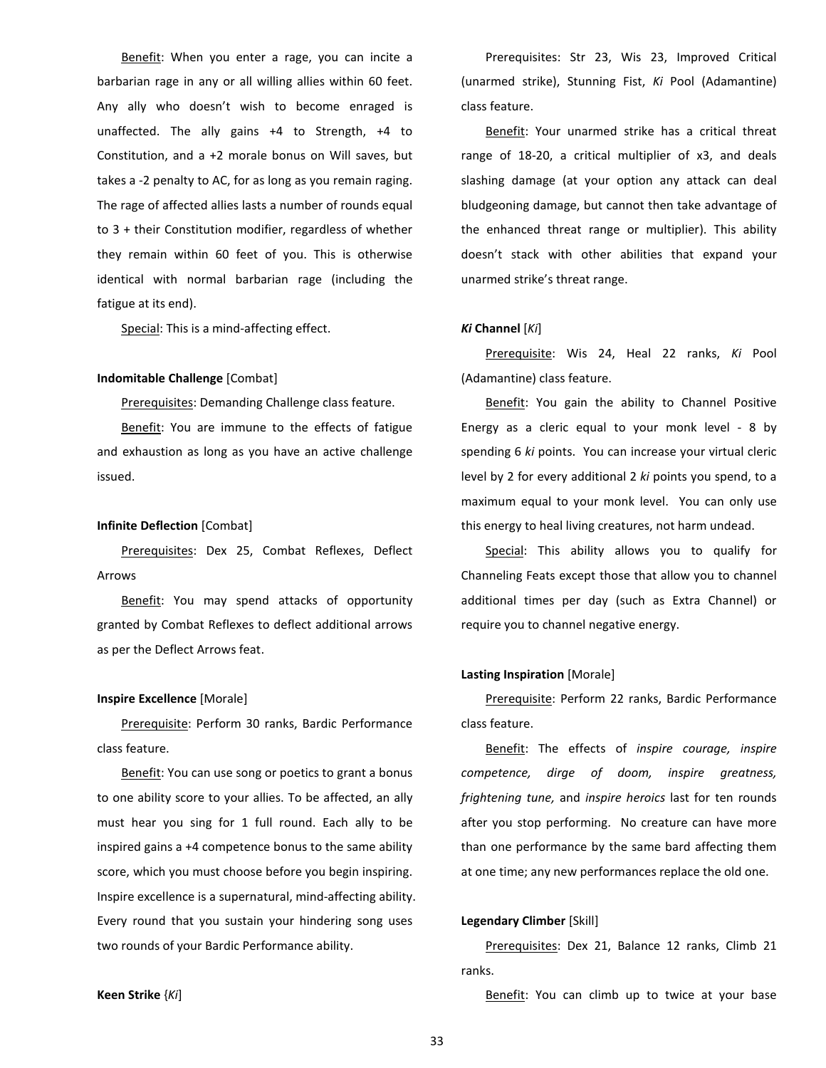Benefit: When you enter a rage, you can incite a barbarian rage in any or all willing allies within 60 feet. Any ally who doesn't wish to become enraged is unaffected. The ally gains +4 to Strength, +4 to Constitution, and a +2 morale bonus on Will saves, but takes a -2 penalty to AC, for as long as you remain raging. The rage of affected allies lasts a number of rounds equal to 3 + their Constitution modifier, regardless of whether they remain within 60 feet of you. This is otherwise identical with normal barbarian rage (including the fatigue at its end).

Special: This is a mind-affecting effect.

# **Indomitable Challenge** [Combat]

Prerequisites: Demanding Challenge class feature.

Benefit: You are immune to the effects of fatigue and exhaustion as long as you have an active challenge issued.

# **Infinite Deflection** [Combat]

Prerequisites: Dex 25, Combat Reflexes, Deflect Arrows

Benefit: You may spend attacks of opportunity granted by Combat Reflexes to deflect additional arrows as per the Deflect Arrows feat.

# **Inspire Excellence** [Morale]

Prerequisite: Perform 30 ranks, Bardic Performance class feature.

Benefit: You can use song or poetics to grant a bonus to one ability score to your allies. To be affected, an ally must hear you sing for 1 full round. Each ally to be inspired gains a +4 competence bonus to the same ability score, which you must choose before you begin inspiring. Inspire excellence is a supernatural, mind-affecting ability. Every round that you sustain your hindering song uses two rounds of your Bardic Performance ability.

Prerequisites: Str 23, Wis 23, Improved Critical (unarmed strike), Stunning Fist, *Ki* Pool (Adamantine) class feature.

Benefit: Your unarmed strike has a critical threat range of 18-20, a critical multiplier of x3, and deals slashing damage (at your option any attack can deal bludgeoning damage, but cannot then take advantage of the enhanced threat range or multiplier). This ability doesn't stack with other abilities that expand your unarmed strike's threat range.

# *Ki* **Channel** [*Ki*]

Prerequisite: Wis 24, Heal 22 ranks, *Ki* Pool (Adamantine) class feature.

Benefit: You gain the ability to Channel Positive Energy as a cleric equal to your monk level - 8 by spending 6 *ki* points. You can increase your virtual cleric level by 2 for every additional 2 *ki* points you spend, to a maximum equal to your monk level. You can only use this energy to heal living creatures, not harm undead.

Special: This ability allows you to qualify for Channeling Feats except those that allow you to channel additional times per day (such as Extra Channel) or require you to channel negative energy.

#### **Lasting Inspiration** [Morale]

Prerequisite: Perform 22 ranks, Bardic Performance class feature.

Benefit: The effects of *inspire courage, inspire competence, dirge of doom, inspire greatness, frightening tune,* and *inspire heroics* last for ten rounds after you stop performing. No creature can have more than one performance by the same bard affecting them at one time; any new performances replace the old one.

# **Legendary Climber** [Skill]

Prerequisites: Dex 21, Balance 12 ranks, Climb 21 ranks.

**Keen Strike** {*Ki*]

Benefit: You can climb up to twice at your base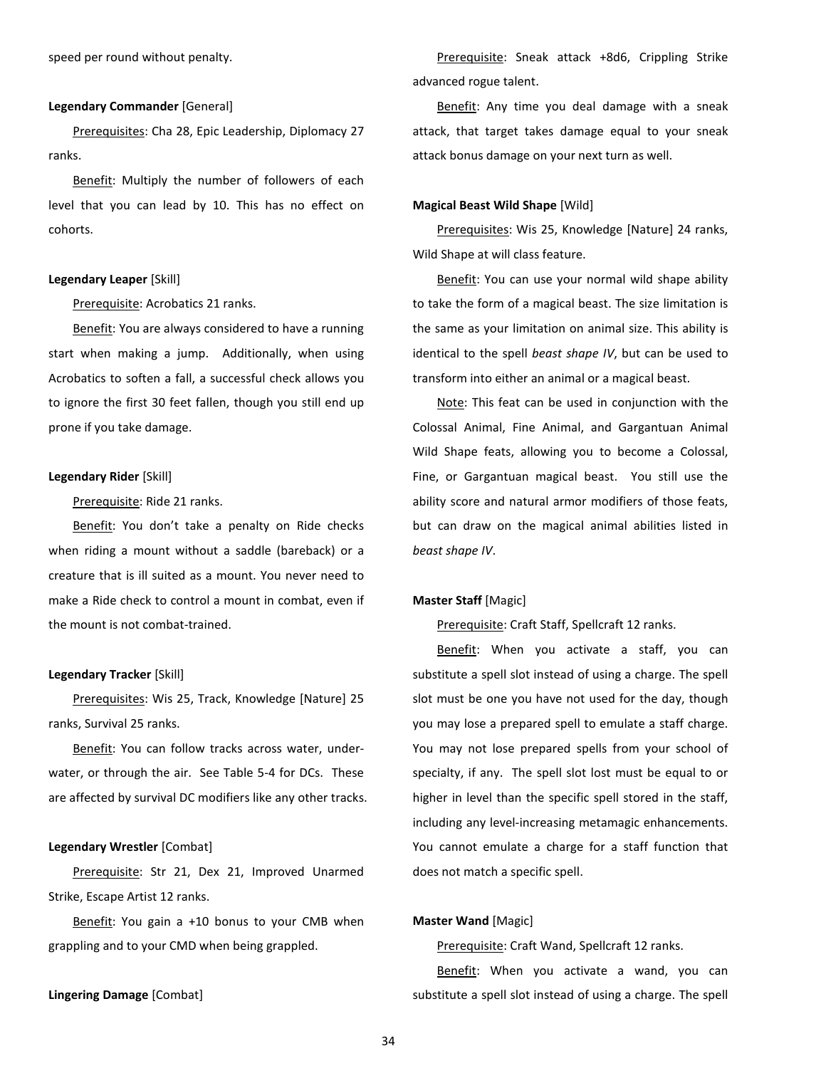speed per round without penalty.

#### **Legendary Commander** [General]

Prerequisites: Cha 28, Epic Leadership, Diplomacy 27 ranks.

Benefit: Multiply the number of followers of each level that you can lead by 10. This has no effect on cohorts.

#### **Legendary Leaper** [Skill]

Prerequisite: Acrobatics 21 ranks.

Benefit: You are always considered to have a running start when making a jump. Additionally, when using Acrobatics to soften a fall, a successful check allows you to ignore the first 30 feet fallen, though you still end up prone if you take damage.

#### **Legendary Rider** [Skill]

#### Prerequisite: Ride 21 ranks.

Benefit: You don't take a penalty on Ride checks when riding a mount without a saddle (bareback) or a creature that is ill suited as a mount. You never need to make a Ride check to control a mount in combat, even if the mount is not combat-trained.

#### **Legendary Tracker** [Skill]

Prerequisites: Wis 25, Track, Knowledge [Nature] 25 ranks, Survival 25 ranks.

Benefit: You can follow tracks across water, underwater, or through the air. See Table 5-4 for DCs. These are affected by survival DC modifiers like any other tracks.

## **Legendary Wrestler** [Combat]

Prerequisite: Str 21, Dex 21, Improved Unarmed Strike, Escape Artist 12 ranks.

Benefit: You gain a +10 bonus to your CMB when grappling and to your CMD when being grappled.

#### **Lingering Damage** [Combat]

Prerequisite: Sneak attack +8d6, Crippling Strike advanced rogue talent.

Benefit: Any time you deal damage with a sneak attack, that target takes damage equal to your sneak attack bonus damage on your next turn as well.

#### **Magical Beast Wild Shape** [Wild]

Prerequisites: Wis 25, Knowledge [Nature] 24 ranks, Wild Shape at will class feature.

Benefit: You can use your normal wild shape ability to take the form of a magical beast. The size limitation is the same as your limitation on animal size. This ability is identical to the spell *beast shape IV*, but can be used to transform into either an animal or a magical beast.

Note: This feat can be used in conjunction with the Colossal Animal, Fine Animal, and Gargantuan Animal Wild Shape feats, allowing you to become a Colossal, Fine, or Gargantuan magical beast. You still use the ability score and natural armor modifiers of those feats, but can draw on the magical animal abilities listed in *beast shape IV*.

#### **Master Staff** [Magic]

Prerequisite: Craft Staff, Spellcraft 12 ranks.

Benefit: When you activate a staff, you can substitute a spell slot instead of using a charge. The spell slot must be one you have not used for the day, though you may lose a prepared spell to emulate a staff charge. You may not lose prepared spells from your school of specialty, if any. The spell slot lost must be equal to or higher in level than the specific spell stored in the staff, including any level-increasing metamagic enhancements. You cannot emulate a charge for a staff function that does not match a specific spell.

#### **Master Wand** [Magic]

Prerequisite: Craft Wand, Spellcraft 12 ranks.

Benefit: When you activate a wand, you can substitute a spell slot instead of using a charge. The spell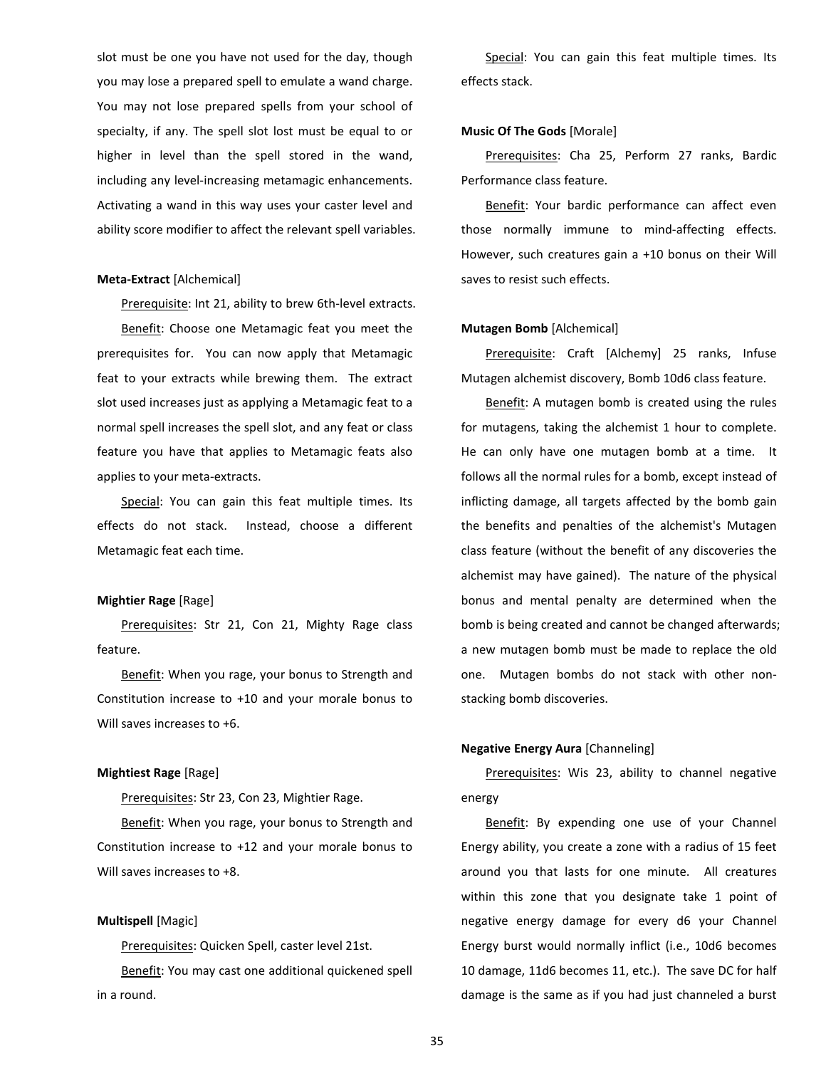slot must be one you have not used for the day, though you may lose a prepared spell to emulate a wand charge. You may not lose prepared spells from your school of specialty, if any. The spell slot lost must be equal to or higher in level than the spell stored in the wand, including any level-increasing metamagic enhancements. Activating a wand in this way uses your caster level and ability score modifier to affect the relevant spell variables.

### **Meta-Extract** [Alchemical]

Prerequisite: Int 21, ability to brew 6th-level extracts. Benefit: Choose one Metamagic feat you meet the prerequisites for. You can now apply that Metamagic feat to your extracts while brewing them. The extract slot used increases just as applying a Metamagic feat to a normal spell increases the spell slot, and any feat or class feature you have that applies to Metamagic feats also applies to your meta-extracts.

Special: You can gain this feat multiple times. Its effects do not stack. Instead, choose a different Metamagic feat each time.

# **Mightier Rage** [Rage]

Prerequisites: Str 21, Con 21, Mighty Rage class feature.

Benefit: When you rage, your bonus to Strength and Constitution increase to +10 and your morale bonus to Will saves increases to +6.

# **Mightiest Rage** [Rage]

Prerequisites: Str 23, Con 23, Mightier Rage.

Benefit: When you rage, your bonus to Strength and Constitution increase to +12 and your morale bonus to Will saves increases to +8.

# **Multispell** [Magic]

Prerequisites: Quicken Spell, caster level 21st. Benefit: You may cast one additional quickened spell in a round.

Special: You can gain this feat multiple times. Its effects stack.

# **Music Of The Gods** [Morale]

Prerequisites: Cha 25, Perform 27 ranks, Bardic Performance class feature.

Benefit: Your bardic performance can affect even those normally immune to mind-affecting effects. However, such creatures gain a +10 bonus on their Will saves to resist such effects.

#### **Mutagen Bomb** [Alchemical]

Prerequisite: Craft [Alchemy] 25 ranks, Infuse Mutagen alchemist discovery, Bomb 10d6 class feature.

Benefit: A mutagen bomb is created using the rules for mutagens, taking the alchemist 1 hour to complete. He can only have one mutagen bomb at a time. It follows all the normal rules for a bomb, except instead of inflicting damage, all targets affected by the bomb gain the benefits and penalties of the alchemist's Mutagen class feature (without the benefit of any discoveries the alchemist may have gained). The nature of the physical bonus and mental penalty are determined when the bomb is being created and cannot be changed afterwards; a new mutagen bomb must be made to replace the old one. Mutagen bombs do not stack with other nonstacking bomb discoveries.

# **Negative Energy Aura** [Channeling]

Prerequisites: Wis 23, ability to channel negative energy

Benefit: By expending one use of your Channel Energy ability, you create a zone with a radius of 15 feet around you that lasts for one minute. All creatures within this zone that you designate take 1 point of negative energy damage for every d6 your Channel Energy burst would normally inflict (i.e., 10d6 becomes 10 damage, 11d6 becomes 11, etc.). The save DC for half damage is the same as if you had just channeled a burst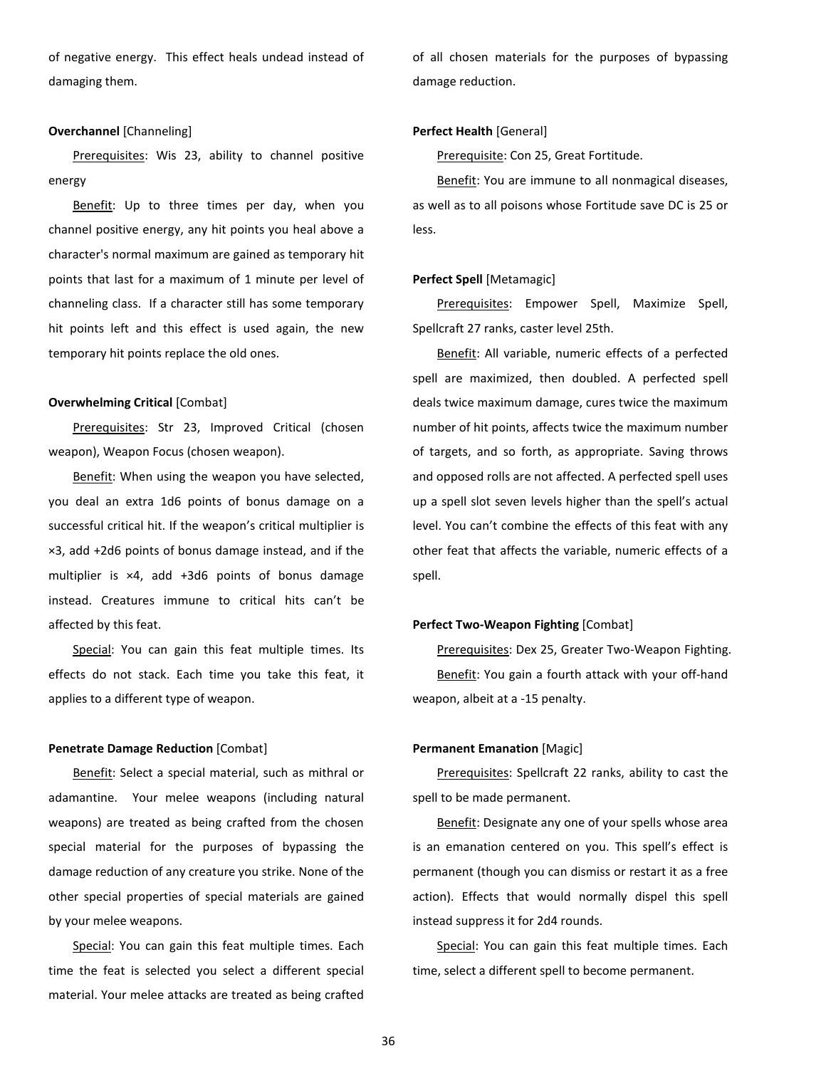of negative energy. This effect heals undead instead of damaging them.

# **Overchannel** [Channeling]

Prerequisites: Wis 23, ability to channel positive energy

Benefit: Up to three times per day, when you channel positive energy, any hit points you heal above a character's normal maximum are gained as temporary hit points that last for a maximum of 1 minute per level of channeling class. If a character still has some temporary hit points left and this effect is used again, the new temporary hit points replace the old ones.

#### **Overwhelming Critical** [Combat]

Prerequisites: Str 23, Improved Critical (chosen weapon), Weapon Focus (chosen weapon).

Benefit: When using the weapon you have selected, you deal an extra 1d6 points of bonus damage on a successful critical hit. If the weapon's critical multiplier is ×3, add +2d6 points of bonus damage instead, and if the multiplier is ×4, add +3d6 points of bonus damage instead. Creatures immune to critical hits can't be affected by this feat.

Special: You can gain this feat multiple times. Its effects do not stack. Each time you take this feat, it applies to a different type of weapon.

## **Penetrate Damage Reduction** [Combat]

Benefit: Select a special material, such as mithral or adamantine. Your melee weapons (including natural weapons) are treated as being crafted from the chosen special material for the purposes of bypassing the damage reduction of any creature you strike. None of the other special properties of special materials are gained by your melee weapons.

Special: You can gain this feat multiple times. Each time the feat is selected you select a different special material. Your melee attacks are treated as being crafted

of all chosen materials for the purposes of bypassing damage reduction.

# **Perfect Health** [General]

Prerequisite: Con 25, Great Fortitude.

Benefit: You are immune to all nonmagical diseases, as well as to all poisons whose Fortitude save DC is 25 or less.

#### **Perfect Spell** [Metamagic]

Prerequisites: Empower Spell, Maximize Spell, Spellcraft 27 ranks, caster level 25th.

Benefit: All variable, numeric effects of a perfected spell are maximized, then doubled. A perfected spell deals twice maximum damage, cures twice the maximum number of hit points, affects twice the maximum number of targets, and so forth, as appropriate. Saving throws and opposed rolls are not affected. A perfected spell uses up a spell slot seven levels higher than the spell's actual level. You can't combine the effects of this feat with any other feat that affects the variable, numeric effects of a spell.

#### **Perfect Two-Weapon Fighting** [Combat]

Prerequisites: Dex 25, Greater Two-Weapon Fighting. Benefit: You gain a fourth attack with your off-hand weapon, albeit at a -15 penalty.

# **Permanent Emanation** [Magic]

Prerequisites: Spellcraft 22 ranks, ability to cast the spell to be made permanent.

Benefit: Designate any one of your spells whose area is an emanation centered on you. This spell's effect is permanent (though you can dismiss or restart it as a free action). Effects that would normally dispel this spell instead suppress it for 2d4 rounds.

Special: You can gain this feat multiple times. Each time, select a different spell to become permanent.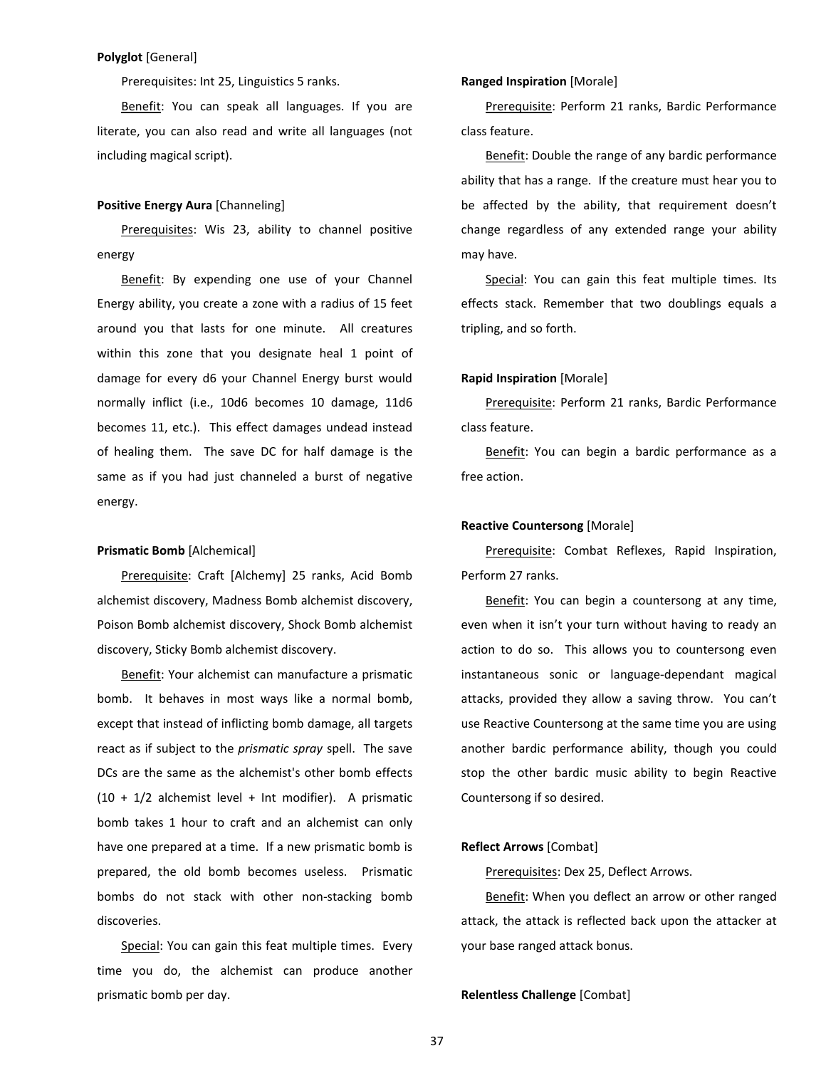# **Polyglot** [General]

Prerequisites: Int 25, Linguistics 5 ranks.

Benefit: You can speak all languages. If you are literate, you can also read and write all languages (not including magical script).

# **Positive Energy Aura** [Channeling]

Prerequisites: Wis 23, ability to channel positive energy

Benefit: By expending one use of your Channel Energy ability, you create a zone with a radius of 15 feet around you that lasts for one minute. All creatures within this zone that you designate heal 1 point of damage for every d6 your Channel Energy burst would normally inflict (i.e., 10d6 becomes 10 damage, 11d6 becomes 11, etc.). This effect damages undead instead of healing them. The save DC for half damage is the same as if you had just channeled a burst of negative energy.

#### **Prismatic Bomb** [Alchemical]

Prerequisite: Craft [Alchemy] 25 ranks, Acid Bomb alchemist discovery, Madness Bomb alchemist discovery, Poison Bomb alchemist discovery, Shock Bomb alchemist discovery, Sticky Bomb alchemist discovery.

Benefit: Your alchemist can manufacture a prismatic bomb. It behaves in most ways like a normal bomb, except that instead of inflicting bomb damage, all targets react as if subject to the *prismatic spray* spell. The save DCs are the same as the alchemist's other bomb effects  $(10 + 1/2)$  alchemist level + Int modifier). A prismatic bomb takes 1 hour to craft and an alchemist can only have one prepared at a time. If a new prismatic bomb is prepared, the old bomb becomes useless. Prismatic bombs do not stack with other non-stacking bomb discoveries.

Special: You can gain this feat multiple times. Every time you do, the alchemist can produce another prismatic bomb per day.

# **Ranged Inspiration** [Morale]

Prerequisite: Perform 21 ranks, Bardic Performance class feature.

Benefit: Double the range of any bardic performance ability that has a range. If the creature must hear you to be affected by the ability, that requirement doesn't change regardless of any extended range your ability may have.

Special: You can gain this feat multiple times. Its effects stack. Remember that two doublings equals a tripling, and so forth.

#### **Rapid Inspiration** [Morale]

Prerequisite: Perform 21 ranks, Bardic Performance class feature.

Benefit: You can begin a bardic performance as a free action.

# **Reactive Countersong** [Morale]

Prerequisite: Combat Reflexes, Rapid Inspiration, Perform 27 ranks.

Benefit: You can begin a countersong at any time, even when it isn't your turn without having to ready an action to do so. This allows you to countersong even instantaneous sonic or language-dependant magical attacks, provided they allow a saving throw. You can't use Reactive Countersong at the same time you are using another bardic performance ability, though you could stop the other bardic music ability to begin Reactive Countersong if so desired.

# **Reflect Arrows** [Combat]

Prerequisites: Dex 25, Deflect Arrows.

Benefit: When you deflect an arrow or other ranged attack, the attack is reflected back upon the attacker at your base ranged attack bonus.

**Relentless Challenge** [Combat]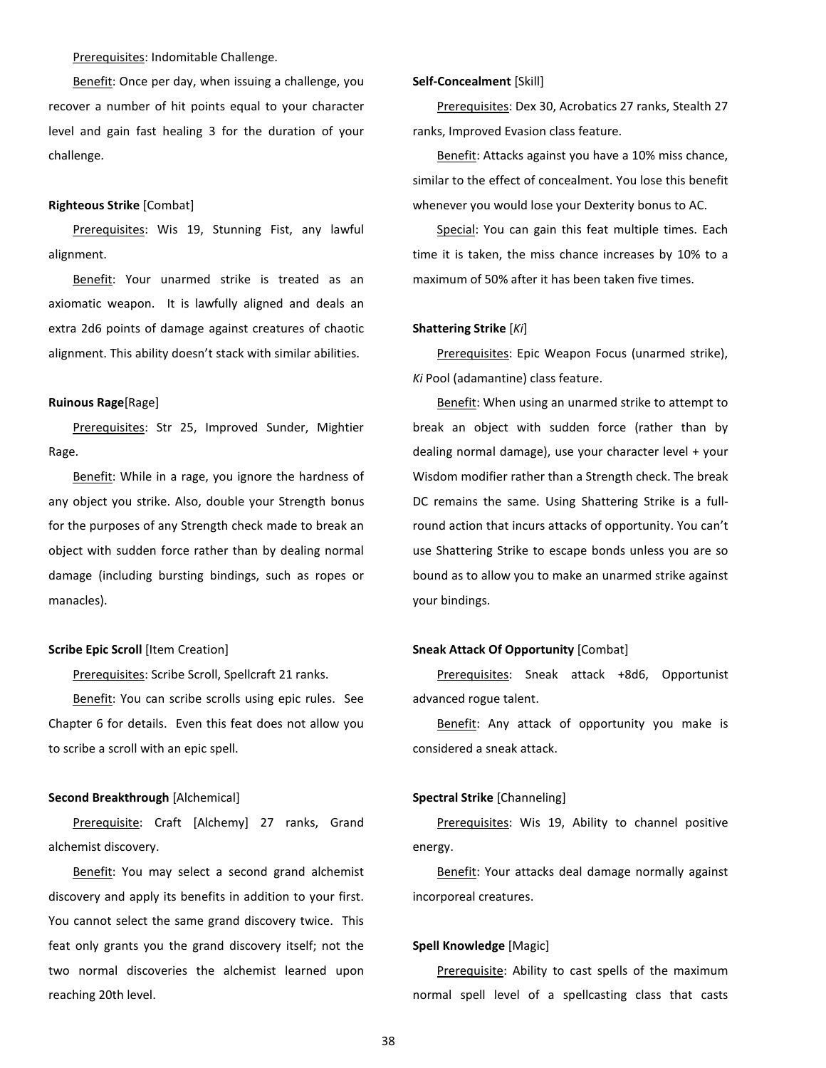## Prerequisites: Indomitable Challenge.

Benefit: Once per day, when issuing a challenge, you recover a number of hit points equal to your character level and gain fast healing 3 for the duration of your challenge.

#### **Righteous Strike** [Combat]

Prerequisites: Wis 19, Stunning Fist, any lawful alignment.

Benefit: Your unarmed strike is treated as an axiomatic weapon. It is lawfully aligned and deals an extra 2d6 points of damage against creatures of chaotic alignment. This ability doesn't stack with similar abilities.

# **Ruinous Rage**[Rage]

Prerequisites: Str 25, Improved Sunder, Mightier Rage.

Benefit: While in a rage, you ignore the hardness of any object you strike. Also, double your Strength bonus for the purposes of any Strength check made to break an object with sudden force rather than by dealing normal damage (including bursting bindings, such as ropes or manacles).

#### **Scribe Epic Scroll** [Item Creation]

Prerequisites: Scribe Scroll, Spellcraft 21 ranks.

Benefit: You can scribe scrolls using epic rules. See Chapter 6 for details. Even this feat does not allow you to scribe a scroll with an epic spell.

#### **Second Breakthrough** [Alchemical]

Prerequisite: Craft [Alchemy] 27 ranks, Grand alchemist discovery.

Benefit: You may select a second grand alchemist discovery and apply its benefits in addition to your first. You cannot select the same grand discovery twice. This feat only grants you the grand discovery itself; not the two normal discoveries the alchemist learned upon reaching 20th level.

#### **Self-Concealment** [Skill]

Prerequisites: Dex 30, Acrobatics 27 ranks, Stealth 27 ranks, Improved Evasion class feature.

Benefit: Attacks against you have a 10% miss chance, similar to the effect of concealment. You lose this benefit whenever you would lose your Dexterity bonus to AC.

Special: You can gain this feat multiple times. Each time it is taken, the miss chance increases by 10% to a maximum of 50% after it has been taken five times.

#### **Shattering Strike** [*Ki*]

Prerequisites: Epic Weapon Focus (unarmed strike), *Ki* Pool (adamantine) class feature.

Benefit: When using an unarmed strike to attempt to break an object with sudden force (rather than by dealing normal damage), use your character level + your Wisdom modifier rather than a Strength check. The break DC remains the same. Using Shattering Strike is a fullround action that incurs attacks of opportunity. You can't use Shattering Strike to escape bonds unless you are so bound as to allow you to make an unarmed strike against your bindings.

#### **Sneak Attack Of Opportunity** [Combat]

Prerequisites: Sneak attack +8d6, Opportunist advanced rogue talent.

Benefit: Any attack of opportunity you make is considered a sneak attack.

## **Spectral Strike** [Channeling]

Prerequisites: Wis 19, Ability to channel positive energy.

Benefit: Your attacks deal damage normally against incorporeal creatures.

#### **Spell Knowledge** [Magic]

Prerequisite: Ability to cast spells of the maximum normal spell level of a spellcasting class that casts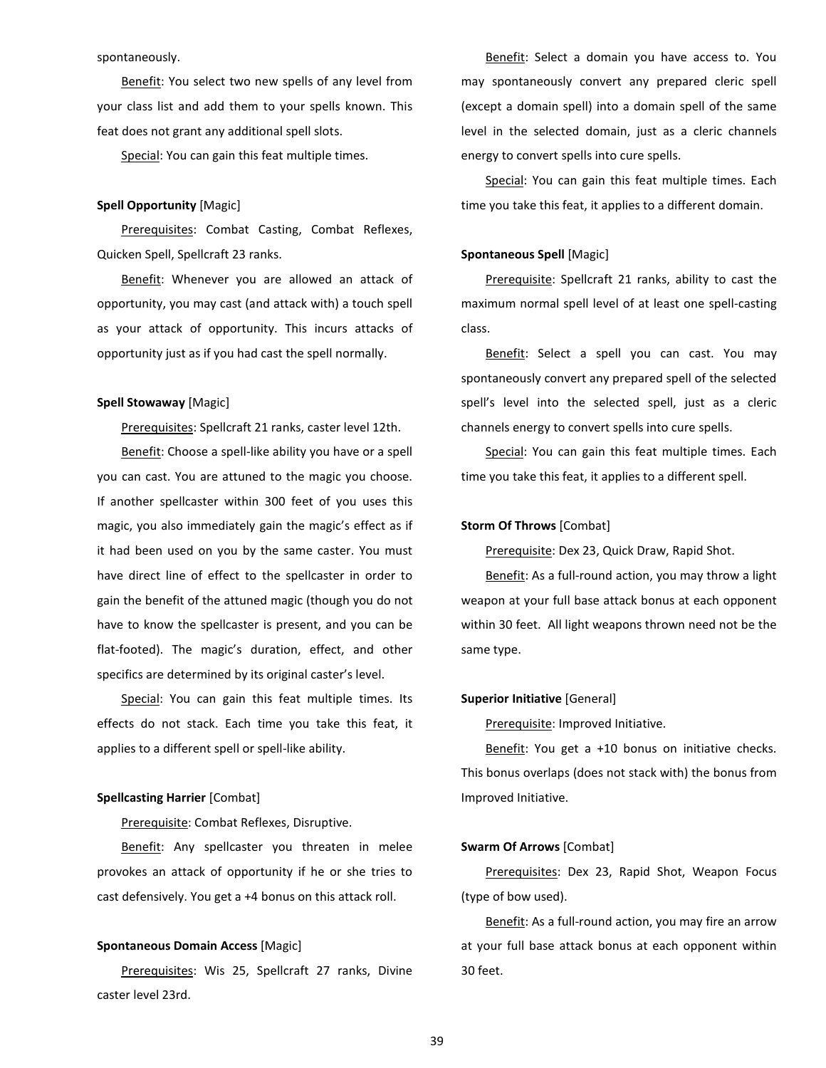spontaneously.

Benefit: You select two new spells of any level from your class list and add them to your spells known. This feat does not grant any additional spell slots.

Special: You can gain this feat multiple times.

#### **Spell Opportunity** [Magic]

Prerequisites: Combat Casting, Combat Reflexes, Quicken Spell, Spellcraft 23 ranks.

Benefit: Whenever you are allowed an attack of opportunity, you may cast (and attack with) a touch spell as your attack of opportunity. This incurs attacks of opportunity just as if you had cast the spell normally.

# **Spell Stowaway** [Magic]

Prerequisites: Spellcraft 21 ranks, caster level 12th.

Benefit: Choose a spell-like ability you have or a spell you can cast. You are attuned to the magic you choose. If another spellcaster within 300 feet of you uses this magic, you also immediately gain the magic's effect as if it had been used on you by the same caster. You must have direct line of effect to the spellcaster in order to gain the benefit of the attuned magic (though you do not have to know the spellcaster is present, and you can be flat-footed). The magic's duration, effect, and other specifics are determined by its original caster's level.

Special: You can gain this feat multiple times. Its effects do not stack. Each time you take this feat, it applies to a different spell or spell-like ability.

#### **Spellcasting Harrier** [Combat]

Prerequisite: Combat Reflexes, Disruptive.

Benefit: Any spellcaster you threaten in melee provokes an attack of opportunity if he or she tries to cast defensively. You get a +4 bonus on this attack roll.

#### **Spontaneous Domain Access** [Magic]

Prerequisites: Wis 25, Spellcraft 27 ranks, Divine caster level 23rd.

Benefit: Select a domain you have access to. You may spontaneously convert any prepared cleric spell (except a domain spell) into a domain spell of the same level in the selected domain, just as a cleric channels energy to convert spells into cure spells.

Special: You can gain this feat multiple times. Each time you take this feat, it applies to a different domain.

#### **Spontaneous Spell** [Magic]

Prerequisite: Spellcraft 21 ranks, ability to cast the maximum normal spell level of at least one spell-casting class.

Benefit: Select a spell you can cast. You may spontaneously convert any prepared spell of the selected spell's level into the selected spell, just as a cleric channels energy to convert spells into cure spells.

Special: You can gain this feat multiple times. Each time you take this feat, it applies to a different spell.

# **Storm Of Throws** [Combat]

Prerequisite: Dex 23, Quick Draw, Rapid Shot.

Benefit: As a full-round action, you may throw a light weapon at your full base attack bonus at each opponent within 30 feet. All light weapons thrown need not be the same type.

# **Superior Initiative** [General]

Prerequisite: Improved Initiative.

Benefit: You get a +10 bonus on initiative checks. This bonus overlaps (does not stack with) the bonus from Improved Initiative.

## **Swarm Of Arrows** [Combat]

Prerequisites: Dex 23, Rapid Shot, Weapon Focus (type of bow used).

Benefit: As a full-round action, you may fire an arrow at your full base attack bonus at each opponent within 30 feet.

39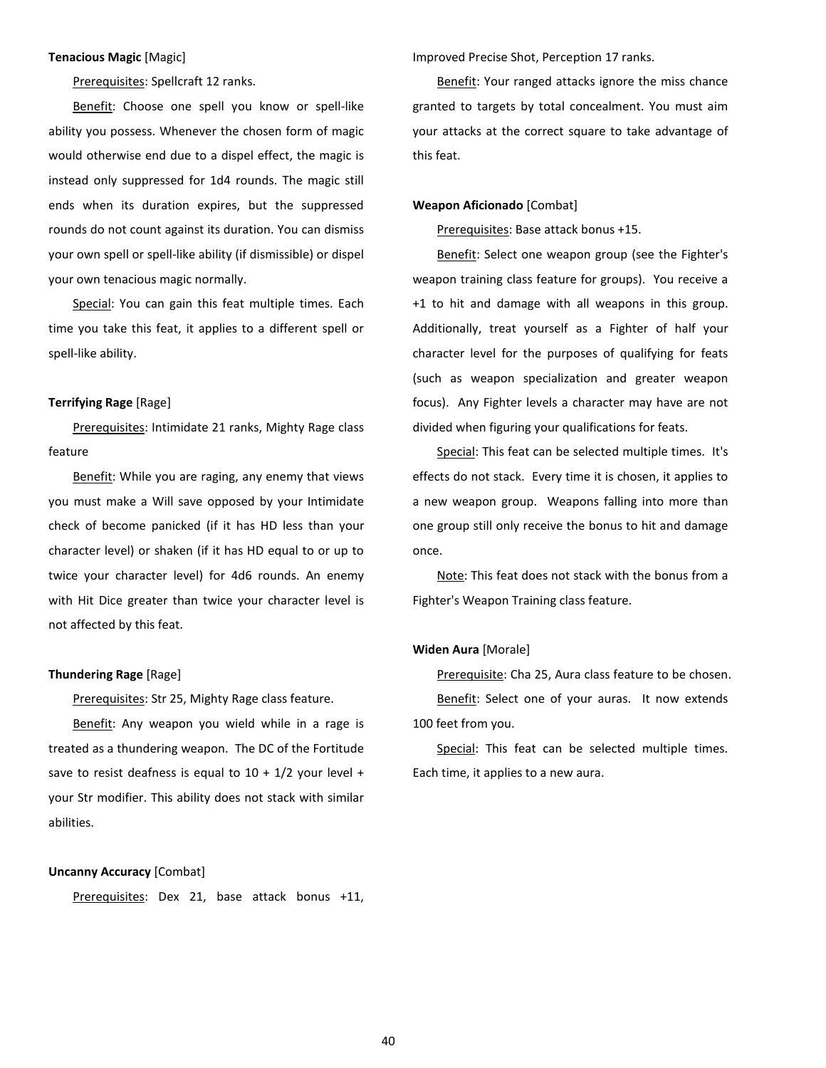# **Tenacious Magic** [Magic]

Prerequisites: Spellcraft 12 ranks.

Benefit: Choose one spell you know or spell-like ability you possess. Whenever the chosen form of magic would otherwise end due to a dispel effect, the magic is instead only suppressed for 1d4 rounds. The magic still ends when its duration expires, but the suppressed rounds do not count against its duration. You can dismiss your own spell or spell-like ability (if dismissible) or dispel your own tenacious magic normally.

Special: You can gain this feat multiple times. Each time you take this feat, it applies to a different spell or spell-like ability.

# **Terrifying Rage** [Rage]

Prerequisites: Intimidate 21 ranks, Mighty Rage class feature

Benefit: While you are raging, any enemy that views you must make a Will save opposed by your Intimidate check of become panicked (if it has HD less than your character level) or shaken (if it has HD equal to or up to twice your character level) for 4d6 rounds. An enemy with Hit Dice greater than twice your character level is not affected by this feat.

#### **Thundering Rage** [Rage]

Prerequisites: Str 25, Mighty Rage class feature.

Benefit: Any weapon you wield while in a rage is treated as a thundering weapon. The DC of the Fortitude save to resist deafness is equal to  $10 + 1/2$  your level + your Str modifier. This ability does not stack with similar abilities.

#### **Uncanny Accuracy** [Combat]

Prerequisites: Dex 21, base attack bonus +11,

Improved Precise Shot, Perception 17 ranks.

Benefit: Your ranged attacks ignore the miss chance granted to targets by total concealment. You must aim your attacks at the correct square to take advantage of this feat.

#### **Weapon Aficionado** [Combat]

Prerequisites: Base attack bonus +15.

Benefit: Select one weapon group (see the Fighter's weapon training class feature for groups). You receive a +1 to hit and damage with all weapons in this group. Additionally, treat yourself as a Fighter of half your character level for the purposes of qualifying for feats (such as weapon specialization and greater weapon focus). Any Fighter levels a character may have are not divided when figuring your qualifications for feats.

Special: This feat can be selected multiple times. It's effects do not stack. Every time it is chosen, it applies to a new weapon group. Weapons falling into more than one group still only receive the bonus to hit and damage once.

Note: This feat does not stack with the bonus from a Fighter's Weapon Training class feature.

# **Widen Aura** [Morale]

Prerequisite: Cha 25, Aura class feature to be chosen. Benefit: Select one of your auras. It now extends 100 feet from you.

Special: This feat can be selected multiple times. Each time, it applies to a new aura.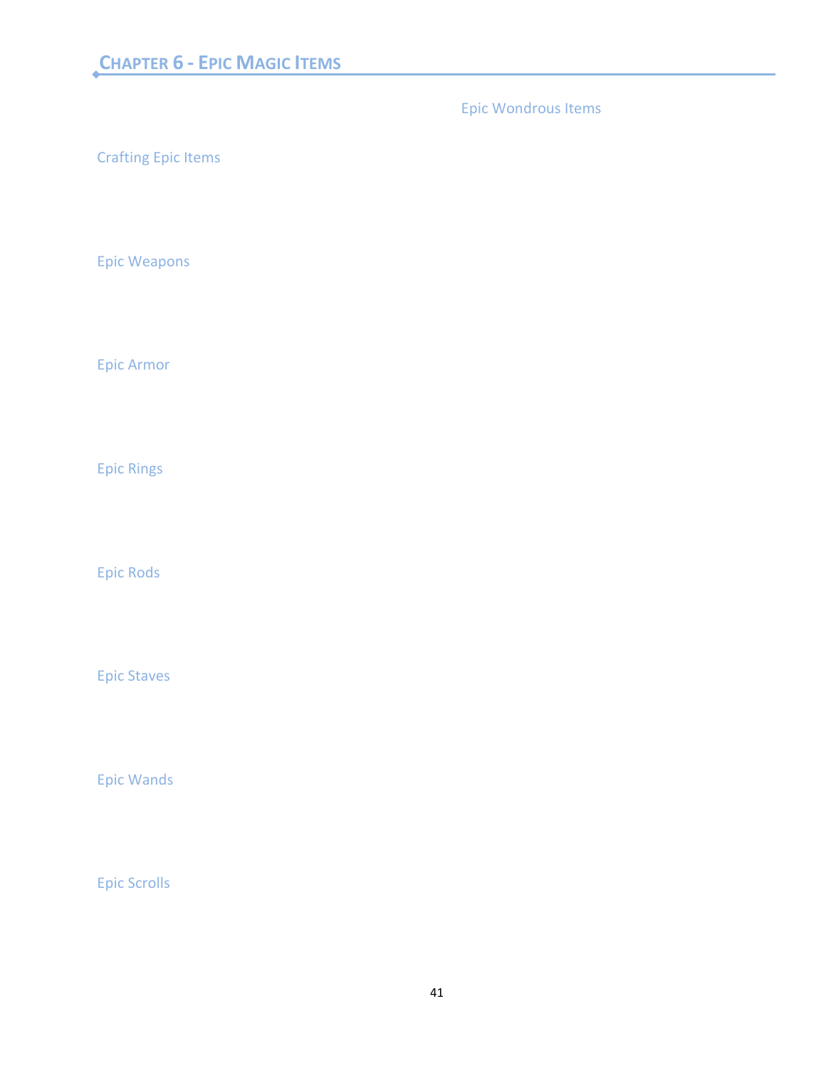# <span id="page-40-0"></span>Chapter 6 - Epic Magic Items **CHAPTER 6 - EPIC MAGIC ITEMS**

<span id="page-40-9"></span><span id="page-40-3"></span><span id="page-40-2"></span><span id="page-40-1"></span>Crafting Epic Items Epic Weapons Epic Armor Epic Rings Epic Rods Epic Staves Epic Wondrous Items

<span id="page-40-7"></span><span id="page-40-6"></span><span id="page-40-5"></span><span id="page-40-4"></span>Epic Wands

<span id="page-40-8"></span>Epic Scrolls